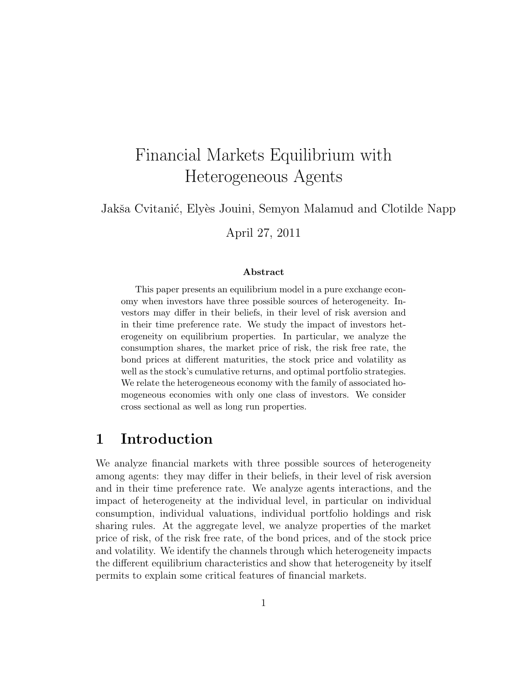# Financial Markets Equilibrium with Heterogeneous Agents

Jakša Cvitanić, Elyès Jouini, Semyon Malamud and Clotilde Napp

April 27, 2011

#### Abstract

This paper presents an equilibrium model in a pure exchange economy when investors have three possible sources of heterogeneity. Investors may differ in their beliefs, in their level of risk aversion and in their time preference rate. We study the impact of investors heterogeneity on equilibrium properties. In particular, we analyze the consumption shares, the market price of risk, the risk free rate, the bond prices at different maturities, the stock price and volatility as well as the stock's cumulative returns, and optimal portfolio strategies. We relate the heterogeneous economy with the family of associated homogeneous economies with only one class of investors. We consider cross sectional as well as long run properties.

## 1 Introduction

We analyze financial markets with three possible sources of heterogeneity among agents: they may differ in their beliefs, in their level of risk aversion and in their time preference rate. We analyze agents interactions, and the impact of heterogeneity at the individual level, in particular on individual consumption, individual valuations, individual portfolio holdings and risk sharing rules. At the aggregate level, we analyze properties of the market price of risk, of the risk free rate, of the bond prices, and of the stock price and volatility. We identify the channels through which heterogeneity impacts the different equilibrium characteristics and show that heterogeneity by itself permits to explain some critical features of financial markets.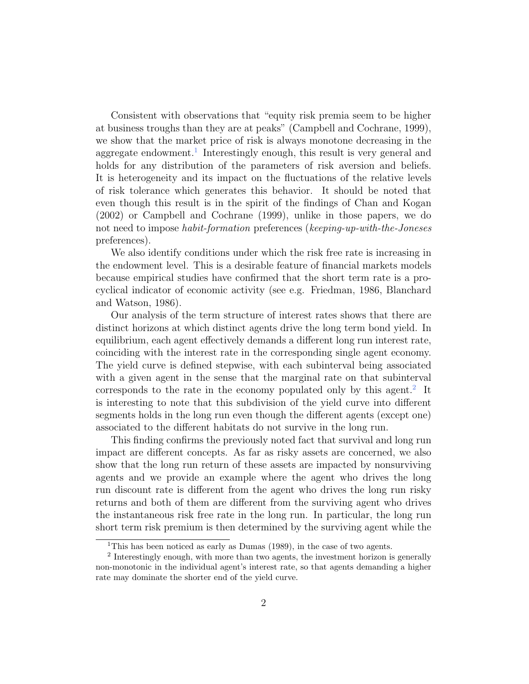Consistent with observations that "equity risk premia seem to be higher at business troughs than they are at peaks" (Campbell and Cochrane, 1999), we show that the market price of risk is always monotone decreasing in the aggregate endowment.<sup>1</sup> Interestingly enough, this result is very general and holds for any distribution of the parameters of risk aversion and beliefs. It is heterogeneity and its impact on the fluctuations of the relative levels of risk tolerance which generates this behavior. It should be noted that even though this result is in the spirit of the findings of Chan and Kogan (2002) or Campbell and Cochrane (1999), unlike in those papers, we do not need to impose *habit-formation* preferences (keeping-up-with-the-Joneses preferences).

We also identify conditions under which the risk free rate is increasing in the endowment level. This is a desirable feature of financial markets models because empirical studies have confirmed that the short term rate is a procyclical indicator of economic activity (see e.g. Friedman, 1986, Blanchard and Watson, 1986).

Our analysis of the term structure of interest rates shows that there are distinct horizons at which distinct agents drive the long term bond yield. In equilibrium, each agent effectively demands a different long run interest rate, coinciding with the interest rate in the corresponding single agent economy. The yield curve is defined stepwise, with each subinterval being associated with a given agent in the sense that the marginal rate on that subinterval corresponds to the rate in the economy populated only by this agent.<sup>2</sup> It is interesting to note that this subdivision of the yield curve into different segments holds in the long run even though the different agents (except one) associated to the different habitats do not survive in the long run.

This finding confirms the previously noted fact that survival and long run impact are different concepts. As far as risky assets are concerned, we also show that the long run return of these assets are impacted by nonsurviving agents and we provide an example where the agent who drives the long run discount rate is different from the agent who drives the long run risky returns and both of them are different from the surviving agent who drives the instantaneous risk free rate in the long run. In particular, the long run short term risk premium is then determined by the surviving agent while the

<sup>&</sup>lt;sup>1</sup>This has been noticed as early as Dumas (1989), in the case of two agents.

<sup>&</sup>lt;sup>2</sup> Interestingly enough, with more than two agents, the investment horizon is generally non-monotonic in the individual agent's interest rate, so that agents demanding a higher rate may dominate the shorter end of the yield curve.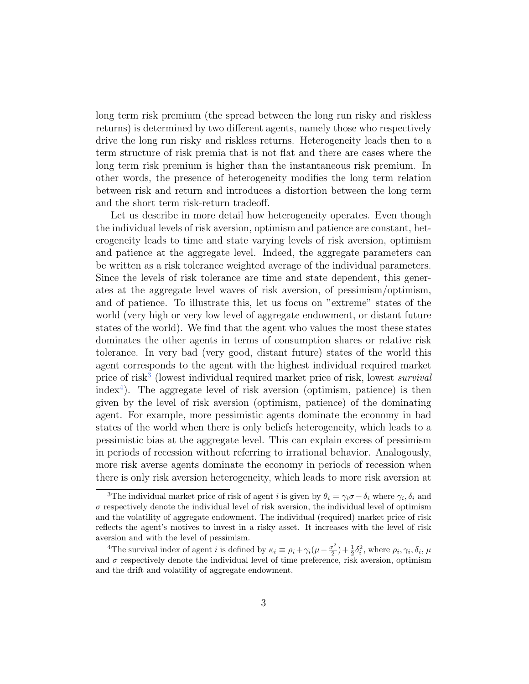long term risk premium (the spread between the long run risky and riskless returns) is determined by two different agents, namely those who respectively drive the long run risky and riskless returns. Heterogeneity leads then to a term structure of risk premia that is not flat and there are cases where the long term risk premium is higher than the instantaneous risk premium. In other words, the presence of heterogeneity modifies the long term relation between risk and return and introduces a distortion between the long term and the short term risk-return tradeoff.

Let us describe in more detail how heterogeneity operates. Even though the individual levels of risk aversion, optimism and patience are constant, heterogeneity leads to time and state varying levels of risk aversion, optimism and patience at the aggregate level. Indeed, the aggregate parameters can be written as a risk tolerance weighted average of the individual parameters. Since the levels of risk tolerance are time and state dependent, this generates at the aggregate level waves of risk aversion, of pessimism/optimism, and of patience. To illustrate this, let us focus on "extreme" states of the world (very high or very low level of aggregate endowment, or distant future states of the world). We find that the agent who values the most these states dominates the other agents in terms of consumption shares or relative risk tolerance. In very bad (very good, distant future) states of the world this agent corresponds to the agent with the highest individual required market price of risk<sup>3</sup> (lowest individual required market price of risk, lowest *survival* index<sup>4</sup>). The aggregate level of risk aversion (optimism, patience) is then given by the level of risk aversion (optimism, patience) of the dominating agent. For example, more pessimistic agents dominate the economy in bad states of the world when there is only beliefs heterogeneity, which leads to a pessimistic bias at the aggregate level. This can explain excess of pessimism in periods of recession without referring to irrational behavior. Analogously, more risk averse agents dominate the economy in periods of recession when there is only risk aversion heterogeneity, which leads to more risk aversion at

<sup>&</sup>lt;sup>3</sup>The individual market price of risk of agent i is given by  $\theta_i = \gamma_i \sigma - \delta_i$  where  $\gamma_i, \delta_i$  and  $\sigma$  respectively denote the individual level of risk aversion, the individual level of optimism and the volatility of aggregate endowment. The individual (required) market price of risk reflects the agent's motives to invest in a risky asset. It increases with the level of risk aversion and with the level of pessimism.

<sup>&</sup>lt;sup>4</sup>The survival index of agent *i* is defined by  $\kappa_i \equiv \rho_i + \gamma_i (\mu - \frac{\sigma^2}{2})$  $(\frac{\sigma^2}{2}) + \frac{1}{2}\delta_i^2$ , where  $\rho_i, \gamma_i, \delta_i, \mu$ and  $\sigma$  respectively denote the individual level of time preference, risk aversion, optimism and the drift and volatility of aggregate endowment.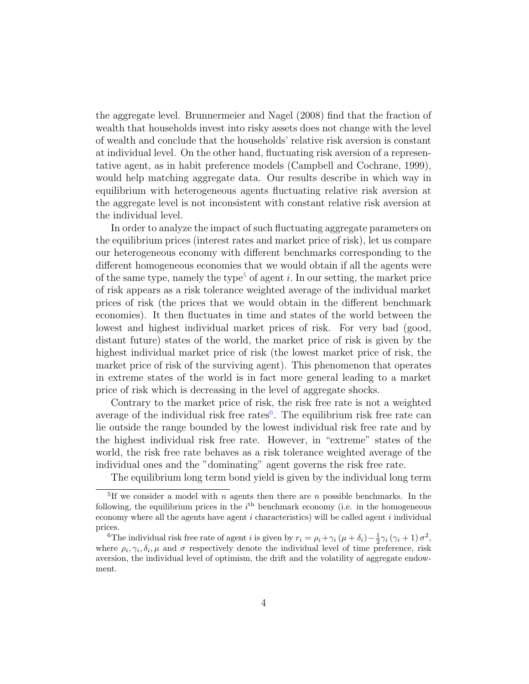the aggregate level. Brunnermeier and Nagel (2008) find that the fraction of wealth that households invest into risky assets does not change with the level of wealth and conclude that the households' relative risk aversion is constant at individual level. On the other hand, fluctuating risk aversion of a representative agent, as in habit preference models (Campbell and Cochrane, 1999), would help matching aggregate data. Our results describe in which way in equilibrium with heterogeneous agents fluctuating relative risk aversion at the aggregate level is not inconsistent with constant relative risk aversion at the individual level.

In order to analyze the impact of such fluctuating aggregate parameters on the equilibrium prices (interest rates and market price of risk), let us compare our heterogeneous economy with different benchmarks corresponding to the different homogeneous economies that we would obtain if all the agents were of the same type, namely the type<sup>5</sup> of agent i. In our setting, the market price of risk appears as a risk tolerance weighted average of the individual market prices of risk (the prices that we would obtain in the different benchmark economies). It then fluctuates in time and states of the world between the lowest and highest individual market prices of risk. For very bad (good, distant future) states of the world, the market price of risk is given by the highest individual market price of risk (the lowest market price of risk, the market price of risk of the surviving agent). This phenomenon that operates in extreme states of the world is in fact more general leading to a market price of risk which is decreasing in the level of aggregate shocks.

Contrary to the market price of risk, the risk free rate is not a weighted average of the individual risk free rates<sup>6</sup>. The equilibrium risk free rate can lie outside the range bounded by the lowest individual risk free rate and by the highest individual risk free rate. However, in "extreme" states of the world, the risk free rate behaves as a risk tolerance weighted average of the individual ones and the "dominating" agent governs the risk free rate.

The equilibrium long term bond yield is given by the individual long term

<sup>&</sup>lt;sup>5</sup>If we consider a model with n agents then there are n possible benchmarks. In the following, the equilibrium prices in the  $i<sup>th</sup>$  benchmark economy (i.e. in the homogeneous economy where all the agents have agent  $i$  characteristics) will be called agent  $i$  individual prices.

<sup>&</sup>lt;sup>6</sup>The individual risk free rate of agent *i* is given by  $r_i = \rho_i + \gamma_i (\mu + \delta_i) - \frac{1}{2} \gamma_i (\gamma_i + 1) \sigma^2$ , where  $\rho_i, \gamma_i, \delta_i, \mu$  and  $\sigma$  respectively denote the individual level of time preference, risk aversion, the individual level of optimism, the drift and the volatility of aggregate endowment.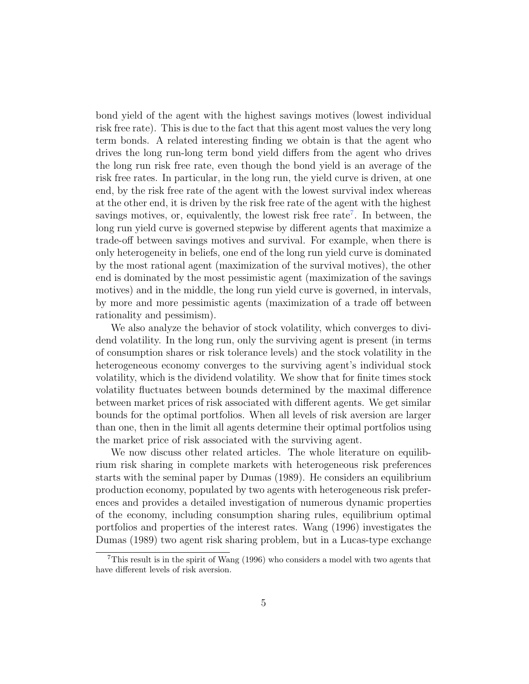bond yield of the agent with the highest savings motives (lowest individual risk free rate). This is due to the fact that this agent most values the very long term bonds. A related interesting finding we obtain is that the agent who drives the long run-long term bond yield differs from the agent who drives the long run risk free rate, even though the bond yield is an average of the risk free rates. In particular, in the long run, the yield curve is driven, at one end, by the risk free rate of the agent with the lowest survival index whereas at the other end, it is driven by the risk free rate of the agent with the highest savings motives, or, equivalently, the lowest risk free rate<sup>7</sup>. In between, the long run yield curve is governed stepwise by different agents that maximize a trade-off between savings motives and survival. For example, when there is only heterogeneity in beliefs, one end of the long run yield curve is dominated by the most rational agent (maximization of the survival motives), the other end is dominated by the most pessimistic agent (maximization of the savings motives) and in the middle, the long run yield curve is governed, in intervals, by more and more pessimistic agents (maximization of a trade off between rationality and pessimism).

We also analyze the behavior of stock volatility, which converges to dividend volatility. In the long run, only the surviving agent is present (in terms of consumption shares or risk tolerance levels) and the stock volatility in the heterogeneous economy converges to the surviving agent's individual stock volatility, which is the dividend volatility. We show that for finite times stock volatility fluctuates between bounds determined by the maximal difference between market prices of risk associated with different agents. We get similar bounds for the optimal portfolios. When all levels of risk aversion are larger than one, then in the limit all agents determine their optimal portfolios using the market price of risk associated with the surviving agent.

We now discuss other related articles. The whole literature on equilibrium risk sharing in complete markets with heterogeneous risk preferences starts with the seminal paper by Dumas (1989). He considers an equilibrium production economy, populated by two agents with heterogeneous risk preferences and provides a detailed investigation of numerous dynamic properties of the economy, including consumption sharing rules, equilibrium optimal portfolios and properties of the interest rates. Wang (1996) investigates the Dumas (1989) two agent risk sharing problem, but in a Lucas-type exchange

 $7$ This result is in the spirit of Wang (1996) who considers a model with two agents that have different levels of risk aversion.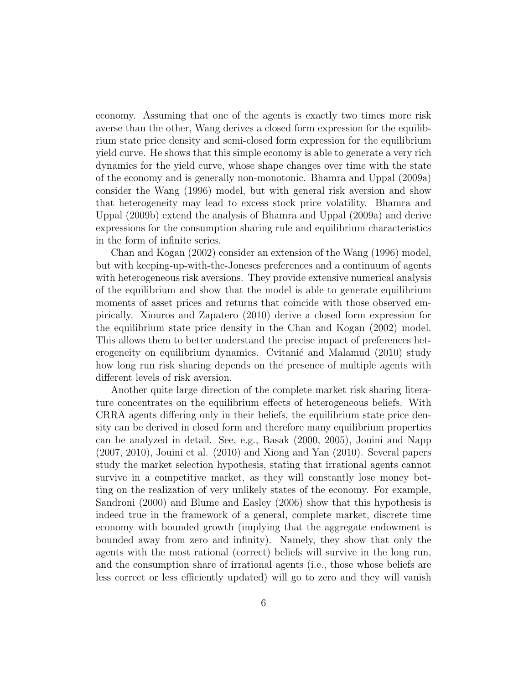economy. Assuming that one of the agents is exactly two times more risk averse than the other, Wang derives a closed form expression for the equilibrium state price density and semi-closed form expression for the equilibrium yield curve. He shows that this simple economy is able to generate a very rich dynamics for the yield curve, whose shape changes over time with the state of the economy and is generally non-monotonic. Bhamra and Uppal (2009a) consider the Wang (1996) model, but with general risk aversion and show that heterogeneity may lead to excess stock price volatility. Bhamra and Uppal (2009b) extend the analysis of Bhamra and Uppal (2009a) and derive expressions for the consumption sharing rule and equilibrium characteristics in the form of infinite series.

Chan and Kogan (2002) consider an extension of the Wang (1996) model, but with keeping-up-with-the-Joneses preferences and a continuum of agents with heterogeneous risk aversions. They provide extensive numerical analysis of the equilibrium and show that the model is able to generate equilibrium moments of asset prices and returns that coincide with those observed empirically. Xiouros and Zapatero (2010) derive a closed form expression for the equilibrium state price density in the Chan and Kogan (2002) model. This allows them to better understand the precise impact of preferences heterogeneity on equilibrium dynamics. Cvitanic and Malamud (2010) study how long run risk sharing depends on the presence of multiple agents with different levels of risk aversion.

Another quite large direction of the complete market risk sharing literature concentrates on the equilibrium effects of heterogeneous beliefs. With CRRA agents differing only in their beliefs, the equilibrium state price density can be derived in closed form and therefore many equilibrium properties can be analyzed in detail. See, e.g., Basak (2000, 2005), Jouini and Napp (2007, 2010), Jouini et al. (2010) and Xiong and Yan (2010). Several papers study the market selection hypothesis, stating that irrational agents cannot survive in a competitive market, as they will constantly lose money betting on the realization of very unlikely states of the economy. For example, Sandroni (2000) and Blume and Easley (2006) show that this hypothesis is indeed true in the framework of a general, complete market, discrete time economy with bounded growth (implying that the aggregate endowment is bounded away from zero and infinity). Namely, they show that only the agents with the most rational (correct) beliefs will survive in the long run, and the consumption share of irrational agents (i.e., those whose beliefs are less correct or less efficiently updated) will go to zero and they will vanish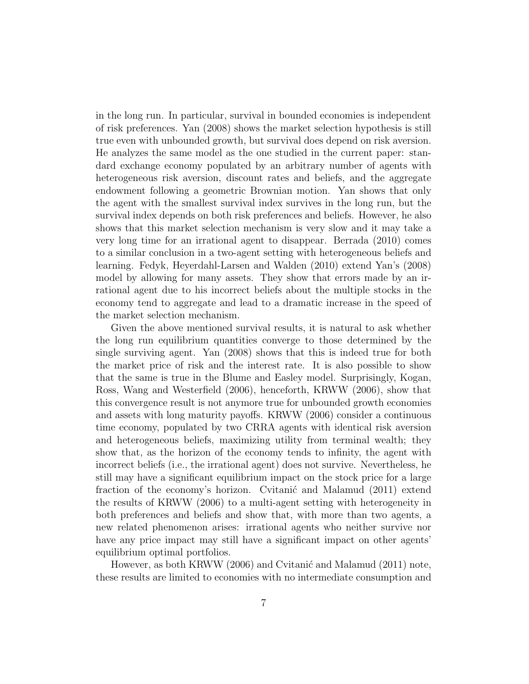in the long run. In particular, survival in bounded economies is independent of risk preferences. Yan (2008) shows the market selection hypothesis is still true even with unbounded growth, but survival does depend on risk aversion. He analyzes the same model as the one studied in the current paper: standard exchange economy populated by an arbitrary number of agents with heterogeneous risk aversion, discount rates and beliefs, and the aggregate endowment following a geometric Brownian motion. Yan shows that only the agent with the smallest survival index survives in the long run, but the survival index depends on both risk preferences and beliefs. However, he also shows that this market selection mechanism is very slow and it may take a very long time for an irrational agent to disappear. Berrada (2010) comes to a similar conclusion in a two-agent setting with heterogeneous beliefs and learning. Fedyk, Heyerdahl-Larsen and Walden (2010) extend Yan's (2008) model by allowing for many assets. They show that errors made by an irrational agent due to his incorrect beliefs about the multiple stocks in the economy tend to aggregate and lead to a dramatic increase in the speed of the market selection mechanism.

Given the above mentioned survival results, it is natural to ask whether the long run equilibrium quantities converge to those determined by the single surviving agent. Yan (2008) shows that this is indeed true for both the market price of risk and the interest rate. It is also possible to show that the same is true in the Blume and Easley model. Surprisingly, Kogan, Ross, Wang and Westerfield (2006), henceforth, KRWW (2006), show that this convergence result is not anymore true for unbounded growth economies and assets with long maturity payoffs. KRWW (2006) consider a continuous time economy, populated by two CRRA agents with identical risk aversion and heterogeneous beliefs, maximizing utility from terminal wealth; they show that, as the horizon of the economy tends to infinity, the agent with incorrect beliefs (i.e., the irrational agent) does not survive. Nevertheless, he still may have a significant equilibrium impact on the stock price for a large fraction of the economy's horizon. Cvitanic and Malamud (2011) extend the results of KRWW (2006) to a multi-agent setting with heterogeneity in both preferences and beliefs and show that, with more than two agents, a new related phenomenon arises: irrational agents who neither survive nor have any price impact may still have a significant impact on other agents' equilibrium optimal portfolios.

However, as both KRWW (2006) and Cvitanić and Malamud (2011) note, these results are limited to economies with no intermediate consumption and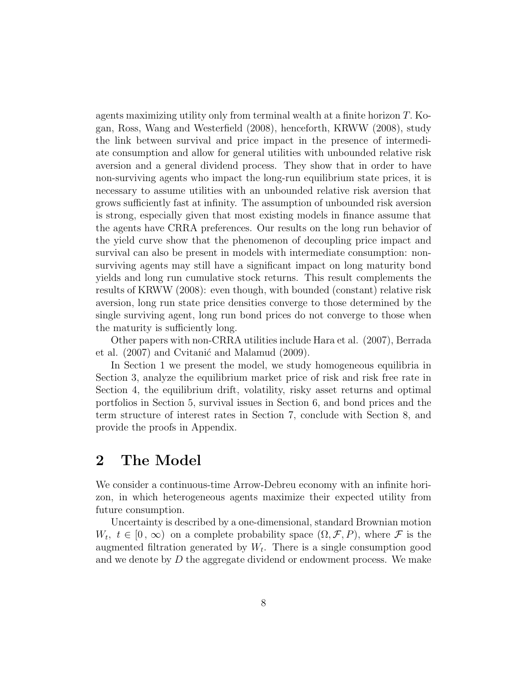agents maximizing utility only from terminal wealth at a finite horizon T. Kogan, Ross, Wang and Westerfield (2008), henceforth, KRWW (2008), study the link between survival and price impact in the presence of intermediate consumption and allow for general utilities with unbounded relative risk aversion and a general dividend process. They show that in order to have non-surviving agents who impact the long-run equilibrium state prices, it is necessary to assume utilities with an unbounded relative risk aversion that grows sufficiently fast at infinity. The assumption of unbounded risk aversion is strong, especially given that most existing models in finance assume that the agents have CRRA preferences. Our results on the long run behavior of the yield curve show that the phenomenon of decoupling price impact and survival can also be present in models with intermediate consumption: nonsurviving agents may still have a significant impact on long maturity bond yields and long run cumulative stock returns. This result complements the results of KRWW (2008): even though, with bounded (constant) relative risk aversion, long run state price densities converge to those determined by the single surviving agent, long run bond prices do not converge to those when the maturity is sufficiently long.

Other papers with non-CRRA utilities include Hara et al. (2007), Berrada et al.  $(2007)$  and Cvitanic and Malamud  $(2009)$ .

In Section 1 we present the model, we study homogeneous equilibria in Section 3, analyze the equilibrium market price of risk and risk free rate in Section 4, the equilibrium drift, volatility, risky asset returns and optimal portfolios in Section 5, survival issues in Section 6, and bond prices and the term structure of interest rates in Section 7, conclude with Section 8, and provide the proofs in Appendix.

## 2 The Model

We consider a continuous-time Arrow-Debreu economy with an infinite horizon, in which heterogeneous agents maximize their expected utility from future consumption.

Uncertainty is described by a one-dimensional, standard Brownian motion  $W_t, t \in [0, \infty)$  on a complete probability space  $(\Omega, \mathcal{F}, P)$ , where  $\mathcal F$  is the augmented filtration generated by  $W_t$ . There is a single consumption good and we denote by  $D$  the aggregate dividend or endowment process. We make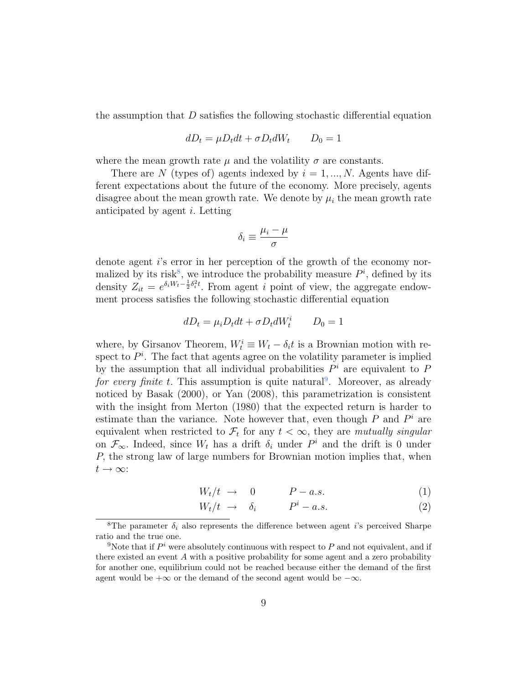the assumption that D satisfies the following stochastic differential equation

$$
dD_t = \mu D_t dt + \sigma D_t dW_t \qquad D_0 = 1
$$

where the mean growth rate  $\mu$  and the volatility  $\sigma$  are constants.

There are N (types of) agents indexed by  $i = 1, ..., N$ . Agents have different expectations about the future of the economy. More precisely, agents disagree about the mean growth rate. We denote by  $\mu_i$  the mean growth rate anticipated by agent i. Letting

$$
\delta_i \equiv \frac{\mu_i - \mu}{\sigma}
$$

denote agent i's error in her perception of the growth of the economy normalized by its risk<sup>8</sup>, we introduce the probability measure  $P<sup>i</sup>$ , defined by its density  $Z_{it} = e^{\delta_i W_t - \frac{1}{2}\delta_i^2 t}$ . From agent i point of view, the aggregate endowment process satisfies the following stochastic differential equation

$$
dD_t = \mu_i D_t dt + \sigma D_t dW_t^i \qquad D_0 = 1
$$

where, by Girsanov Theorem,  $W_t^i \equiv W_t - \delta_i t$  is a Brownian motion with respect to  $P^i$ . The fact that agents agree on the volatility parameter is implied by the assumption that all individual probabilities  $P<sup>i</sup>$  are equivalent to P for every finite t. This assumption is quite natural<sup>9</sup>. Moreover, as already noticed by Basak (2000), or Yan (2008), this parametrization is consistent with the insight from Merton (1980) that the expected return is harder to estimate than the variance. Note however that, even though  $P$  and  $P<sup>i</sup>$  are equivalent when restricted to  $\mathcal{F}_t$  for any  $t < \infty$ , they are mutually singular on  $\mathcal{F}_{\infty}$ . Indeed, since  $W_t$  has a drift  $\delta_i$  under  $P^i$  and the drift is 0 under P, the strong law of large numbers for Brownian motion implies that, when  $t\to\infty$ :

$$
W_t/t \to 0 \qquad P-a.s. \tag{1}
$$

$$
W_t/t \to \delta_i \qquad P^i - a.s. \tag{2}
$$

<sup>&</sup>lt;sup>8</sup>The parameter  $\delta_i$  also represents the difference between agent *i*'s perceived Sharpe ratio and the true one.

<sup>&</sup>lt;sup>9</sup>Note that if  $P^i$  were absolutely continuous with respect to P and not equivalent, and if there existed an event A with a positive probability for some agent and a zero probability for another one, equilibrium could not be reached because either the demand of the first agent would be  $+\infty$  or the demand of the second agent would be  $-\infty$ .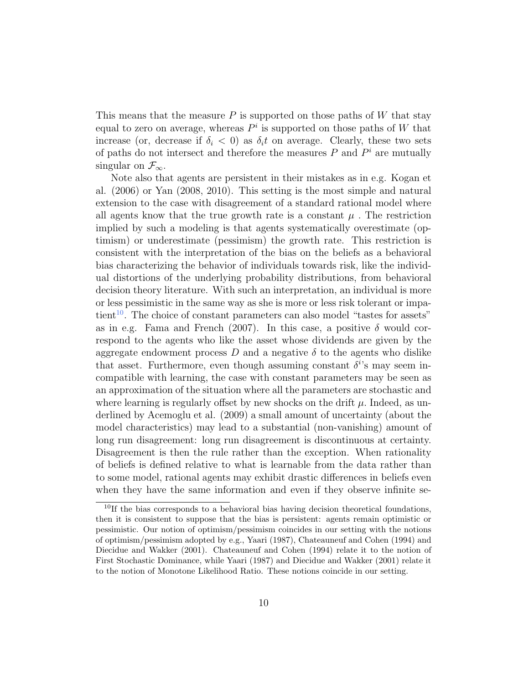This means that the measure  $P$  is supported on those paths of W that stay equal to zero on average, whereas  $P^i$  is supported on those paths of W that increase (or, decrease if  $\delta_i < 0$ ) as  $\delta_i t$  on average. Clearly, these two sets of paths do not intersect and therefore the measures  $P$  and  $P^i$  are mutually singular on  $\mathcal{F}_{\infty}$ .

Note also that agents are persistent in their mistakes as in e.g. Kogan et al. (2006) or Yan (2008, 2010). This setting is the most simple and natural extension to the case with disagreement of a standard rational model where all agents know that the true growth rate is a constant  $\mu$ . The restriction implied by such a modeling is that agents systematically overestimate (optimism) or underestimate (pessimism) the growth rate. This restriction is consistent with the interpretation of the bias on the beliefs as a behavioral bias characterizing the behavior of individuals towards risk, like the individual distortions of the underlying probability distributions, from behavioral decision theory literature. With such an interpretation, an individual is more or less pessimistic in the same way as she is more or less risk tolerant or impatient<sup>10</sup>. The choice of constant parameters can also model "tastes for assets" as in e.g. Fama and French (2007). In this case, a positive  $\delta$  would correspond to the agents who like the asset whose dividends are given by the aggregate endowment process D and a negative  $\delta$  to the agents who dislike that asset. Furthermore, even though assuming constant  $\delta^{i}$ 's may seem incompatible with learning, the case with constant parameters may be seen as an approximation of the situation where all the parameters are stochastic and where learning is regularly offset by new shocks on the drift  $\mu$ . Indeed, as underlined by Acemoglu et al. (2009) a small amount of uncertainty (about the model characteristics) may lead to a substantial (non-vanishing) amount of long run disagreement: long run disagreement is discontinuous at certainty. Disagreement is then the rule rather than the exception. When rationality of beliefs is defined relative to what is learnable from the data rather than to some model, rational agents may exhibit drastic differences in beliefs even when they have the same information and even if they observe infinite se-

 $10$ If the bias corresponds to a behavioral bias having decision theoretical foundations, then it is consistent to suppose that the bias is persistent: agents remain optimistic or pessimistic. Our notion of optimism/pessimism coincides in our setting with the notions of optimism/pessimism adopted by e.g., Yaari (1987), Chateauneuf and Cohen (1994) and Diecidue and Wakker (2001). Chateauneuf and Cohen (1994) relate it to the notion of First Stochastic Dominance, while Yaari (1987) and Diecidue and Wakker (2001) relate it to the notion of Monotone Likelihood Ratio. These notions coincide in our setting.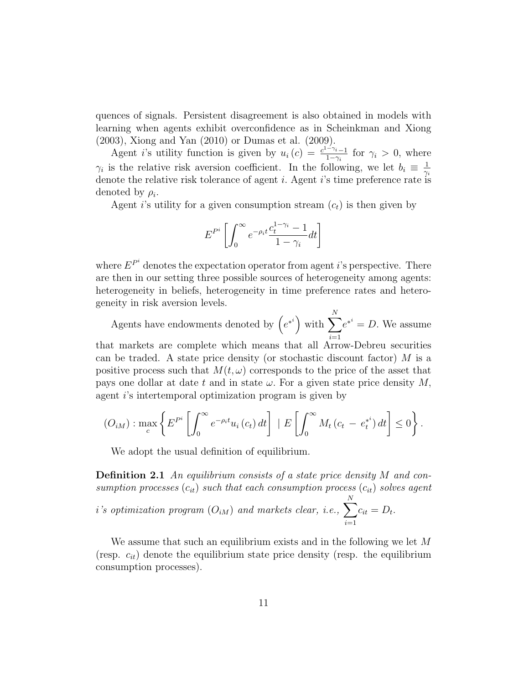quences of signals. Persistent disagreement is also obtained in models with learning when agents exhibit overconfidence as in Scheinkman and Xiong (2003), Xiong and Yan (2010) or Dumas et al. (2009).

Agent i's utility function is given by  $u_i(c) = \frac{c^{1-\gamma_i}-1}{1-\gamma_i}$  $\frac{1-\gamma_i-1}{1-\gamma_i}$  for  $\gamma_i > 0$ , where  $\gamma_i$  is the relative risk aversion coefficient. In the following, we let  $b_i \equiv \frac{1}{\gamma_i}$  $\gamma_i$ denote the relative risk tolerance of agent  $i$ . Agent  $i$ 's time preference rate is denoted by  $\rho_i$ .

Agent i's utility for a given consumption stream  $(c_t)$  is then given by

$$
E^{P^i} \left[ \int_0^\infty e^{-\rho_i t} \frac{c_t^{1-\gamma_i} - 1}{1 - \gamma_i} dt \right]
$$

where  $E^{P^i}$  denotes the expectation operator from agent *i*'s perspective. There are then in our setting three possible sources of heterogeneity among agents: heterogeneity in beliefs, heterogeneity in time preference rates and heterogeneity in risk aversion levels.

Agents have endowments denoted by  $(e^{*^i})$  with  $\sum$ N  $i=1$  $e^{*^i} = D$ . We assume that markets are complete which means that all Arrow-Debreu securities can be traded. A state price density (or stochastic discount factor)  $M$  is a positive process such that  $M(t, \omega)$  corresponds to the price of the asset that pays one dollar at date t and in state  $\omega$ . For a given state price density M, agent i's intertemporal optimization program is given by

$$
(O_{iM}): \max_{c} \left\{ E^{P^i} \left[ \int_0^\infty e^{-\rho_i t} u_i(c_t) dt \right] \mid E \left[ \int_0^\infty M_t (c_t - e_t^{*}) dt \right] \leq 0 \right\}.
$$

We adopt the usual definition of equilibrium.

**Definition 2.1** An equilibrium consists of a state price density M and consumption processes  $(c_{it})$  such that each consumption process  $(c_{it})$  solves agent

 $i$ 's optimization program  $(O_{iM})$  and markets clear, i.e.,  $\sum$ N  $i=1$  $c_{it} = D_t.$ 

We assume that such an equilibrium exists and in the following we let M (resp.  $c_{it}$ ) denote the equilibrium state price density (resp. the equilibrium consumption processes).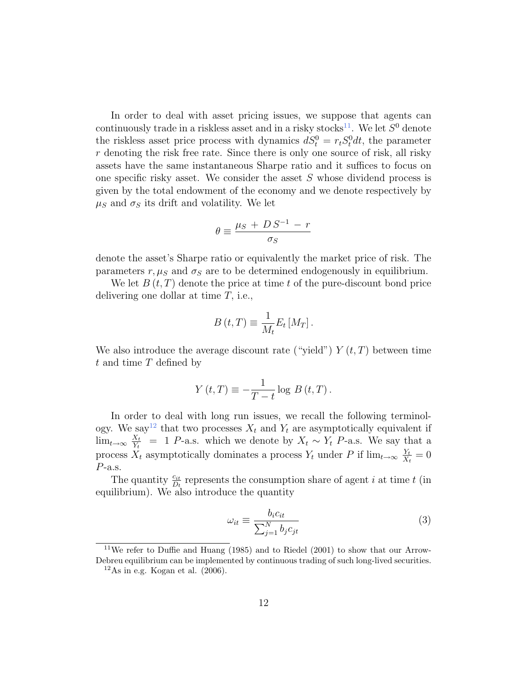In order to deal with asset pricing issues, we suppose that agents can continuously trade in a riskless asset and in a risky stocks<sup>11</sup>. We let  $S^0$  denote the riskless asset price process with dynamics  $dS_t^0 = r_t S_t^0 dt$ , the parameter  $r$  denoting the risk free rate. Since there is only one source of risk, all risky assets have the same instantaneous Sharpe ratio and it suffices to focus on one specific risky asset. We consider the asset  $S$  whose dividend process is given by the total endowment of the economy and we denote respectively by  $\mu_S$  and  $\sigma_S$  its drift and volatility. We let

$$
\theta \equiv \frac{\mu_S + D S^{-1} - r}{\sigma_S}
$$

denote the asset's Sharpe ratio or equivalently the market price of risk. The parameters r,  $\mu_S$  and  $\sigma_S$  are to be determined endogenously in equilibrium.

We let  $B(t, T)$  denote the price at time t of the pure-discount bond price delivering one dollar at time T, i.e.,

$$
B(t,T) \equiv \frac{1}{M_t} E_t [M_T].
$$

We also introduce the average discount rate ("yield")  $Y(t,T)$  between time  $t$  and time  $T$  defined by

$$
Y(t,T) \equiv -\frac{1}{T-t} \log B(t,T).
$$

In order to deal with long run issues, we recall the following terminology. We say<sup>12</sup> that two processes  $X_t$  and  $Y_t$  are asymptotically equivalent if  $\lim_{t\to\infty}\frac{X_t}{Y_t}$  $\frac{X_t}{Y_t}$  = 1 P-a.s. which we denote by  $X_t \sim Y_t$  P-a.s. We say that a process  $X_t$  asymptotically dominates a process  $Y_t$  under P if  $\lim_{t\to\infty} \frac{Y_t}{X_t}$  $\frac{Y_t}{X_t} = 0$  $P$ -a.s.

The quantity  $\frac{c_{it}}{D_t}$  represents the consumption share of agent i at time t (in equilibrium). We also introduce the quantity

$$
\omega_{it} \equiv \frac{b_i c_{it}}{\sum_{j=1}^{N} b_j c_{jt}} \tag{3}
$$

 $11$ We refer to Duffie and Huang (1985) and to Riedel (2001) to show that our Arrow-Debreu equilibrium can be implemented by continuous trading of such long-lived securities.

 $12As$  in e.g. Kogan et al. (2006).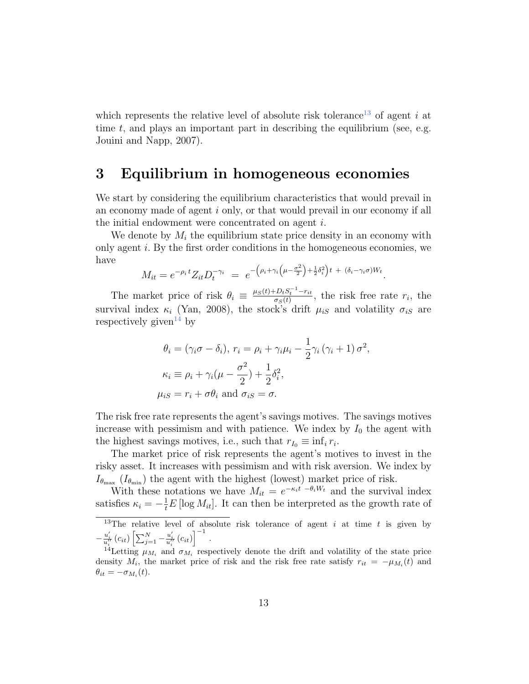which represents the relative level of absolute risk tolerance<sup>13</sup> of agent i at time  $t$ , and plays an important part in describing the equilibrium (see, e.g. Jouini and Napp, 2007).

## 3 Equilibrium in homogeneous economies

We start by considering the equilibrium characteristics that would prevail in an economy made of agent i only, or that would prevail in our economy if all the initial endowment were concentrated on agent i.

We denote by  $M_i$  the equilibrium state price density in an economy with only agent i. By the first order conditions in the homogeneous economies, we have

$$
M_{it} = e^{-\rho_i t} Z_{it} D_t^{-\gamma_i} = e^{-\left(\rho_i + \gamma_i \left(\mu - \frac{\sigma^2}{2}\right) + \frac{1}{2}\delta_i^2\right)t + (\delta_i - \gamma_i \sigma)W_t}.
$$

The market price of risk  $\theta_i \equiv \frac{\mu_S(t) + D_t S_t^{-1} - r_{it}}{\sigma_S(t)}$  $\frac{D_t S_t - r_{it}}{\sigma_S(t)}$ , the risk free rate  $r_i$ , the survival index  $\kappa_i$  (Yan, 2008), the stock's drift  $\mu_{iS}$  and volatility  $\sigma_{iS}$  are respectively given<sup>14</sup> by

$$
\theta_i = (\gamma_i \sigma - \delta_i), r_i = \rho_i + \gamma_i \mu_i - \frac{1}{2} \gamma_i (\gamma_i + 1) \sigma^2,
$$
  
\n
$$
\kappa_i \equiv \rho_i + \gamma_i (\mu - \frac{\sigma^2}{2}) + \frac{1}{2} \delta_i^2,
$$
  
\n
$$
\mu_{iS} = r_i + \sigma \theta_i \text{ and } \sigma_{iS} = \sigma.
$$

The risk free rate represents the agent's savings motives. The savings motives increase with pessimism and with patience. We index by  $I_0$  the agent with the highest savings motives, i.e., such that  $r_{I_0} \equiv \inf_i r_i$ .

The market price of risk represents the agent's motives to invest in the risky asset. It increases with pessimism and with risk aversion. We index by  $I_{\theta_{\text{max}}}$  ( $I_{\theta_{\text{min}}}$ ) the agent with the highest (lowest) market price of risk.

With these notations we have  $M_{it} = e^{-\kappa_i t} \frac{-\theta_i W_t}{\theta_i}$  and the survival index satisfies  $\kappa_i = -\frac{1}{t}E[\log M_{it}]$ . It can then be interpreted as the growth rate of

<sup>&</sup>lt;sup>13</sup>The relative level of absolute risk tolerance of agent i at time t is given by  $-\frac{u_i'}{u_i''}\left(c_{it}\right)\left[\sum_{j=1}^N-\frac{u_i'}{u_i''}\left(c_{it}\right)\right]^{-1}.$ 

<sup>&</sup>lt;sup>14</sup>Letting  $\mu_{M_i}$  and  $\sigma_{M_i}$  respectively denote the drift and volatility of the state price density  $M_i$ , the market price of risk and the risk free rate satisfy  $r_{it} = -\mu_{M_i}(t)$  and  $\theta_{it} = -\sigma_{M_i}(t).$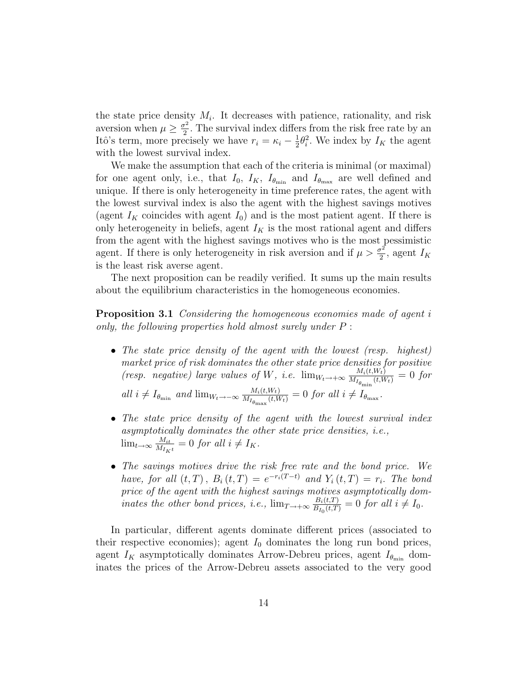the state price density  $M_i$ . It decreases with patience, rationality, and risk aversion when  $\mu \geq \frac{\sigma^2}{2}$  $\frac{\pi^2}{2}$ . The survival index differs from the risk free rate by an Itô's term, more precisely we have  $r_i = \kappa_i - \frac{1}{2}$  $\frac{1}{2}\theta_i^2$ . We index by  $I_K$  the agent with the lowest survival index.

We make the assumption that each of the criteria is minimal (or maximal) for one agent only, i.e., that  $I_0$ ,  $I_K$ ,  $I_{\theta_{\min}}$  and  $I_{\theta_{\max}}$  are well defined and unique. If there is only heterogeneity in time preference rates, the agent with the lowest survival index is also the agent with the highest savings motives (agent  $I_K$  coincides with agent  $I_0$ ) and is the most patient agent. If there is only heterogeneity in beliefs, agent  $I_K$  is the most rational agent and differs from the agent with the highest savings motives who is the most pessimistic agent. If there is only heterogeneity in risk aversion and if  $\mu > \frac{\sigma^2}{2}$  $\frac{\tau^2}{2}$ , agent  $I_K$ is the least risk averse agent.

The next proposition can be readily verified. It sums up the main results about the equilibrium characteristics in the homogeneous economies.

**Proposition 3.1** Considering the homogeneous economies made of agent i only, the following properties hold almost surely under P :

- The state price density of the agent with the lowest (resp. highest) market price of risk dominates the other state price densities for positive (resp. negative) large values of W, i.e.  $\lim_{W_t \to +\infty} \frac{M_i(t,W_t)}{M_{I_s}}$  $\frac{M_i(t,W_t)}{M_{I_{\theta_{\min}}}(t,W_t)}=0$  for all i ≠ I<sub> $\theta_{\min}$ </sub> and lim<sub>Wt→−∞</sub>  $\frac{M_i(t,W_t)}{M_{I_0}}$  (t,M  $\frac{M_i(t,W_t)}{M_{I_{\theta_{\text{max}}}}(t,W_t)} = 0$  for all  $i \neq I_{\theta_{\text{max}}}.$
- The state price density of the agent with the lowest survival index asymptotically dominates the other state price densities, i.e.,  $\lim_{t\to\infty}\frac{M_{it}}{M_{I}}$  $\frac{M_{it}}{M_{I_Kt}} = 0$  for all  $i \neq I_K$ .
- The savings motives drive the risk free rate and the bond price. We have, for all  $(t, T)$ ,  $B_i(t, T) = e^{-r_i(T-t)}$  and  $Y_i(t, T) = r_i$ . The bond price of the agent with the highest savings motives asymptotically dominates the other bond prices, i.e.,  $\lim_{T \to +\infty} \frac{B_i(t,T)}{B_{L_i}(t,T)}$  $\frac{B_i(t,T)}{B_{I_0}(t,T)}=0$  for all  $i \neq I_0$ .

In particular, different agents dominate different prices (associated to their respective economies); agent  $I_0$  dominates the long run bond prices, agent  $I_K$  asymptotically dominates Arrow-Debreu prices, agent  $I_{\theta_{\min}}$  dominates the prices of the Arrow-Debreu assets associated to the very good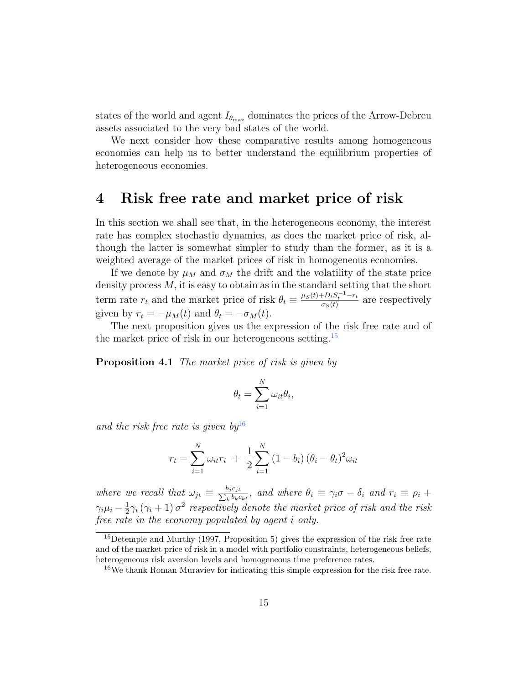states of the world and agent  $I_{\theta_{\text{max}}}$  dominates the prices of the Arrow-Debreu assets associated to the very bad states of the world.

We next consider how these comparative results among homogeneous economies can help us to better understand the equilibrium properties of heterogeneous economies.

### 4 Risk free rate and market price of risk

In this section we shall see that, in the heterogeneous economy, the interest rate has complex stochastic dynamics, as does the market price of risk, although the latter is somewhat simpler to study than the former, as it is a weighted average of the market prices of risk in homogeneous economies.

If we denote by  $\mu_M$  and  $\sigma_M$  the drift and the volatility of the state price density process  $M$ , it is easy to obtain as in the standard setting that the short term rate  $r_t$  and the market price of risk  $\theta_t \equiv \frac{\mu_S(t) + D_t S_t^{-1} - r_t}{\sigma_S(t)}$  $rac{t-D_tS_t - r_t}{\sigma_S(t)}$  are respectively given by  $r_t = -\mu_M(t)$  and  $\theta_t = -\sigma_M(t)$ .

The next proposition gives us the expression of the risk free rate and of the market price of risk in our heterogeneous setting.<sup>15</sup>

**Proposition 4.1** The market price of risk is given by

$$
\theta_t = \sum_{i=1}^N \omega_{it} \theta_i,
$$

and the risk free rate is given  $bv^{16}$ 

$$
r_{t} = \sum_{i=1}^{N} \omega_{it} r_{i} + \frac{1}{2} \sum_{i=1}^{N} (1 - b_{i}) (\theta_{i} - \theta_{t})^{2} \omega_{it}
$$

where we recall that  $\omega_{jt} \equiv \frac{b_j c_{jt}}{\sum_k b_k c_k}$  $\frac{\rho_j c_{jt}}{k \, b_k c_{kt}}$ , and where  $\theta_i \equiv \gamma_i \sigma - \delta_i$  and  $r_i \equiv \rho_i + \sigma_i$  $\gamma_i\mu_i-\frac{1}{2}$  $\frac{1}{2}\gamma_i(\gamma_i+1)\,\sigma^2$  respectively denote the market price of risk and the risk free rate in the economy populated by agent i only.

<sup>&</sup>lt;sup>15</sup>Detemple and Murthy (1997, Proposition 5) gives the expression of the risk free rate and of the market price of risk in a model with portfolio constraints, heterogeneous beliefs, heterogeneous risk aversion levels and homogeneous time preference rates.

<sup>16</sup>We thank Roman Muraviev for indicating this simple expression for the risk free rate.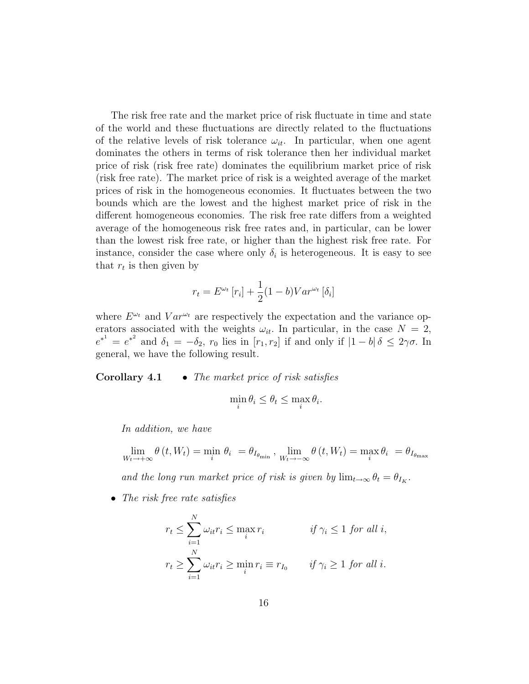The risk free rate and the market price of risk fluctuate in time and state of the world and these fluctuations are directly related to the fluctuations of the relative levels of risk tolerance  $\omega_{it}$ . In particular, when one agent dominates the others in terms of risk tolerance then her individual market price of risk (risk free rate) dominates the equilibrium market price of risk (risk free rate). The market price of risk is a weighted average of the market prices of risk in the homogeneous economies. It fluctuates between the two bounds which are the lowest and the highest market price of risk in the different homogeneous economies. The risk free rate differs from a weighted average of the homogeneous risk free rates and, in particular, can be lower than the lowest risk free rate, or higher than the highest risk free rate. For instance, consider the case where only  $\delta_i$  is heterogeneous. It is easy to see that  $r_t$  is then given by

$$
r_t = E^{\omega_t} [r_i] + \frac{1}{2} (1 - b) Var^{\omega_t} [\delta_i]
$$

where  $E^{\omega_t}$  and  $Var^{\omega_t}$  are respectively the expectation and the variance operators associated with the weights  $\omega_{it}$ . In particular, in the case  $N = 2$ ,  $e^{*^1} = e^{*^2}$  and  $\delta_1 = -\delta_2$ ,  $r_0$  lies in  $[r_1, r_2]$  if and only if  $|1 - b| \delta \leq 2\gamma\sigma$ . In general, we have the following result.

**Corollary 4.1** • The market price of risk satisfies

$$
\min_i \theta_i \le \theta_t \le \max_i \theta_i.
$$

In addition, we have

$$
\lim_{W_t \to +\infty} \theta(t, W_t) = \min_i \theta_i = \theta_{I_{\theta_{\min}}}, \lim_{W_t \to -\infty} \theta(t, W_t) = \max_i \theta_i = \theta_{I_{\theta_{\max}}}
$$

and the long run market price of risk is given by  $\lim_{t\to\infty} \theta_t = \theta_{I_K}$ .

• The risk free rate satisfies

$$
r_t \le \sum_{i=1}^N \omega_{it} r_i \le \max_i r_i \qquad \text{if } \gamma_i \le 1 \text{ for all } i,
$$
  

$$
r_t \ge \sum_{i=1}^N \omega_{it} r_i \ge \min_i r_i \equiv r_{I_0} \qquad \text{if } \gamma_i \ge 1 \text{ for all } i.
$$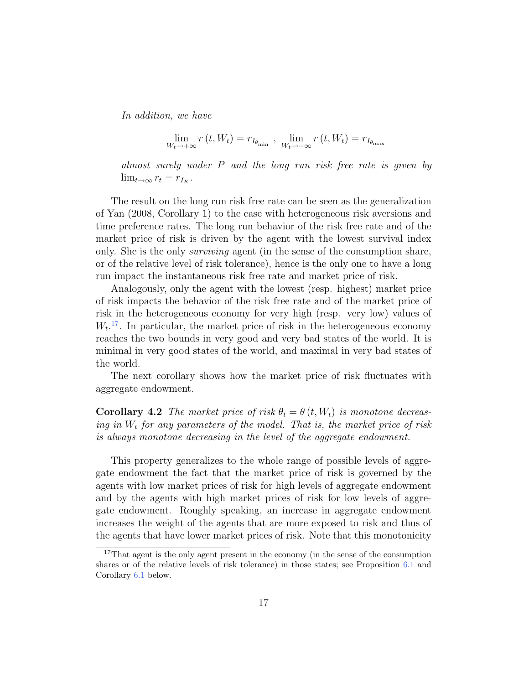In addition, we have

$$
\lim_{W_t \to +\infty} r(t, W_t) = r_{I_{\theta_{\min}}}, \lim_{W_t \to -\infty} r(t, W_t) = r_{I_{\theta_{\max}}}
$$

almost surely under P and the long run risk free rate is given by  $\lim_{t\to\infty} r_t = r_{I_K}.$ 

The result on the long run risk free rate can be seen as the generalization of Yan (2008, Corollary 1) to the case with heterogeneous risk aversions and time preference rates. The long run behavior of the risk free rate and of the market price of risk is driven by the agent with the lowest survival index only. She is the only surviving agent (in the sense of the consumption share, or of the relative level of risk tolerance), hence is the only one to have a long run impact the instantaneous risk free rate and market price of risk.

Analogously, only the agent with the lowest (resp. highest) market price of risk impacts the behavior of the risk free rate and of the market price of risk in the heterogeneous economy for very high (resp. very low) values of  $W_t$ <sup>17</sup>. In particular, the market price of risk in the heterogeneous economy reaches the two bounds in very good and very bad states of the world. It is minimal in very good states of the world, and maximal in very bad states of the world.

The next corollary shows how the market price of risk fluctuates with aggregate endowment.

**Corollary 4.2** The market price of risk  $\theta_t = \theta(t, W_t)$  is monotone decreasing in  $W_t$  for any parameters of the model. That is, the market price of risk is always monotone decreasing in the level of the aggregate endowment.

This property generalizes to the whole range of possible levels of aggregate endowment the fact that the market price of risk is governed by the agents with low market prices of risk for high levels of aggregate endowment and by the agents with high market prices of risk for low levels of aggregate endowment. Roughly speaking, an increase in aggregate endowment increases the weight of the agents that are more exposed to risk and thus of the agents that have lower market prices of risk. Note that this monotonicity

<sup>&</sup>lt;sup>17</sup>That agent is the only agent present in the economy (in the sense of the consumption shares or of the relative levels of risk tolerance) in those states; see Proposition 6.1 and Corollary 6.1 below.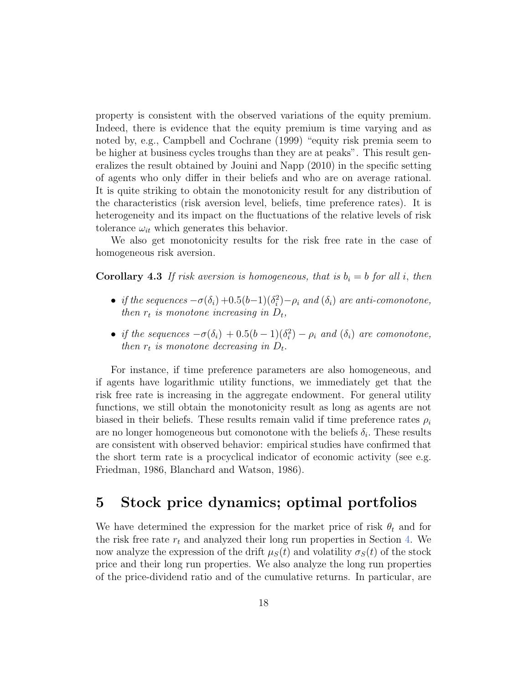property is consistent with the observed variations of the equity premium. Indeed, there is evidence that the equity premium is time varying and as noted by, e.g., Campbell and Cochrane (1999) "equity risk premia seem to be higher at business cycles troughs than they are at peaks". This result generalizes the result obtained by Jouini and Napp (2010) in the specific setting of agents who only differ in their beliefs and who are on average rational. It is quite striking to obtain the monotonicity result for any distribution of the characteristics (risk aversion level, beliefs, time preference rates). It is heterogeneity and its impact on the fluctuations of the relative levels of risk tolerance  $\omega_{it}$  which generates this behavior.

We also get monotonicity results for the risk free rate in the case of homogeneous risk aversion.

**Corollary 4.3** If risk aversion is homogeneous, that is  $b_i = b$  for all i, then

- if the sequences  $-\sigma(\delta_i) + 0.5(b-1)(\delta_i^2) \rho_i$  and  $(\delta_i)$  are anti-comonotone, then  $r_t$  is monotone increasing in  $D_t$ ,
- if the sequences  $-\sigma(\delta_i) + 0.5(b-1)(\delta_i^2) \rho_i$  and  $(\delta_i)$  are comonotone, then  $r_t$  is monotone decreasing in  $D_t$ .

For instance, if time preference parameters are also homogeneous, and if agents have logarithmic utility functions, we immediately get that the risk free rate is increasing in the aggregate endowment. For general utility functions, we still obtain the monotonicity result as long as agents are not biased in their beliefs. These results remain valid if time preference rates  $\rho_i$ are no longer homogeneous but comonotone with the beliefs  $\delta_i$ . These results are consistent with observed behavior: empirical studies have confirmed that the short term rate is a procyclical indicator of economic activity (see e.g. Friedman, 1986, Blanchard and Watson, 1986).

## 5 Stock price dynamics; optimal portfolios

We have determined the expression for the market price of risk  $\theta_t$  and for the risk free rate  $r_t$  and analyzed their long run properties in Section 4. We now analyze the expression of the drift  $\mu_S(t)$  and volatility  $\sigma_S(t)$  of the stock price and their long run properties. We also analyze the long run properties of the price-dividend ratio and of the cumulative returns. In particular, are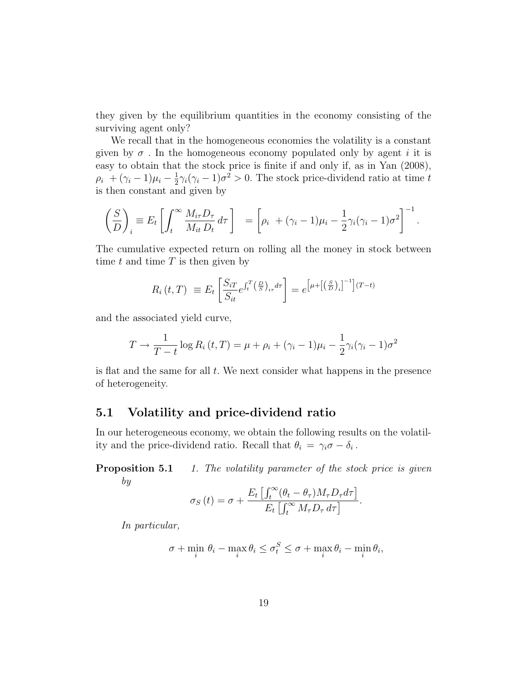they given by the equilibrium quantities in the economy consisting of the surviving agent only?

We recall that in the homogeneous economies the volatility is a constant given by  $\sigma$ . In the homogeneous economy populated only by agent i it is easy to obtain that the stock price is finite if and only if, as in Yan (2008),  $\rho_i + (\gamma_i - 1)\mu_i - \frac{1}{2}$  $\frac{1}{2}\gamma_i(\gamma_i-1)\sigma^2>0$ . The stock price-dividend ratio at time t is then constant and given by

$$
\left(\frac{S}{D}\right)_i \equiv E_t \left[ \int_t^\infty \frac{M_{i\tau} D_\tau}{M_{i\tau} D_t} d\tau \right] = \left[ \rho_i + (\gamma_i - 1)\mu_i - \frac{1}{2} \gamma_i (\gamma_i - 1) \sigma^2 \right]^{-1}.
$$

The cumulative expected return on rolling all the money in stock between time  $t$  and time  $T$  is then given by

$$
R_i(t,T) \equiv E_t \left[ \frac{S_{iT}}{S_{it}} e^{\int_t^T \left(\frac{D}{S}\right)_{i\tau} d\tau} \right] = e^{\left[\mu + \left[\left(\frac{S}{D}\right)_i\right]^{-1}\right](T-t)}
$$

and the associated yield curve,

$$
T \to \frac{1}{T-t} \log R_i(t, T) = \mu + \rho_i + (\gamma_i - 1)\mu_i - \frac{1}{2}\gamma_i(\gamma_i - 1)\sigma^2
$$

is flat and the same for all  $t$ . We next consider what happens in the presence of heterogeneity.

### 5.1 Volatility and price-dividend ratio

In our heterogeneous economy, we obtain the following results on the volatility and the price-dividend ratio. Recall that  $\theta_i = \gamma_i \sigma - \delta_i$ .

**Proposition 5.1** 1. The volatility parameter of the stock price is given by

$$
\sigma_S(t) = \sigma + \frac{E_t \left[ \int_t^{\infty} (\theta_t - \theta_\tau) M_\tau D_\tau d\tau \right]}{E_t \left[ \int_t^{\infty} M_\tau D_\tau d\tau \right]}.
$$

In particular,

$$
\sigma + \min_{i} \theta_i - \max_{i} \theta_i \le \sigma_t^S \le \sigma + \max_{i} \theta_i - \min_{i} \theta_i,
$$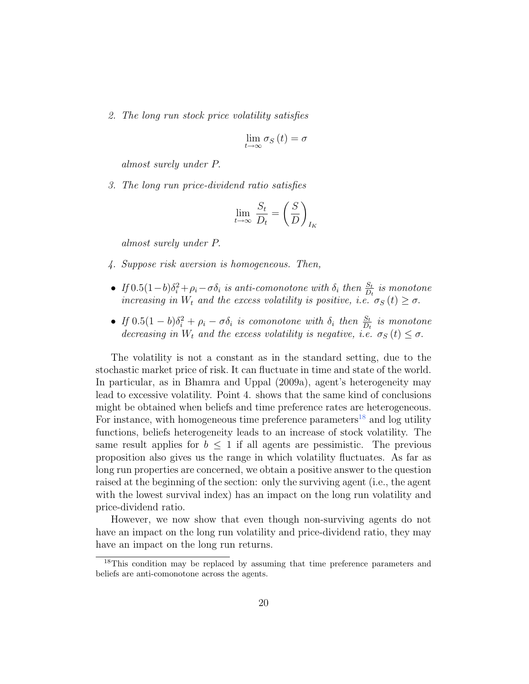2. The long run stock price volatility satisfies

$$
\lim_{t \to \infty} \sigma_S(t) = \sigma
$$

almost surely under P.

3. The long run price-dividend ratio satisfies

$$
\lim_{t \to \infty} \frac{S_t}{D_t} = \left(\frac{S}{D}\right)_{I_K}
$$

almost surely under P.

- 4. Suppose risk aversion is homogeneous. Then,
- If  $0.5(1-b)\delta_i^2 + \rho_i \sigma \delta_i$  is anti-comonotone with  $\delta_i$  then  $\frac{S_t}{D_t}$  is monotone increasing in  $W_t$  and the excess volatility is positive, i.e.  $\sigma_S(t) \ge \sigma$ .
- If  $0.5(1-b)\delta_i^2 + \rho_i \sigma \delta_i$  is comonotone with  $\delta_i$  then  $\frac{S_t}{D_t}$  is monotone decreasing in  $W_t$  and the excess volatility is negative, i.e.  $\sigma_S(t) \leq \sigma$ .

The volatility is not a constant as in the standard setting, due to the stochastic market price of risk. It can fluctuate in time and state of the world. In particular, as in Bhamra and Uppal (2009a), agent's heterogeneity may lead to excessive volatility. Point 4. shows that the same kind of conclusions might be obtained when beliefs and time preference rates are heterogeneous. For instance, with homogeneous time preference parameters<sup>18</sup> and log utility functions, beliefs heterogeneity leads to an increase of stock volatility. The same result applies for  $b \leq 1$  if all agents are pessimistic. The previous proposition also gives us the range in which volatility fluctuates. As far as long run properties are concerned, we obtain a positive answer to the question raised at the beginning of the section: only the surviving agent (i.e., the agent with the lowest survival index) has an impact on the long run volatility and price-dividend ratio.

However, we now show that even though non-surviving agents do not have an impact on the long run volatility and price-dividend ratio, they may have an impact on the long run returns.

<sup>18</sup>This condition may be replaced by assuming that time preference parameters and beliefs are anti-comonotone across the agents.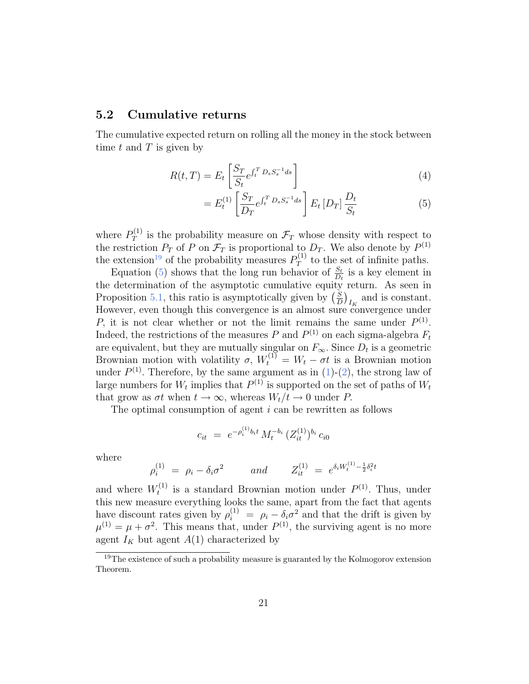### 5.2 Cumulative returns

The cumulative expected return on rolling all the money in the stock between time  $t$  and  $T$  is given by

$$
R(t,T) = E_t \left[ \frac{S_T}{S_t} e^{\int_t^T D_s S_s^{-1} ds} \right]
$$
\n(4)

$$
= E_t^{(1)} \left[ \frac{S_T}{D_T} e^{\int_t^T D_s S_s^{-1} ds} \right] E_t [D_T] \frac{D_t}{S_t}
$$
 (5)

where  $P_T^{(1)}$  $T<sup>(1)</sup>$  is the probability measure on  $\mathcal{F}_T$  whose density with respect to the restriction  $P_T$  of P on  $\mathcal{F}_T$  is proportional to  $D_T$ . We also denote by  $P^{(1)}$ the extension<sup>19</sup> of the probability measures  $P_T^{(1)}$  $T^{(1)}$  to the set of infinite paths.

Equation (5) shows that the long run behavior of  $\frac{S_t}{D_t}$  is a key element in the determination of the asymptotic cumulative equity return. As seen in Proposition 5.1, this ratio is asymptotically given by  $\left(\frac{S}{D}\right)$  $\left(\frac{S}{D}\right)_{I_K}$  and is constant. However, even though this convergence is an almost sure convergence under P, it is not clear whether or not the limit remains the same under  $P^{(1)}$ . Indeed, the restrictions of the measures P and  $P^{(1)}$  on each sigma-algebra  $F_t$ are equivalent, but they are mutually singular on  $F_{\infty}$ . Since  $D_t$  is a geometric Brownian motion with volatility  $\sigma$ ,  $W_t^{(1)} = W_t - \sigma t$  is a Brownian motion under  $P^{(1)}$ . Therefore, by the same argument as in  $(1)-(2)$ , the strong law of large numbers for  $W_t$  implies that  $P^{(1)}$  is supported on the set of paths of  $W_t$ that grow as  $\sigma t$  when  $t \to \infty$ , whereas  $W_t/t \to 0$  under P.

The optimal consumption of agent  $i$  can be rewritten as follows

$$
c_{it} = e^{-\rho_i^{(1)} b_i t} M_t^{-b_i} (Z_{it}^{(1)})^{b_i} c_{i0}
$$

where

$$
\rho_i^{(1)} = \rho_i - \delta_i \sigma^2 \qquad \text{and} \qquad Z_{it}^{(1)} = e^{\delta_i W_t^{(1)} - \frac{1}{2} \delta_i^2 t}
$$

and where  $W_t^{(1)}$  $t_t^{(1)}$  is a standard Brownian motion under  $P^{(1)}$ . Thus, under this new measure everything looks the same, apart from the fact that agents have discount rates given by  $\rho_i^{(1)} = \rho_i - \delta_i \sigma^2$  and that the drift is given by  $\mu^{(1)} = \mu + \sigma^2$ . This means that, under  $P^{(1)}$ , the surviving agent is no more agent  $I_K$  but agent  $A(1)$  characterized by

<sup>&</sup>lt;sup>19</sup>The existence of such a probability measure is guaranted by the Kolmogorov extension Theorem.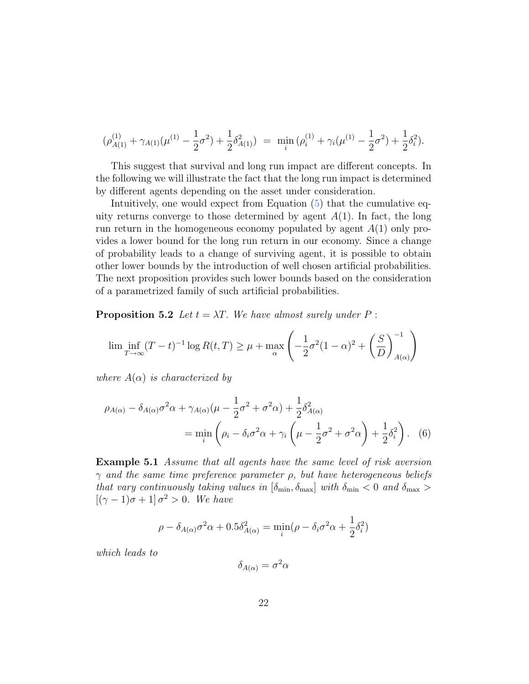$$
(\rho_{A(1)}^{(1)} + \gamma_{A(1)}(\mu^{(1)} - \frac{1}{2}\sigma^2) + \frac{1}{2}\delta_{A(1)}^2) = \min_i (\rho_i^{(1)} + \gamma_i(\mu^{(1)} - \frac{1}{2}\sigma^2) + \frac{1}{2}\delta_i^2).
$$

This suggest that survival and long run impact are different concepts. In the following we will illustrate the fact that the long run impact is determined by different agents depending on the asset under consideration.

Intuitively, one would expect from Equation (5) that the cumulative equity returns converge to those determined by agent  $A(1)$ . In fact, the long run return in the homogeneous economy populated by agent  $A(1)$  only provides a lower bound for the long run return in our economy. Since a change of probability leads to a change of surviving agent, it is possible to obtain other lower bounds by the introduction of well chosen artificial probabilities. The next proposition provides such lower bounds based on the consideration of a parametrized family of such artificial probabilities.

**Proposition 5.2** Let  $t = \lambda T$ . We have almost surely under P:

$$
\liminf_{T \to \infty} (T - t)^{-1} \log R(t, T) \ge \mu + \max_{\alpha} \left( -\frac{1}{2} \sigma^2 (1 - \alpha)^2 + \left( \frac{S}{D} \right)_{A(\alpha)}^{-1} \right)
$$

where  $A(\alpha)$  is characterized by

$$
\rho_{A(\alpha)} - \delta_{A(\alpha)}\sigma^2 \alpha + \gamma_{A(\alpha)}(\mu - \frac{1}{2}\sigma^2 + \sigma^2 \alpha) + \frac{1}{2}\delta_{A(\alpha)}^2
$$
  
= 
$$
\min_i \left( \rho_i - \delta_i \sigma^2 \alpha + \gamma_i \left( \mu - \frac{1}{2}\sigma^2 + \sigma^2 \alpha \right) + \frac{1}{2}\delta_i^2 \right). \quad (6)
$$

Example 5.1 Assume that all agents have the same level of risk aversion  $\gamma$  and the same time preference parameter  $\rho$ , but have heterogeneous beliefs that vary continuously taking values in  $[\delta_{\min}, \delta_{\max}]$  with  $\delta_{\min}$  < 0 and  $\delta_{\max}$  >  $[(\gamma - 1)\sigma + 1] \sigma^2 > 0$ . We have

$$
\rho - \delta_{A(\alpha)}\sigma^2 \alpha + 0.5\delta_{A(\alpha)}^2 = \min_i(\rho - \delta_i \sigma^2 \alpha + \frac{1}{2}\delta_i^2)
$$

which leads to

$$
\delta_{A(\alpha)} = \sigma^2 \alpha
$$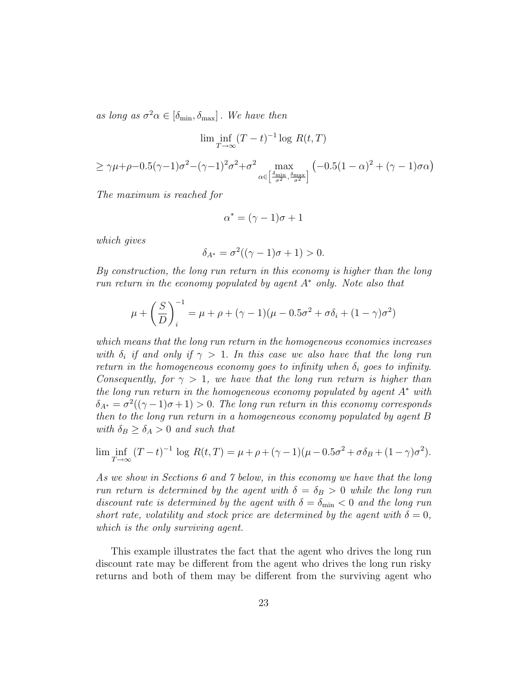as long as  $\sigma^2 \alpha \in [\delta_{\min}, \delta_{\max}]$ . We have then

$$
\liminf_{T \to \infty} (T - t)^{-1} \log R(t, T)
$$

$$
\geq \gamma \mu + \rho - 0.5(\gamma - 1)\sigma^2 - (\gamma - 1)^2 \sigma^2 + \sigma^2 \max_{\alpha \in \left[\frac{\delta_{\min}}{\sigma^2}, \frac{\delta_{\max}}{\sigma^2}\right]} \left(-0.5(1 - \alpha)^2 + (\gamma - 1)\sigma\alpha\right)
$$

The maximum is reached for

$$
\alpha^* = (\gamma - 1)\sigma + 1
$$

which gives

$$
\delta_{A^*} = \sigma^2((\gamma - 1)\sigma + 1) > 0.
$$

By construction, the long run return in this economy is higher than the long run return in the economy populated by agent  $A^*$  only. Note also that

$$
\mu + \left(\frac{S}{D}\right)_i^{-1} = \mu + \rho + (\gamma - 1)(\mu - 0.5\sigma^2 + \sigma\delta_i + (1 - \gamma)\sigma^2)
$$

which means that the long run return in the homogeneous economies increases with  $\delta_i$  if and only if  $\gamma > 1$ . In this case we also have that the long run return in the homogeneous economy goes to infinity when  $\delta_i$  goes to infinity. Consequently, for  $\gamma > 1$ , we have that the long run return is higher than the long run return in the homogeneous economy populated by agent  $A^*$  with  $\delta_{A^*} = \sigma^2((\gamma - 1)\sigma + 1) > 0$ . The long run return in this economy corresponds then to the long run return in a homogeneous economy populated by agent B with  $\delta_B \geq \delta_A > 0$  and such that

$$
\liminf_{T \to \infty} (T - t)^{-1} \log R(t, T) = \mu + \rho + (\gamma - 1)(\mu - 0.5\sigma^2 + \sigma \delta_B + (1 - \gamma)\sigma^2).
$$

As we show in Sections 6 and 7 below, in this economy we have that the long run return is determined by the agent with  $\delta = \delta_B > 0$  while the long run discount rate is determined by the agent with  $\delta = \delta_{\min} < 0$  and the long run short rate, volatility and stock price are determined by the agent with  $\delta = 0$ , which is the only surviving agent.

This example illustrates the fact that the agent who drives the long run discount rate may be different from the agent who drives the long run risky returns and both of them may be different from the surviving agent who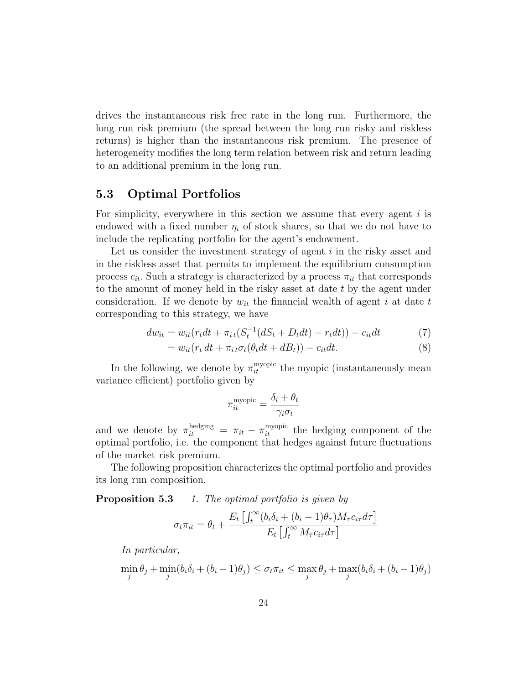drives the instantaneous risk free rate in the long run. Furthermore, the long run risk premium (the spread between the long run risky and riskless returns) is higher than the instantaneous risk premium. The presence of heterogeneity modifies the long term relation between risk and return leading to an additional premium in the long run.

### 5.3 Optimal Portfolios

For simplicity, everywhere in this section we assume that every agent  $i$  is endowed with a fixed number  $\eta_i$  of stock shares, so that we do not have to include the replicating portfolio for the agent's endowment.

Let us consider the investment strategy of agent  $i$  in the risky asset and in the riskless asset that permits to implement the equilibrium consumption process  $c_{it}$ . Such a strategy is characterized by a process  $\pi_{it}$  that corresponds to the amount of money held in the risky asset at date t by the agent under consideration. If we denote by  $w_{it}$  the financial wealth of agent i at date t corresponding to this strategy, we have

$$
dw_{it} = w_{it}(r_t dt + \pi_{it}(S_t^{-1}(dS_t + D_t dt) - r_t dt)) - c_{it} dt
$$
\n(7)

$$
= w_{it}(r_t dt + \pi_{it}\sigma_t(\theta_t dt + dB_t)) - c_{it}dt.
$$
\n(8)

In the following, we denote by  $\pi_{it}^{\text{myopic}}$  the myopic (instantaneously mean variance efficient) portfolio given by

$$
\pi_{it}^{\text{myopic}} = \frac{\delta_i + \theta_t}{\gamma_i \sigma_t}
$$

and we denote by  $\pi_{it}^{\text{hedging}} = \pi_{it} - \pi_{it}^{\text{myopic}}$  the hedging component of the optimal portfolio, i.e. the component that hedges against future fluctuations of the market risk premium.

The following proposition characterizes the optimal portfolio and provides its long run composition.

**Proposition 5.3** 1. The optimal portfolio is given by

$$
\sigma_t \pi_{it} = \theta_t + \frac{E_t \left[ \int_t^{\infty} (b_i \delta_i + (b_i - 1)\theta_\tau) M_\tau c_{i\tau} d\tau \right]}{E_t \left[ \int_t^{\infty} M_\tau c_{i\tau} d\tau \right]}
$$

In particular,

$$
\min_{j} \theta_{j} + \min_{j} (b_{i}\delta_{i} + (b_{i} - 1)\theta_{j}) \leq \sigma_{t}\pi_{it} \leq \max_{j} \theta_{j} + \max_{j} (b_{i}\delta_{i} + (b_{i} - 1)\theta_{j})
$$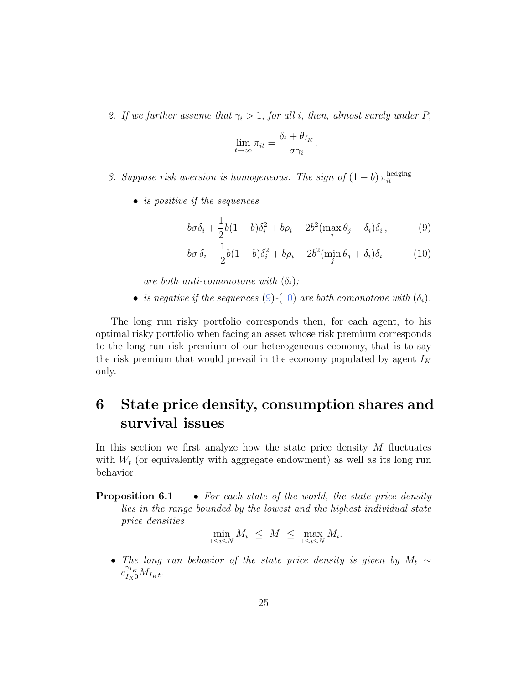2. If we further assume that  $\gamma_i > 1$ , for all i, then, almost surely under P,

$$
\lim_{t \to \infty} \pi_{it} = \frac{\delta_i + \theta_{I_K}}{\sigma \gamma_i}.
$$

- 3. Suppose risk aversion is homogeneous. The sign of  $(1-b) \pi_{it}^{\text{hedging}}$ it
	- is positive if the sequences

$$
b\sigma\delta_i + \frac{1}{2}b(1-b)\delta_i^2 + b\rho_i - 2b^2(\max_j \theta_j + \delta_i)\delta_i, \qquad (9)
$$

$$
b\sigma \delta_i + \frac{1}{2}b(1-b)\delta_i^2 + b\rho_i - 2b^2(\min_j \theta_j + \delta_i)\delta_i \tag{10}
$$

are both anti-comonotone with  $(\delta_i)$ ;

• is negative if the sequences (9)-(10) are both comonotone with  $(\delta_i)$ .

The long run risky portfolio corresponds then, for each agent, to his optimal risky portfolio when facing an asset whose risk premium corresponds to the long run risk premium of our heterogeneous economy, that is to say the risk premium that would prevail in the economy populated by agent  $I_K$ only.

## 6 State price density, consumption shares and survival issues

In this section we first analyze how the state price density  $M$  fluctuates with  $W_t$  (or equivalently with aggregate endowment) as well as its long run behavior.

**Proposition 6.1** • For each state of the world, the state price density lies in the range bounded by the lowest and the highest individual state price densities

$$
\min_{1 \le i \le N} M_i \le M \le \max_{1 \le i \le N} M_i.
$$

• The long run behavior of the state price density is given by  $M_t \sim$  $c_{I_K0}^{\gamma_{I_K}} M_{I_Kt}$ .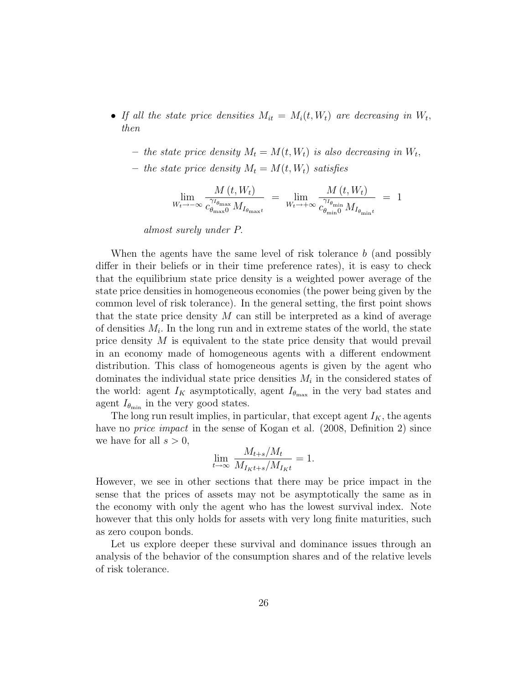- If all the state price densities  $M_{it} = M_i(t, W_t)$  are decreasing in  $W_t$ , then
	- the state price density  $M_t = M(t, W_t)$  is also decreasing in  $W_t$ ,
	- the state price density  $M_t = M(t, W_t)$  satisfies

$$
\lim_{W_t \to -\infty} \frac{M(t, W_t)}{c_{\theta_{\text{max}}}^{\gamma_{I_{\theta_{\text{max}}}}} M_{I_{\theta_{\text{max}}}t}} = \lim_{W_t \to +\infty} \frac{M(t, W_t)}{c_{\theta_{\text{min}}}^{\gamma_{I_{\theta_{\text{min}}}}} M_{I_{\theta_{\text{min}}}t}} = 1
$$

almost surely under P.

When the agents have the same level of risk tolerance  $b$  (and possibly differ in their beliefs or in their time preference rates), it is easy to check that the equilibrium state price density is a weighted power average of the state price densities in homogeneous economies (the power being given by the common level of risk tolerance). In the general setting, the first point shows that the state price density  $M$  can still be interpreted as a kind of average of densities  $M_i$ . In the long run and in extreme states of the world, the state price density M is equivalent to the state price density that would prevail in an economy made of homogeneous agents with a different endowment distribution. This class of homogeneous agents is given by the agent who dominates the individual state price densities  $M_i$  in the considered states of the world: agent  $I_K$  asymptotically, agent  $I_{\theta_{\text{max}}}$  in the very bad states and agent  $I_{\theta_{\min}}$  in the very good states.

The long run result implies, in particular, that except agent  $I_K$ , the agents have no price impact in the sense of Kogan et al. (2008, Definition 2) since we have for all  $s > 0$ ,

$$
\lim_{t \to \infty} \frac{M_{t+s}/M_t}{M_{I_K t+s}/M_{I_K t}} = 1.
$$

However, we see in other sections that there may be price impact in the sense that the prices of assets may not be asymptotically the same as in the economy with only the agent who has the lowest survival index. Note however that this only holds for assets with very long finite maturities, such as zero coupon bonds.

Let us explore deeper these survival and dominance issues through an analysis of the behavior of the consumption shares and of the relative levels of risk tolerance.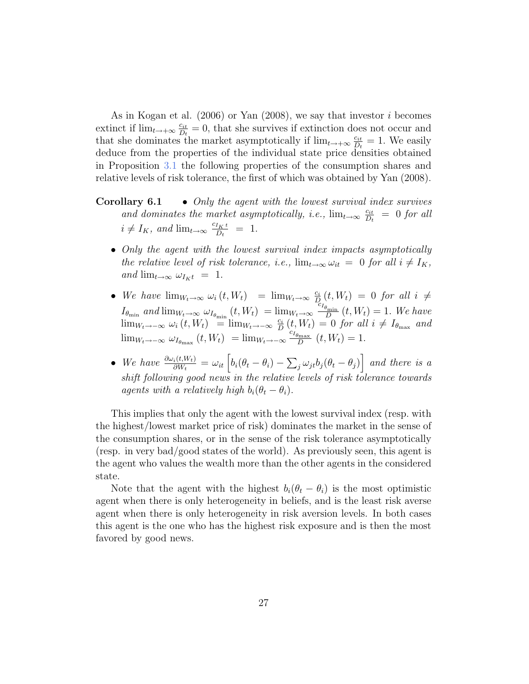As in Kogan et al. (2006) or Yan (2008), we say that investor i becomes extinct if  $\lim_{t\to+\infty}\frac{c_{it}}{D_t}$  $\frac{c_{it}}{D_t} = 0$ , that she survives if extinction does not occur and that she dominates the market asymptotically if  $\lim_{t\to+\infty}\frac{c_{it}}{D}$  $\frac{c_{it}}{D_t} = 1$ . We easily deduce from the properties of the individual state price densities obtained in Proposition 3.1 the following properties of the consumption shares and relative levels of risk tolerance, the first of which was obtained by Yan (2008).

- Corollary 6.1 Only the agent with the lowest survival index survives and dominates the market asymptotically, i.e.,  $\lim_{t\to\infty} \frac{c_{it}}{D}$  $\frac{c_{it}}{D_t} = 0$  for all  $i \neq I_K$ , and  $\lim_{t \to \infty} \frac{c_{I_K t}}{D_t}$  $\frac{I_K t}{D_t} = 1.$ 
	- Only the agent with the lowest survival index impacts asymptotically the relative level of risk tolerance, i.e.,  $\lim_{t\to\infty} \omega_{it} = 0$  for all  $i \neq I_K$ , and  $\lim_{t\to\infty} \omega_{I_K t} = 1$ .
	- We have  $\lim_{W_t \to \infty} \omega_i(t, W_t) = \lim_{W_t \to \infty} \frac{c_i}{D}$  $\frac{c_i}{D_i}(t,W_t) = 0$  for all  $i \neq$  $I_{\theta_{\min}}$  and  $\lim_{W_t \to \infty} \omega_{I_{\theta_{\min}}}(t, W_t) = \lim_{W_t \to \infty} \frac{C_{I_{\theta_{\min}}}}{D}$  $\frac{\partial_{\min}}{D}(t, W_t) = 1$ . We have  $\lim_{W_t \to -\infty} \omega_i(t, W_t) = \lim_{W_t \to -\infty} \frac{c_i}{D}$  $\frac{c_i}{D}(t, W_t) = 0$  for all  $i \neq I_{\theta_{\text{max}}}$  and  $\lim_{W_t \to -\infty} \omega_{I_{\theta_{\text{max}}}}(t, W_t) = \lim_{W_t \to -\infty} \frac{\omega_{I_{\theta_{\text{max}}}}}{{D}}$  $\frac{\partial_{\max}}{D}(t, W_t) = 1.$
	- We have  $\frac{\partial \omega_i(t,W_t)}{\partial W_t} = \omega_{it} \left[ b_i(\theta_t \theta_i) \sum_j \omega_{jt} b_j(\theta_t \theta_j) \right]$  and there is a shift following good news in the relative levels of risk tolerance towards agents with a relatively high  $b_i(\theta_t - \theta_i)$ .

This implies that only the agent with the lowest survival index (resp. with the highest/lowest market price of risk) dominates the market in the sense of the consumption shares, or in the sense of the risk tolerance asymptotically (resp. in very bad/good states of the world). As previously seen, this agent is the agent who values the wealth more than the other agents in the considered state.

Note that the agent with the highest  $b_i(\theta_t - \theta_i)$  is the most optimistic agent when there is only heterogeneity in beliefs, and is the least risk averse agent when there is only heterogeneity in risk aversion levels. In both cases this agent is the one who has the highest risk exposure and is then the most favored by good news.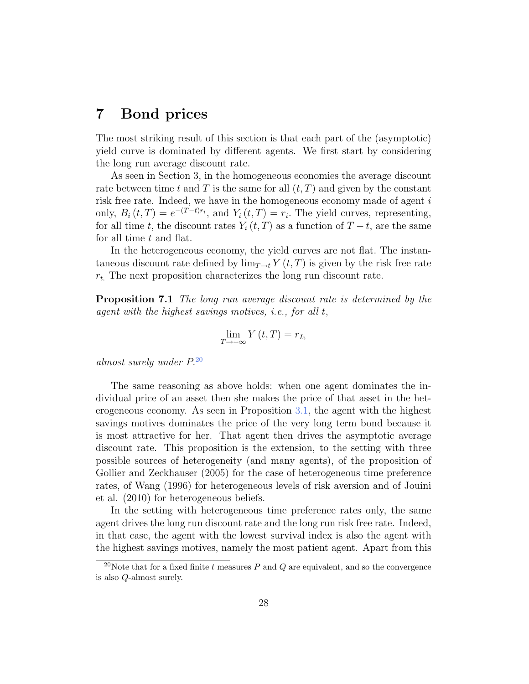## 7 Bond prices

The most striking result of this section is that each part of the (asymptotic) yield curve is dominated by different agents. We first start by considering the long run average discount rate.

As seen in Section 3, in the homogeneous economies the average discount rate between time t and T is the same for all  $(t, T)$  and given by the constant risk free rate. Indeed, we have in the homogeneous economy made of agent i only,  $B_i(t,T) = e^{-(T-t)r_i}$ , and  $Y_i(t,T) = r_i$ . The yield curves, representing, for all time t, the discount rates  $Y_i(t, T)$  as a function of  $T - t$ , are the same for all time t and flat.

In the heterogeneous economy, the yield curves are not flat. The instantaneous discount rate defined by  $\lim_{T\to t} Y(t,T)$  is given by the risk free rate  $r_t$ . The next proposition characterizes the long run discount rate.

Proposition 7.1 The long run average discount rate is determined by the agent with the highest savings motives, i.e., for all t,

$$
\lim_{T \to +\infty} Y(t, T) = r_{I_0}
$$

almost surely under P.<sup>20</sup>

The same reasoning as above holds: when one agent dominates the individual price of an asset then she makes the price of that asset in the heterogeneous economy. As seen in Proposition 3.1, the agent with the highest savings motives dominates the price of the very long term bond because it is most attractive for her. That agent then drives the asymptotic average discount rate. This proposition is the extension, to the setting with three possible sources of heterogeneity (and many agents), of the proposition of Gollier and Zeckhauser (2005) for the case of heterogeneous time preference rates, of Wang (1996) for heterogeneous levels of risk aversion and of Jouini et al. (2010) for heterogeneous beliefs.

In the setting with heterogeneous time preference rates only, the same agent drives the long run discount rate and the long run risk free rate. Indeed, in that case, the agent with the lowest survival index is also the agent with the highest savings motives, namely the most patient agent. Apart from this

<sup>&</sup>lt;sup>20</sup>Note that for a fixed finite t measures P and Q are equivalent, and so the convergence is also Q-almost surely.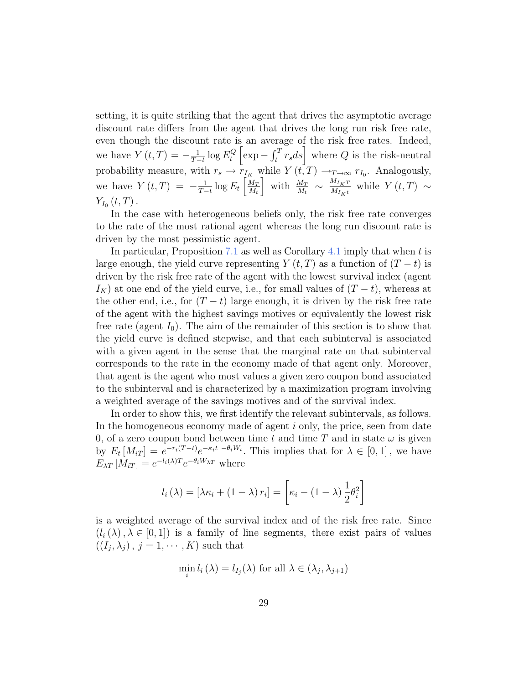setting, it is quite striking that the agent that drives the asymptotic average discount rate differs from the agent that drives the long run risk free rate, even though the discount rate is an average of the risk free rates. Indeed, we have  $Y(t,T) = -\frac{1}{T}$  $\frac{1}{T-t} \log E_t^Q$  $\mathcal{L}_t^Q \left[ \exp - \int_t^T r_s ds \right]$  where  $Q$  is the risk-neutral probability measure, with  $r_s \to r_{I_K}$  while  $Y(t,T) \to_{T \to \infty} r_{I_0}$ . Analogously, we have  $Y(t,T) = -\frac{1}{T}$  $\frac{1}{T-t}\log E_t\left[\frac{M_T}{M_t}\right]$  $M_t$ with  $\frac{M_T}{M_t} \sim \frac{M_{I_K T}}{M_{I_K t}}$  $\frac{M_{I_K T}}{M_{I_K t}}$  while  $Y(t, T) \sim$  $Y_{I_0}\left(t,T\right)$ .

In the case with heterogeneous beliefs only, the risk free rate converges to the rate of the most rational agent whereas the long run discount rate is driven by the most pessimistic agent.

In particular, Proposition 7.1 as well as Corollary 4.1 imply that when  $t$  is large enough, the yield curve representing  $Y(t, T)$  as a function of  $(T - t)$  is driven by the risk free rate of the agent with the lowest survival index (agent  $I_K$ ) at one end of the yield curve, i.e., for small values of  $(T - t)$ , whereas at the other end, i.e., for  $(T - t)$  large enough, it is driven by the risk free rate of the agent with the highest savings motives or equivalently the lowest risk free rate (agent  $I_0$ ). The aim of the remainder of this section is to show that the yield curve is defined stepwise, and that each subinterval is associated with a given agent in the sense that the marginal rate on that subinterval corresponds to the rate in the economy made of that agent only. Moreover, that agent is the agent who most values a given zero coupon bond associated to the subinterval and is characterized by a maximization program involving a weighted average of the savings motives and of the survival index.

In order to show this, we first identify the relevant subintervals, as follows. In the homogeneous economy made of agent i only, the price, seen from date 0, of a zero coupon bond between time t and time T and in state  $\omega$  is given by  $E_t[M_{iT}] = e^{-r_i(T-t)}e^{-\kappa_i t - \theta_i W_t}$ . This implies that for  $\lambda \in [0,1]$ , we have  $E_{\lambda T} [M_{iT}] = e^{-l_i(\lambda)T} e^{-\theta_i W_{\lambda T}}$  where

$$
l_i(\lambda) = [\lambda \kappa_i + (1 - \lambda) r_i] = \left[ \kappa_i - (1 - \lambda) \frac{1}{2} \theta_i^2 \right]
$$

is a weighted average of the survival index and of the risk free rate. Since  $(l_i(\lambda), \lambda \in [0,1])$  is a family of line segments, there exist pairs of values  $((I_j, \lambda_j), j = 1, \cdots, K)$  such that

$$
\min_{i} l_{i}(\lambda) = l_{I_{j}}(\lambda) \text{ for all } \lambda \in (\lambda_{j}, \lambda_{j+1})
$$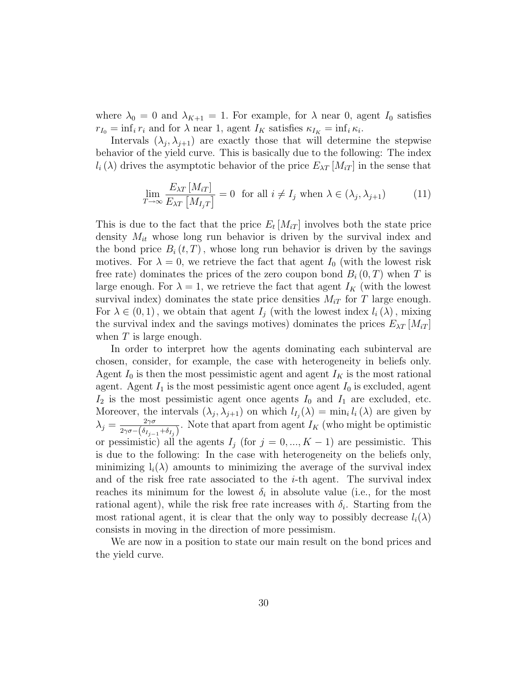where  $\lambda_0 = 0$  and  $\lambda_{K+1} = 1$ . For example, for  $\lambda$  near 0, agent  $I_0$  satisfies  $r_{I_0} = \inf_i r_i$  and for  $\lambda$  near 1, agent  $I_K$  satisfies  $\kappa_{I_K} = \inf_i \kappa_i$ .

Intervals  $(\lambda_j, \lambda_{j+1})$  are exactly those that will determine the stepwise behavior of the yield curve. This is basically due to the following: The index  $l_i(\lambda)$  drives the asymptotic behavior of the price  $E_{\lambda T}$  [ $M_{iT}$ ] in the sense that

$$
\lim_{T \to \infty} \frac{E_{\lambda T} [M_{iT}]}{E_{\lambda T} [M_{I_j T}]} = 0 \text{ for all } i \neq I_j \text{ when } \lambda \in (\lambda_j, \lambda_{j+1})
$$
 (11)

This is due to the fact that the price  $E_t$  [ $M_{iT}$ ] involves both the state price density  $M_{it}$  whose long run behavior is driven by the survival index and the bond price  $B_i(t, T)$ , whose long run behavior is driven by the savings motives. For  $\lambda = 0$ , we retrieve the fact that agent  $I_0$  (with the lowest risk free rate) dominates the prices of the zero coupon bond  $B_i(0,T)$  when T is large enough. For  $\lambda = 1$ , we retrieve the fact that agent  $I_K$  (with the lowest survival index) dominates the state price densities  $M_{iT}$  for T large enough. For  $\lambda \in (0,1)$ , we obtain that agent  $I_j$  (with the lowest index  $l_i(\lambda)$ , mixing the survival index and the savings motives) dominates the prices  $E_{\lambda T}$  [ $M_{iT}$ ] when  $T$  is large enough.

In order to interpret how the agents dominating each subinterval are chosen, consider, for example, the case with heterogeneity in beliefs only. Agent  $I_0$  is then the most pessimistic agent and agent  $I_K$  is the most rational agent. Agent  $I_1$  is the most pessimistic agent once agent  $I_0$  is excluded, agent  $I_2$  is the most pessimistic agent once agents  $I_0$  and  $I_1$  are excluded, etc. Moreover, the intervals  $(\lambda_j, \lambda_{j+1})$  on which  $l_{I_j}(\lambda) = \min_i l_i(\lambda)$  are given by  $\lambda_j = \frac{2\gamma\sigma}{2\gamma\sigma}$  $\frac{2\gamma\sigma}{2\gamma\sigma-(\delta_{I_{j-1}}+\delta_{I_j})}$ . Note that apart from agent  $I_K$  (who might be optimistic or pessimistic) all the agents  $I_j$  (for  $j = 0, ..., K - 1$ ) are pessimistic. This is due to the following: In the case with heterogeneity on the beliefs only, minimizing  $l_i(\lambda)$  amounts to minimizing the average of the survival index and of the risk free rate associated to the  $i$ -th agent. The survival index reaches its minimum for the lowest  $\delta_i$  in absolute value (i.e., for the most rational agent), while the risk free rate increases with  $\delta_i$ . Starting from the most rational agent, it is clear that the only way to possibly decrease  $l_i(\lambda)$ consists in moving in the direction of more pessimism.

We are now in a position to state our main result on the bond prices and the yield curve.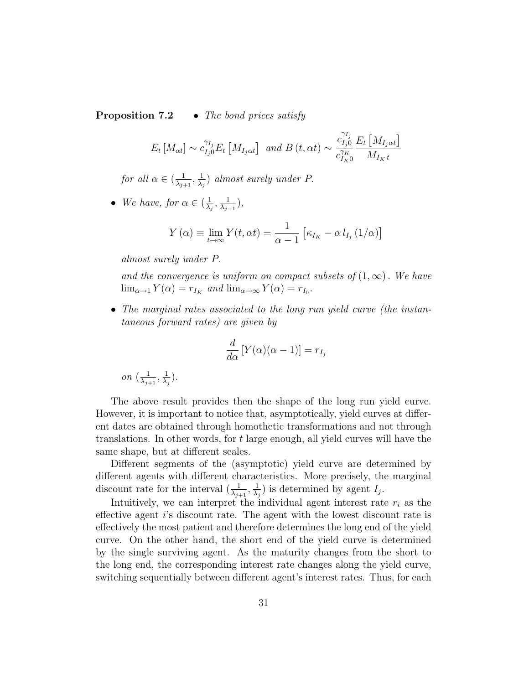**Proposition 7.2** • The bond prices satisfy

$$
E_t\left[M_{\alpha t}\right] \sim c_{I_j 0}^{\gamma_{I_j}} E_t\left[M_{I_j \alpha t}\right] \text{ and } B\left(t, \alpha t\right) \sim \frac{c_{I_j 0}^{\gamma_{I_j}}}{c_{I_K 0}^{\gamma_K}} \frac{E_t\left[M_{I_j \alpha t}\right]}{M_{I_K t}}
$$

for all  $\alpha \in (\frac{1}{\lambda})$  $\frac{1}{\lambda_{j+1}}, \frac{1}{\lambda_{j}}$  $\frac{1}{\lambda_j}$ ) almost surely under P.

• We have, for  $\alpha \in (\frac{1}{\lambda})$  $\frac{1}{\lambda_j}, \frac{1}{\lambda_j}$  $\frac{1}{\lambda_{j-1}}\big),$ 

$$
Y(\alpha) \equiv \lim_{t \to \infty} Y(t, \alpha t) = \frac{1}{\alpha - 1} \left[ \kappa_{I_K} - \alpha l_{I_j} (1/\alpha) \right]
$$

almost surely under P.

on  $\left(\frac{1}{\lambda}\right)$ 

 $\frac{1}{\lambda_{j+1}}, \frac{1}{\lambda_{j}}$  $\frac{1}{\lambda_j}).$ 

and the convergence is uniform on compact subsets of  $(1,\infty)$ . We have  $\lim_{\alpha \to 1} Y(\alpha) = r_{I_K}$  and  $\lim_{\alpha \to \infty} Y(\alpha) = r_{I_0}$ .

• The marginal rates associated to the long run yield curve (the instantaneous forward rates) are given by

$$
\frac{d}{d\alpha}\left[Y(\alpha)(\alpha-1)\right] = r_{I_j}
$$

The above result provides then the shape of the long run yield curve. However, it is important to notice that, asymptotically, yield curves at different dates are obtained through homothetic transformations and not through translations. In other words, for t large enough, all yield curves will have the same shape, but at different scales.

Different segments of the (asymptotic) yield curve are determined by different agents with different characteristics. More precisely, the marginal discount rate for the interval  $\left(\frac{1}{\lambda_{j+1}},\frac{1}{\lambda_j}\right)$  $\frac{1}{\lambda_j}$ ) is determined by agent  $I_j$ .

Intuitively, we can interpret the individual agent interest rate  $r_i$  as the effective agent i's discount rate. The agent with the lowest discount rate is effectively the most patient and therefore determines the long end of the yield curve. On the other hand, the short end of the yield curve is determined by the single surviving agent. As the maturity changes from the short to the long end, the corresponding interest rate changes along the yield curve, switching sequentially between different agent's interest rates. Thus, for each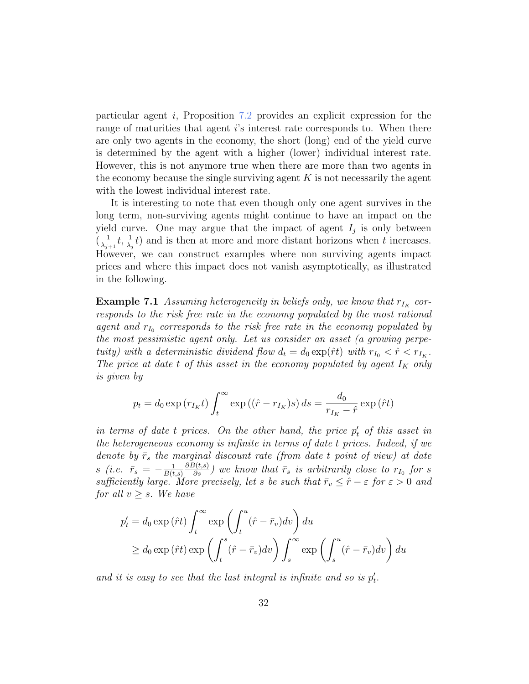particular agent i, Proposition 7.2 provides an explicit expression for the range of maturities that agent is interest rate corresponds to. When there are only two agents in the economy, the short (long) end of the yield curve is determined by the agent with a higher (lower) individual interest rate. However, this is not anymore true when there are more than two agents in the economy because the single surviving agent  $K$  is not necessarily the agent with the lowest individual interest rate.

It is interesting to note that even though only one agent survives in the long term, non-surviving agents might continue to have an impact on the yield curve. One may argue that the impact of agent  $I_j$  is only between  $\left(\frac{1}{\sqrt{1-\epsilon}}\right)$  $\frac{1}{\lambda_{j+1}}t, \frac{1}{\lambda_j}t$  and is then at more and more distant horizons when t increases. However, we can construct examples where non surviving agents impact prices and where this impact does not vanish asymptotically, as illustrated in the following.

**Example 7.1** Assuming heterogeneity in beliefs only, we know that  $r_{I_K}$  corresponds to the risk free rate in the economy populated by the most rational agent and  $r_{I_0}$  corresponds to the risk free rate in the economy populated by the most pessimistic agent only. Let us consider an asset (a growing perpetuity) with a deterministic dividend flow  $d_t = d_0 \exp(\hat{r}t)$  with  $r_{I_0} < \hat{r} < r_{I_K}$ . The price at date t of this asset in the economy populated by agent  $I_K$  only is given by

$$
p_t = d_0 \exp(r_{I_K}t) \int_t^{\infty} \exp((\hat{r} - r_{I_K})s) ds = \frac{d_0}{r_{I_K} - \hat{r}} \exp(\hat{r}t)
$$

in terms of date  $t$  prices. On the other hand, the price  $p'_t$  of this asset in the heterogeneous economy is infinite in terms of date t prices. Indeed, if we denote by  $\bar{r}_s$  the marginal discount rate (from date t point of view) at date s (i.e.  $\bar{r}_s = -\frac{1}{B(t)}$  $B(t,s)$  $\frac{\partial B(t,s)}{\partial s}$ ) we know that  $\bar{r}_s$  is arbitrarily close to  $r_{I_0}$  for s sufficiently large. More precisely, let s be such that  $\bar{r}_v \leq \hat{r} - \varepsilon$  for  $\varepsilon > 0$  and for all  $v \geq s$ . We have

$$
p'_t = d_0 \exp(\hat{r}t) \int_t^{\infty} \exp\left(\int_t^u (\hat{r} - \bar{r}_v) dv\right) du
$$
  
\n
$$
\geq d_0 \exp(\hat{r}t) \exp\left(\int_t^s (\hat{r} - \bar{r}_v) dv\right) \int_s^{\infty} \exp\left(\int_s^u (\hat{r} - \bar{r}_v) dv\right) du
$$

and it is easy to see that the last integral is infinite and so is  $p'_t$ .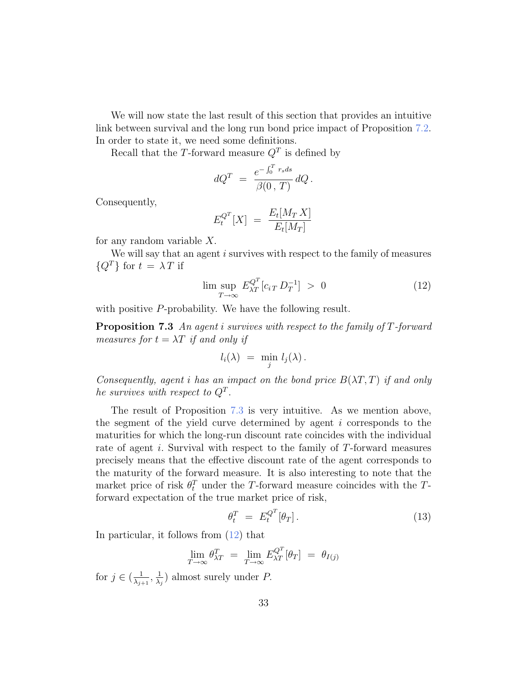We will now state the last result of this section that provides an intuitive link between survival and the long run bond price impact of Proposition 7.2. In order to state it, we need some definitions.

Recall that the T-forward measure  $Q<sup>T</sup>$  is defined by

$$
dQ^T = \frac{e^{-\int_0^T r_s ds}}{\beta(0, T)} dQ.
$$

Consequently,

$$
E_t^{Q^T}[X] = \frac{E_t[M_T X]}{E_t[M_T]}
$$

for any random variable X.

We will say that an agent *i* survives with respect to the family of measures  ${Q^T}$  for  $t = \lambda T$  if

$$
\limsup_{T \to \infty} E_{\lambda T}^{Q^T} [c_{iT} D_T^{-1}] > 0 \tag{12}
$$

with positive P-probability. We have the following result.

Proposition 7.3 An agent i survives with respect to the family of T-forward measures for  $t = \lambda T$  if and only if

$$
l_i(\lambda) = \min_j l_j(\lambda).
$$

Consequently, agent i has an impact on the bond price  $B(\lambda T, T)$  if and only he survives with respect to  $Q^T$ .

The result of Proposition 7.3 is very intuitive. As we mention above, the segment of the yield curve determined by agent i corresponds to the maturities for which the long-run discount rate coincides with the individual rate of agent i. Survival with respect to the family of T-forward measures precisely means that the effective discount rate of the agent corresponds to the maturity of the forward measure. It is also interesting to note that the market price of risk  $\theta_t^T$  under the T-forward measure coincides with the Tforward expectation of the true market price of risk,

$$
\theta_t^T = E_t^{Q^T} [\theta_T]. \tag{13}
$$

In particular, it follows from (12) that

$$
\lim_{T \to \infty} \theta_{\lambda T}^T = \lim_{T \to \infty} E_{\lambda T}^{Q^T} [\theta_T] = \theta_{I(j)}
$$

for  $j \in (\frac{1}{\lambda})$  $\frac{1}{\lambda_{j+1}}, \frac{1}{\lambda_{j+1}}$  $\frac{1}{\lambda_j}$ ) almost surely under P.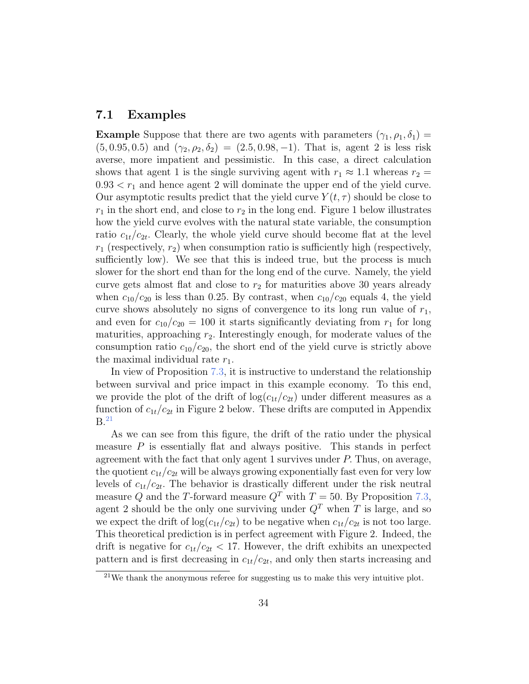### 7.1 Examples

**Example** Suppose that there are two agents with parameters  $(\gamma_1, \rho_1, \delta_1)$  $(5, 0.95, 0.5)$  and  $(\gamma_2, \rho_2, \delta_2) = (2.5, 0.98, -1)$ . That is, agent 2 is less risk averse, more impatient and pessimistic. In this case, a direct calculation shows that agent 1 is the single surviving agent with  $r_1 \approx 1.1$  whereas  $r_2 =$  $0.93 < r_1$  and hence agent 2 will dominate the upper end of the yield curve. Our asymptotic results predict that the yield curve  $Y(t, \tau)$  should be close to  $r_1$  in the short end, and close to  $r_2$  in the long end. Figure 1 below illustrates how the yield curve evolves with the natural state variable, the consumption ratio  $c_{1t}/c_{2t}$ . Clearly, the whole yield curve should become flat at the level  $r_1$  (respectively,  $r_2$ ) when consumption ratio is sufficiently high (respectively, sufficiently low). We see that this is indeed true, but the process is much slower for the short end than for the long end of the curve. Namely, the yield curve gets almost flat and close to  $r<sub>2</sub>$  for maturities above 30 years already when  $c_{10}/c_{20}$  is less than 0.25. By contrast, when  $c_{10}/c_{20}$  equals 4, the yield curve shows absolutely no signs of convergence to its long run value of  $r_1$ , and even for  $c_{10}/c_{20} = 100$  it starts significantly deviating from  $r_1$  for long maturities, approaching  $r_2$ . Interestingly enough, for moderate values of the consumption ratio  $c_{10}/c_{20}$ , the short end of the yield curve is strictly above the maximal individual rate  $r_1$ .

In view of Proposition 7.3, it is instructive to understand the relationship between survival and price impact in this example economy. To this end, we provide the plot of the drift of  $log(c_{1t}/c_{2t})$  under different measures as a function of  $c_{1t}/c_{2t}$  in Figure 2 below. These drifts are computed in Appendix  $B<sup>21</sup>$ 

As we can see from this figure, the drift of the ratio under the physical measure  $P$  is essentially flat and always positive. This stands in perfect agreement with the fact that only agent 1 survives under P. Thus, on average, the quotient  $c_{1t}/c_{2t}$  will be always growing exponentially fast even for very low levels of  $c_{1t}/c_{2t}$ . The behavior is drastically different under the risk neutral measure Q and the T-forward measure  $Q<sup>T</sup>$  with  $T = 50$ . By Proposition 7.3, agent 2 should be the only one surviving under  $Q<sup>T</sup>$  when T is large, and so we expect the drift of  $log(c_{1t}/c_{2t})$  to be negative when  $c_{1t}/c_{2t}$  is not too large. This theoretical prediction is in perfect agreement with Figure 2. Indeed, the drift is negative for  $c_{1t}/c_{2t} < 17$ . However, the drift exhibits an unexpected pattern and is first decreasing in  $c_{1t}/c_{2t}$ , and only then starts increasing and

 $21$ We thank the anonymous referee for suggesting us to make this very intuitive plot.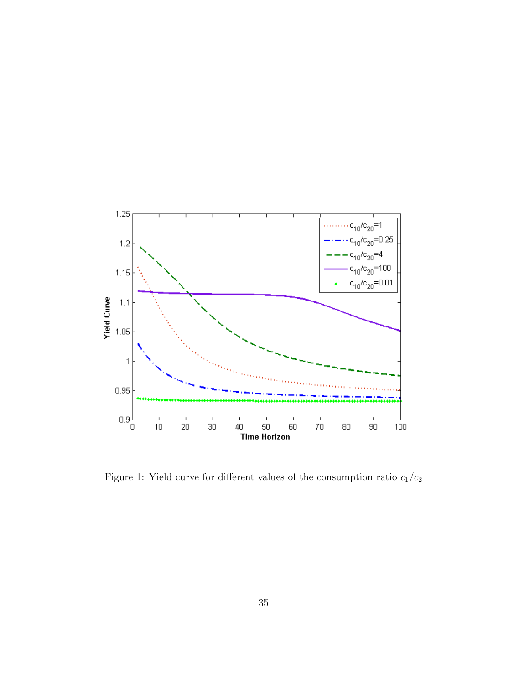

Figure 1: Yield curve for different values of the consumption ratio  $c_1/c_2$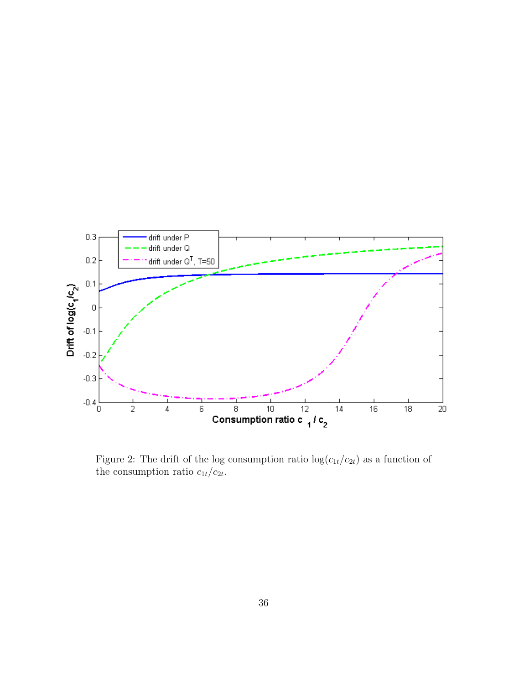

Figure 2: The drift of the log consumption ratio  $\log(c_{1t}/c_{2t})$  as a function of the consumption ratio  $c_{1t}/c_{2t}$ .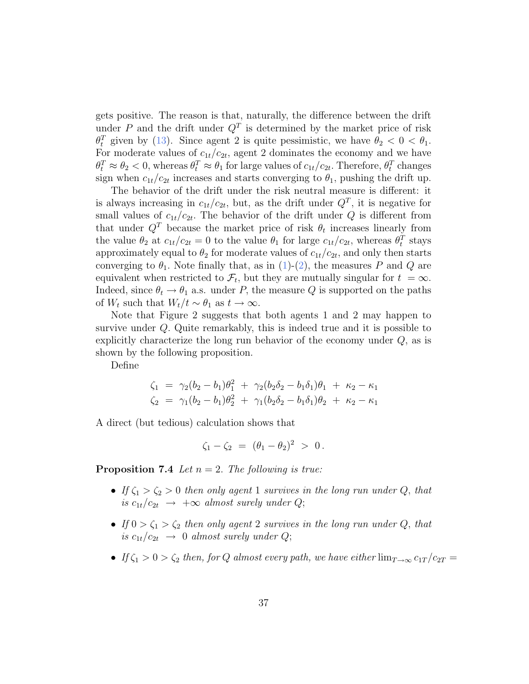gets positive. The reason is that, naturally, the difference between the drift under P and the drift under  $Q<sup>T</sup>$  is determined by the market price of risk  $\theta_t^T$  given by (13). Since agent 2 is quite pessimistic, we have  $\theta_2 < 0 < \theta_1$ . For moderate values of  $c_{1t}/c_{2t}$ , agent 2 dominates the economy and we have  $\theta_t^T \approx \theta_2 < 0$ , whereas  $\theta_t^T \approx \theta_1$  for large values of  $c_{1t}/c_{2t}$ . Therefore,  $\theta_t^T$  changes sign when  $c_{1t}/c_{2t}$  increases and starts converging to  $\theta_1$ , pushing the drift up.

The behavior of the drift under the risk neutral measure is different: it is always increasing in  $c_{1t}/c_{2t}$ , but, as the drift under  $Q<sup>T</sup>$ , it is negative for small values of  $c_{1t}/c_{2t}$ . The behavior of the drift under Q is different from that under  $Q<sup>T</sup>$  because the market price of risk  $\theta_t$  increases linearly from the value  $\theta_2$  at  $c_{1t}/c_{2t} = 0$  to the value  $\theta_1$  for large  $c_{1t}/c_{2t}$ , whereas  $\theta_t^T$  stays approximately equal to  $\theta_2$  for moderate values of  $c_{1t}/c_{2t}$ , and only then starts converging to  $\theta_1$ . Note finally that, as in (1)-(2), the measures P and Q are equivalent when restricted to  $\mathcal{F}_t$ , but they are mutually singular for  $t = \infty$ . Indeed, since  $\theta_t \to \theta_1$  a.s. under P, the measure Q is supported on the paths of  $W_t$  such that  $W_t/t \sim \theta_1$  as  $t \to \infty$ .

Note that Figure 2 suggests that both agents 1 and 2 may happen to survive under Q. Quite remarkably, this is indeed true and it is possible to explicitly characterize the long run behavior of the economy under Q, as is shown by the following proposition.

Define

$$
\zeta_1 = \gamma_2(b_2 - b_1)\theta_1^2 + \gamma_2(b_2\delta_2 - b_1\delta_1)\theta_1 + \kappa_2 - \kappa_1
$$
  
\n
$$
\zeta_2 = \gamma_1(b_2 - b_1)\theta_2^2 + \gamma_1(b_2\delta_2 - b_1\delta_1)\theta_2 + \kappa_2 - \kappa_1
$$

A direct (but tedious) calculation shows that

$$
\zeta_1 - \zeta_2 = (\theta_1 - \theta_2)^2 > 0.
$$

**Proposition 7.4** Let  $n = 2$ . The following is true:

- If  $\zeta_1 > \zeta_2 > 0$  then only agent 1 survives in the long run under Q, that is  $c_{1t}/c_{2t} \rightarrow +\infty$  almost surely under Q;
- If  $0 > \zeta_1 > \zeta_2$  then only agent 2 survives in the long run under Q, that is  $c_{1t}/c_{2t} \rightarrow 0$  almost surely under Q;
- If  $\zeta_1 > 0 > \zeta_2$  then, for Q almost every path, we have either  $\lim_{T \to \infty} c_{1T}/c_{2T} =$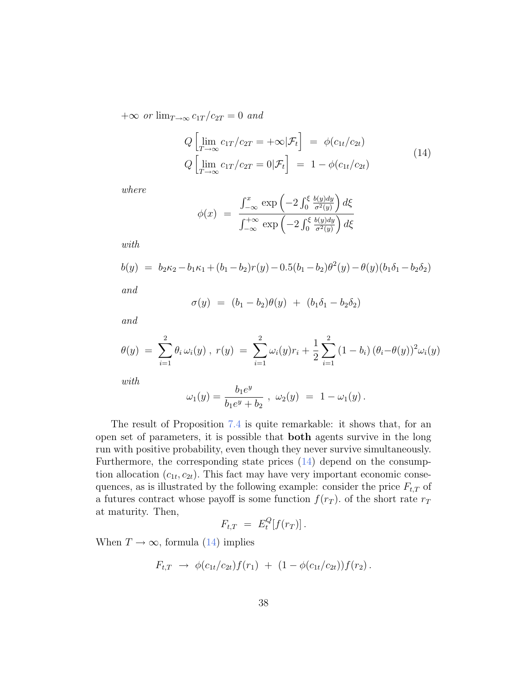$+\infty$  or  $\lim_{T\to\infty} c_{1T}/c_{2T} = 0$  and

$$
Q\left[\lim_{T \to \infty} c_{1T}/c_{2T} = +\infty | \mathcal{F}_t\right] = \phi(c_{1t}/c_{2t})
$$
  
\n
$$
Q\left[\lim_{T \to \infty} c_{1T}/c_{2T} = 0 | \mathcal{F}_t\right] = 1 - \phi(c_{1t}/c_{2t})
$$
\n(14)

where

$$
\phi(x) = \frac{\int_{-\infty}^{x} \exp\left(-2 \int_{0}^{\xi} \frac{b(y)dy}{\sigma^2(y)}\right) d\xi}{\int_{-\infty}^{+\infty} \exp\left(-2 \int_{0}^{\xi} \frac{b(y)dy}{\sigma^2(y)}\right) d\xi}
$$

with

$$
b(y) = b_2\kappa_2 - b_1\kappa_1 + (b_1 - b_2)r(y) - 0.5(b_1 - b_2)\theta^2(y) - \theta(y)(b_1\delta_1 - b_2\delta_2)
$$

and

$$
\sigma(y) = (b_1 - b_2)\theta(y) + (b_1\delta_1 - b_2\delta_2)
$$

and

$$
\theta(y) = \sum_{i=1}^{2} \theta_i \omega_i(y) , r(y) = \sum_{i=1}^{2} \omega_i(y) r_i + \frac{1}{2} \sum_{i=1}^{2} (1 - b_i) (\theta_i - \theta(y))^2 \omega_i(y)
$$

with

$$
\omega_1(y) = \frac{b_1 e^y}{b_1 e^y + b_2} , \ \omega_2(y) = 1 - \omega_1(y) .
$$

The result of Proposition 7.4 is quite remarkable: it shows that, for an open set of parameters, it is possible that both agents survive in the long run with positive probability, even though they never survive simultaneously. Furthermore, the corresponding state prices (14) depend on the consumption allocation  $(c_{1t}, c_{2t})$ . This fact may have very important economic consequences, as is illustrated by the following example: consider the price  $F_{t,T}$  of a futures contract whose payoff is some function  $f(r_T)$ , of the short rate  $r_T$ at maturity. Then,

$$
F_{t,T} = E_t^Q[f(r_T)].
$$

When  $T \to \infty$ , formula (14) implies

$$
F_{t,T} \rightarrow \phi(c_{1t}/c_{2t})f(r_1) + (1 - \phi(c_{1t}/c_{2t}))f(r_2).
$$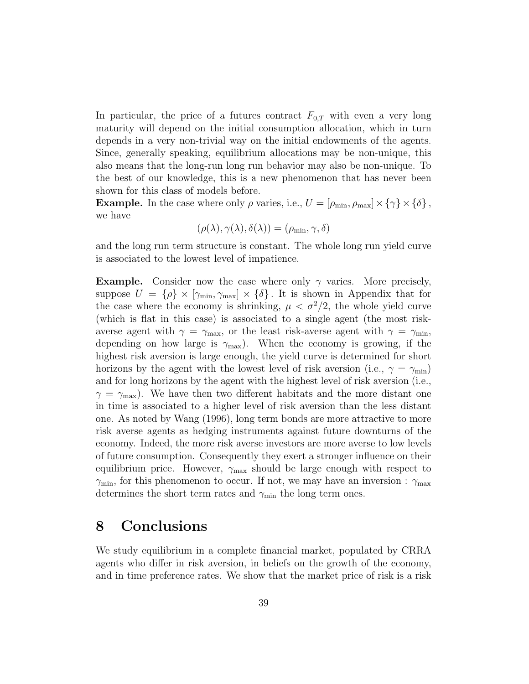In particular, the price of a futures contract  $F_{0,T}$  with even a very long maturity will depend on the initial consumption allocation, which in turn depends in a very non-trivial way on the initial endowments of the agents. Since, generally speaking, equilibrium allocations may be non-unique, this also means that the long-run long run behavior may also be non-unique. To the best of our knowledge, this is a new phenomenon that has never been shown for this class of models before.

**Example.** In the case where only  $\rho$  varies, i.e.,  $U = [\rho_{\min}, \rho_{\max}] \times {\{\gamma\}} \times {\{\delta\}}$ , we have

$$
(\rho(\lambda), \gamma(\lambda), \delta(\lambda)) = (\rho_{\min}, \gamma, \delta)
$$

and the long run term structure is constant. The whole long run yield curve is associated to the lowest level of impatience.

**Example.** Consider now the case where only  $\gamma$  varies. More precisely, suppose  $U = {\rho} \times [\gamma_{\min}, \gamma_{\max}] \times {\delta}.$  It is shown in Appendix that for the case where the economy is shrinking,  $\mu < \sigma^2/2$ , the whole yield curve (which is flat in this case) is associated to a single agent (the most riskaverse agent with  $\gamma = \gamma_{\text{max}}$ , or the least risk-averse agent with  $\gamma = \gamma_{\text{min}}$ , depending on how large is  $\gamma_{\text{max}}$ ). When the economy is growing, if the highest risk aversion is large enough, the yield curve is determined for short horizons by the agent with the lowest level of risk aversion (i.e.,  $\gamma = \gamma_{\rm min}$ ) and for long horizons by the agent with the highest level of risk aversion (i.e.,  $\gamma = \gamma_{\text{max}}$ ). We have then two different habitats and the more distant one in time is associated to a higher level of risk aversion than the less distant one. As noted by Wang (1996), long term bonds are more attractive to more risk averse agents as hedging instruments against future downturns of the economy. Indeed, the more risk averse investors are more averse to low levels of future consumption. Consequently they exert a stronger influence on their equilibrium price. However,  $\gamma_{\text{max}}$  should be large enough with respect to  $\gamma_{\rm min}$ , for this phenomenon to occur. If not, we may have an inversion :  $\gamma_{\rm max}$ determines the short term rates and  $\gamma_{\text{min}}$  the long term ones.

## 8 Conclusions

We study equilibrium in a complete financial market, populated by CRRA agents who differ in risk aversion, in beliefs on the growth of the economy, and in time preference rates. We show that the market price of risk is a risk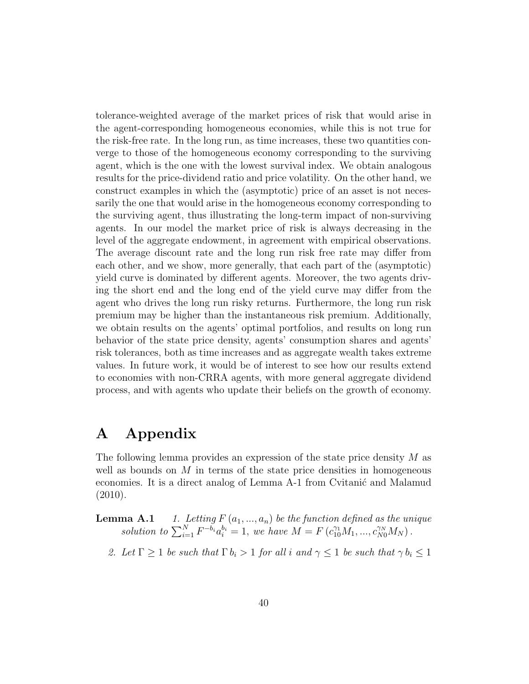tolerance-weighted average of the market prices of risk that would arise in the agent-corresponding homogeneous economies, while this is not true for the risk-free rate. In the long run, as time increases, these two quantities converge to those of the homogeneous economy corresponding to the surviving agent, which is the one with the lowest survival index. We obtain analogous results for the price-dividend ratio and price volatility. On the other hand, we construct examples in which the (asymptotic) price of an asset is not necessarily the one that would arise in the homogeneous economy corresponding to the surviving agent, thus illustrating the long-term impact of non-surviving agents. In our model the market price of risk is always decreasing in the level of the aggregate endowment, in agreement with empirical observations. The average discount rate and the long run risk free rate may differ from each other, and we show, more generally, that each part of the (asymptotic) yield curve is dominated by different agents. Moreover, the two agents driving the short end and the long end of the yield curve may differ from the agent who drives the long run risky returns. Furthermore, the long run risk premium may be higher than the instantaneous risk premium. Additionally, we obtain results on the agents' optimal portfolios, and results on long run behavior of the state price density, agents' consumption shares and agents' risk tolerances, both as time increases and as aggregate wealth takes extreme values. In future work, it would be of interest to see how our results extend to economies with non-CRRA agents, with more general aggregate dividend process, and with agents who update their beliefs on the growth of economy.

## A Appendix

The following lemma provides an expression of the state price density M as well as bounds on  $M$  in terms of the state price densities in homogeneous economies. It is a direct analog of Lemma A-1 from Cvitanic and Malamud (2010).

**Lemma A.1** 1. Letting  $F(a_1, ..., a_n)$  be the function defined as the unique solution to  $\sum_{i=1}^{N} F^{-b_i} a_i^{b_i} = 1$ , we have  $M = F(c_{10}^{\gamma_1} M_1, ..., c_{N0}^{\gamma_N} M_N)$ .

2. Let  $\Gamma \geq 1$  be such that  $\Gamma b_i > 1$  for all i and  $\gamma \leq 1$  be such that  $\gamma b_i \leq 1$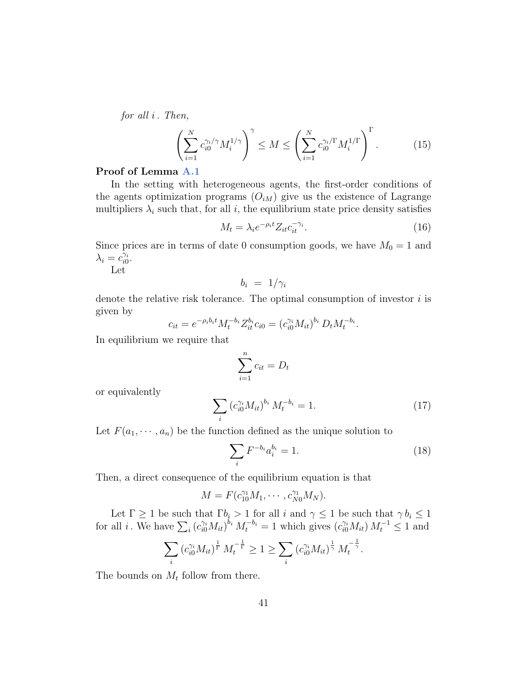for all  $i$ . Then,

$$
\left(\sum_{i=1}^{N} c_{i0}^{\gamma_i/\gamma} M_i^{1/\gamma}\right)^{\gamma} \le M \le \left(\sum_{i=1}^{N} c_{i0}^{\gamma_i/\Gamma} M_i^{1/\Gamma}\right)^{\Gamma}.
$$
 (15)

### Proof of Lemma A.1

In the setting with heterogeneous agents, the first-order conditions of the agents optimization programs  $(O_{iM})$  give us the existence of Lagrange multipliers  $\lambda_i$  such that, for all i, the equilibrium state price density satisfies

$$
M_t = \lambda_i e^{-\rho_i t} Z_{it} c_{it}^{-\gamma_i}.
$$
\n(16)

.

.

Since prices are in terms of date 0 consumption goods, we have  $M_0 = 1$  and  $\lambda_i = c_{i0}^{\gamma_i}.$ 

Let

$$
b_i = 1/\gamma_i
$$

denote the relative risk tolerance. The optimal consumption of investor  $i$  is given by

$$
c_{it} = e^{-\rho_i b_i t} M_t^{-b_i} Z_{it}^{b_i} c_{i0} = (c_{i0}^{\gamma_i} M_{it})^{b_i} D_t M_t^{-b_i}
$$

In equilibrium we require that

$$
\sum_{i=1}^{n} c_{it} = D_t
$$

or equivalently

$$
\sum_{i} \left( c_{i0}^{\gamma_i} M_{it} \right)^{b_i} M_t^{-b_i} = 1. \tag{17}
$$

Let  $F(a_1, \dots, a_n)$  be the function defined as the unique solution to

$$
\sum_{i} F^{-b_i} a_i^{b_i} = 1.
$$
\n(18)

Then, a direct consequence of the equilibrium equation is that

$$
M = F(c_{10}^{\gamma_1} M_1, \cdots, c_{N0}^{\gamma_1} M_N).
$$

Let  $\Gamma \geq 1$  be such that  $\Gamma b_i > 1$  for all i and  $\gamma \leq 1$  be such that  $\gamma b_i \leq 1$ for all *i*. We have  $\sum_i (c_{i0}^{\gamma_i} M_{it})^{b_i} M_t^{-b_i} = 1$  which gives  $(c_{i0}^{\gamma_i} M_{it}) M_t^{-1} \le 1$  and

$$
\sum_{i} \left( c_{i0}^{\gamma_i} M_{it} \right)^{\frac{1}{\Gamma}} M_t^{-\frac{1}{\Gamma}} \ge 1 \ge \sum_{i} \left( c_{i0}^{\gamma_i} M_{it} \right)^{\frac{1}{\gamma}} M_t^{-\frac{1}{\gamma}}
$$

The bounds on  $M_t$  follow from there.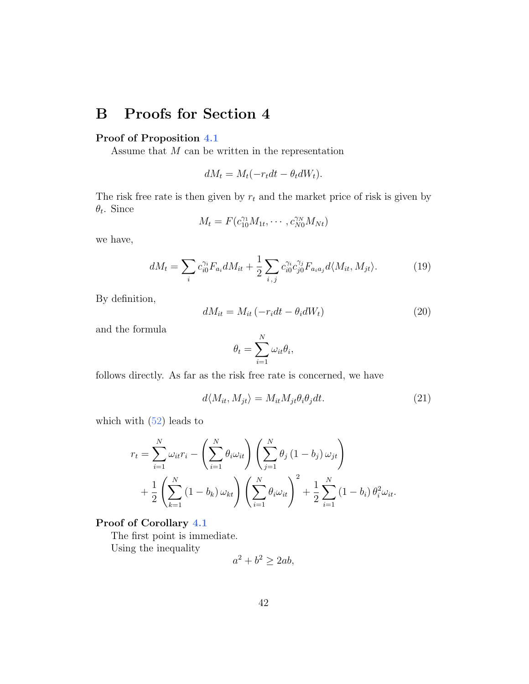## B Proofs for Section 4

### Proof of Proposition 4.1

Assume that  $M$  can be written in the representation

$$
dM_t = M_t(-r_t dt - \theta_t dW_t).
$$

The risk free rate is then given by  $r_t$  and the market price of risk is given by  $\theta_t$ . Since

$$
M_t = F(c_{10}^{\gamma_1} M_{1t}, \cdots, c_{N0}^{\gamma_N} M_{Nt})
$$

we have,

$$
dM_t = \sum_i c_{i0}^{\gamma_i} F_{a_i} dM_{it} + \frac{1}{2} \sum_{i,j} c_{i0}^{\gamma_i} c_{j0}^{\gamma_j} F_{a_i a_j} d\langle M_{it}, M_{jt} \rangle.
$$
 (19)

By definition,

$$
dM_{it} = M_{it} \left( -r_i dt - \theta_i dW_t \right) \tag{20}
$$

and the formula

$$
\theta_t = \sum_{i=1}^N \omega_{it} \theta_i,
$$

follows directly. As far as the risk free rate is concerned, we have

$$
d\langle M_{it}, M_{jt}\rangle = M_{it} M_{jt} \theta_i \theta_j dt. \tag{21}
$$

which with  $(52)$  leads to

$$
r_{t} = \sum_{i=1}^{N} \omega_{it} r_{i} - \left(\sum_{i=1}^{N} \theta_{i} \omega_{it}\right) \left(\sum_{j=1}^{N} \theta_{j} (1 - b_{j}) \omega_{jt}\right) + \frac{1}{2} \left(\sum_{k=1}^{N} (1 - b_{k}) \omega_{kt}\right) \left(\sum_{i=1}^{N} \theta_{i} \omega_{it}\right)^{2} + \frac{1}{2} \sum_{i=1}^{N} (1 - b_{i}) \theta_{i}^{2} \omega_{it}.
$$

### Proof of Corollary 4.1

The first point is immediate.

Using the inequality

$$
a^2 + b^2 \ge 2ab,
$$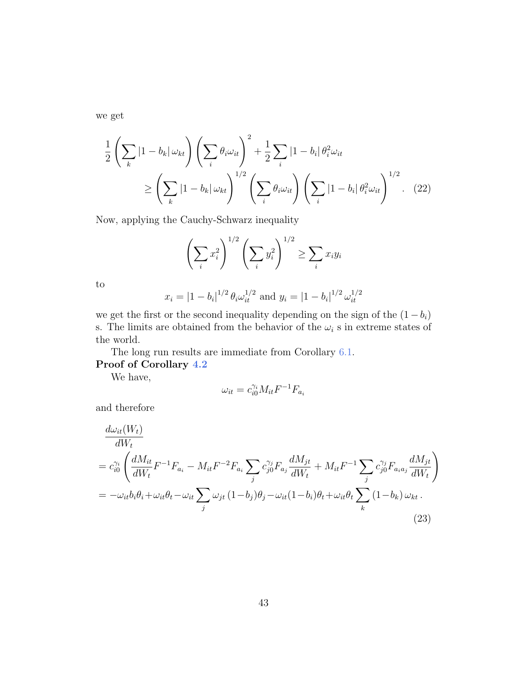we get

$$
\frac{1}{2}\left(\sum_{k}|1-b_{k}|\omega_{kt}\right)\left(\sum_{i}\theta_{i}\omega_{it}\right)^{2} + \frac{1}{2}\sum_{i}|1-b_{i}|\theta_{i}^{2}\omega_{it}
$$
\n
$$
\geq \left(\sum_{k}|1-b_{k}|\omega_{kt}\right)^{1/2}\left(\sum_{i}\theta_{i}\omega_{it}\right)\left(\sum_{i}|1-b_{i}|\theta_{i}^{2}\omega_{it}\right)^{1/2}.\tag{22}
$$

Now, applying the Cauchy-Schwarz inequality

$$
\left(\sum_{i} x_i^2\right)^{1/2} \left(\sum_{i} y_i^2\right)^{1/2} \ge \sum_{i} x_i y_i
$$

to

$$
x_i = |1 - b_i|^{1/2} \theta_i \omega_{it}^{1/2}
$$
 and  $y_i = |1 - b_i|^{1/2} \omega_{it}^{1/2}$ 

we get the first or the second inequality depending on the sign of the  $(1 - b_i)$ s. The limits are obtained from the behavior of the  $\omega_i$  s in extreme states of the world.

The long run results are immediate from Corollary 6.1.

Proof of Corollary 4.2

We have,

$$
\omega_{it}=c_{i0}^{\gamma_i}M_{it}F^{-1}F_{a_i}
$$

and therefore

$$
\frac{d\omega_{it}(W_t)}{dW_t}
$$
\n
$$
= c_{i0}^{\gamma_i} \left( \frac{dM_{it}}{dW_t} F^{-1} F_{a_i} - M_{it} F^{-2} F_{a_i} \sum_j c_{j0}^{\gamma_j} F_{a_j} \frac{dM_{jt}}{dW_t} + M_{it} F^{-1} \sum_j c_{j0}^{\gamma_j} F_{a_i a_j} \frac{dM_{jt}}{dW_t} \right)
$$
\n
$$
= -\omega_{it} b_i \theta_i + \omega_{it} \theta_t - \omega_{it} \sum_j \omega_{jt} (1 - b_j) \theta_j - \omega_{it} (1 - b_i) \theta_t + \omega_{it} \theta_t \sum_k (1 - b_k) \omega_{kt}.
$$
\n(23)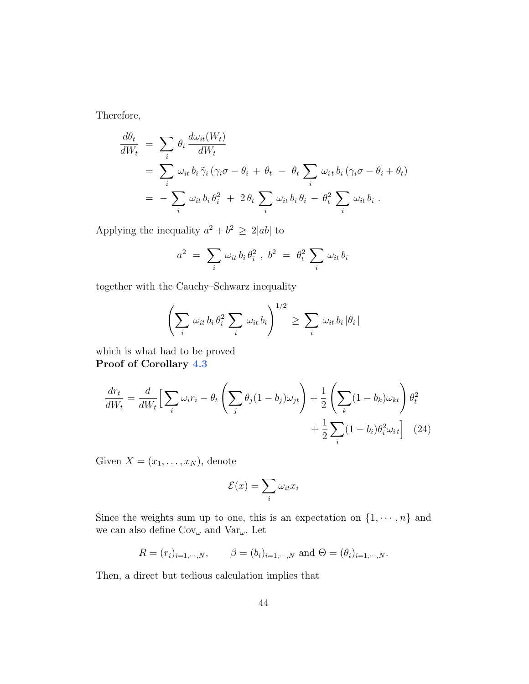Therefore,

$$
\frac{d\theta_t}{dW_t} = \sum_i \theta_i \frac{d\omega_{it}(W_t)}{dW_t}
$$
  
= 
$$
\sum_i \omega_{it} b_i \tilde{\gamma}_i (\gamma_i \sigma - \theta_i + \theta_t - \theta_t \sum_i \omega_{it} b_i (\gamma_i \sigma - \theta_i + \theta_t))
$$
  
= 
$$
-\sum_i \omega_{it} b_i \theta_i^2 + 2\theta_t \sum_i \omega_{it} b_i \theta_i - \theta_t^2 \sum_i \omega_{it} b_i.
$$

Applying the inequality  $a^2 + b^2 \ge 2|ab|$  to

$$
a^2 = \sum_i \omega_{it} b_i \theta_i^2, b^2 = \theta_t^2 \sum_i \omega_{it} b_i
$$

together with the Cauchy–Schwarz inequality

$$
\left(\sum_i \omega_{it} b_i \theta_i^2 \sum_i \omega_{it} b_i\right)^{1/2} \geq \sum_i \omega_{it} b_i |\theta_i|
$$

which is what had to be proved Proof of Corollary 4.3

$$
\frac{dr_t}{dW_t} = \frac{d}{dW_t} \Big[ \sum_i \omega_i r_i - \theta_t \left( \sum_j \theta_j (1 - b_j) \omega_{jt} \right) + \frac{1}{2} \left( \sum_k (1 - b_k) \omega_{kt} \right) \theta_t^2 + \frac{1}{2} \sum_i (1 - b_i) \theta_i^2 \omega_{it} \Big] \tag{24}
$$

Given  $X = (x_1, \ldots, x_N)$ , denote

$$
\mathcal{E}(x) = \sum_{i} \omega_{it} x_i
$$

Since the weights sum up to one, this is an expectation on  $\{1, \dots, n\}$  and we can also define  $\text{Cov}_{\omega}$  and  $\text{Var}_{\omega}.$  Let

$$
R = (r_i)_{i=1,\dots,N}
$$
,  $\beta = (b_i)_{i=1,\dots,N}$  and  $\Theta = (\theta_i)_{i=1,\dots,N}$ .

Then, a direct but tedious calculation implies that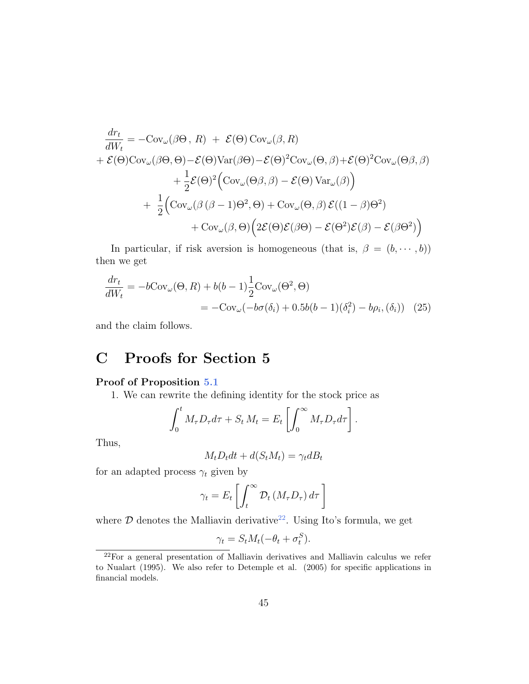$$
\frac{dr_t}{dW_t} = -\text{Cov}_{\omega}(\beta\Theta, R) + \mathcal{E}(\Theta)\text{Cov}_{\omega}(\beta, R) \n+ \mathcal{E}(\Theta)\text{Cov}_{\omega}(\beta\Theta, \Theta) - \mathcal{E}(\Theta)\text{Var}(\beta\Theta) - \mathcal{E}(\Theta)^2\text{Cov}_{\omega}(\Theta, \beta) + \mathcal{E}(\Theta)^2\text{Cov}_{\omega}(\Theta\beta, \beta) \n+ \frac{1}{2}\mathcal{E}(\Theta)^2(\text{Cov}_{\omega}(\Theta\beta, \beta) - \mathcal{E}(\Theta)\text{Var}_{\omega}(\beta)) \n+ \frac{1}{2}(\text{Cov}_{\omega}(\beta(\beta-1)\Theta^2, \Theta) + \text{Cov}_{\omega}(\Theta, \beta)\mathcal{E}((1-\beta)\Theta^2) \n+ \text{Cov}_{\omega}(\beta, \Theta)\Big(2\mathcal{E}(\Theta)\mathcal{E}(\beta\Theta) - \mathcal{E}(\Theta^2)\mathcal{E}(\beta) - \mathcal{E}(\beta\Theta^2)\Big)
$$

In particular, if risk aversion is homogeneous (that is,  $\beta = (b, \dots, b)$ ) then we get

$$
\frac{dr_t}{dW_t} = -b \text{Cov}_{\omega}(\Theta, R) + b(b-1) \frac{1}{2} \text{Cov}_{\omega}(\Theta^2, \Theta)
$$

$$
= -\text{Cov}_{\omega}(-b\sigma(\delta_i) + 0.5b(b-1)(\delta_i^2) - b\rho_i, (\delta_i)) \quad (25)
$$

and the claim follows.

## C Proofs for Section 5

### Proof of Proposition 5.1

1. We can rewrite the defining identity for the stock price as

$$
\int_0^t M_\tau D_\tau d\tau + S_t M_t = E_t \left[ \int_0^\infty M_\tau D_\tau d\tau \right].
$$

Thus,

$$
M_t D_t dt + d(S_t M_t) = \gamma_t dB_t
$$

for an adapted process  $\gamma_t$  given by

$$
\gamma_t = E_t \left[ \int_t^\infty \mathcal{D}_t \left( M_\tau D_\tau \right) d\tau \right]
$$

where  $D$  denotes the Malliavin derivative<sup>22</sup>. Using Ito's formula, we get

$$
\gamma_t = S_t M_t (-\theta_t + \sigma_t^S).
$$

 $22$ For a general presentation of Malliavin derivatives and Malliavin calculus we refer to Nualart (1995). We also refer to Detemple et al. (2005) for specific applications in financial models.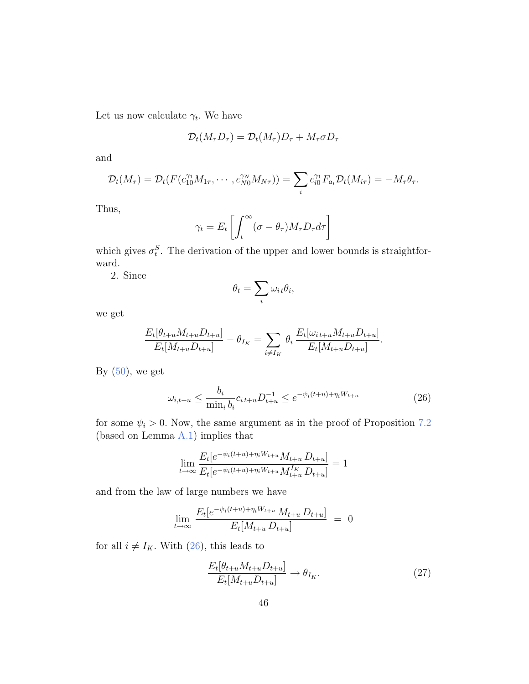Let us now calculate  $\gamma_t$ . We have

$$
\mathcal{D}_t(M_\tau D_\tau)=\mathcal{D}_t(M_\tau)D_\tau+M_\tau\sigma D_\tau
$$

and

$$
\mathcal{D}_t(M_\tau)=\mathcal{D}_t(F(c_{10}^{\gamma_1}M_{1\tau},\cdots,c_{N0}^{\gamma_N}M_{N\tau}))=\sum_i c_{i0}^{\gamma_1}F_{a_i}\mathcal{D}_t(M_{i\tau})=-M_\tau\theta_\tau.
$$

Thus,

$$
\gamma_t = E_t \left[ \int_t^\infty (\sigma - \theta_\tau) M_\tau D_\tau d\tau \right]
$$

which gives  $\sigma_t^S$ . The derivation of the upper and lower bounds is straightforward.

2. Since

$$
\theta_t = \sum_i \omega_{i\,t}\theta_i,
$$

we get

$$
\frac{E_t[\theta_{t+u}M_{t+u}D_{t+u}]}{E_t[M_{t+u}D_{t+u}]} - \theta_{I_K} = \sum_{i \neq I_K} \theta_i \frac{E_t[\omega_{i,t+u}M_{t+u}D_{t+u}]}{E_t[M_{t+u}D_{t+u}]}.
$$

By  $(50)$ , we get

$$
\omega_{i,t+u} \le \frac{b_i}{\min_i b_i} c_{i,t+u} D_{t+u}^{-1} \le e^{-\psi_i(t+u) + \eta_i W_{t+u}}
$$
\n(26)

for some  $\psi_i > 0$ . Now, the same argument as in the proof of Proposition 7.2 (based on Lemma A.1) implies that

$$
\lim_{t \to \infty} \frac{E_t[e^{-\psi_i(t+u) + \eta_i W_{t+u}} M_{t+u} D_{t+u}]}{E_t[e^{-\psi_i(t+u) + \eta_i W_{t+u}} M_{t+u}^{I_K} D_{t+u}]} = 1
$$

and from the law of large numbers we have

$$
\lim_{t \to \infty} \frac{E_t[e^{-\psi_i(t+u) + \eta_i W_{t+u}} M_{t+u} D_{t+u}]}{E_t[M_{t+u} D_{t+u}]} = 0
$$

for all  $i \neq I_K$ . With (26), this leads to

$$
\frac{E_t[\theta_{t+u}M_{t+u}D_{t+u}]}{E_t[M_{t+u}D_{t+u}]} \to \theta_{I_K}.\tag{27}
$$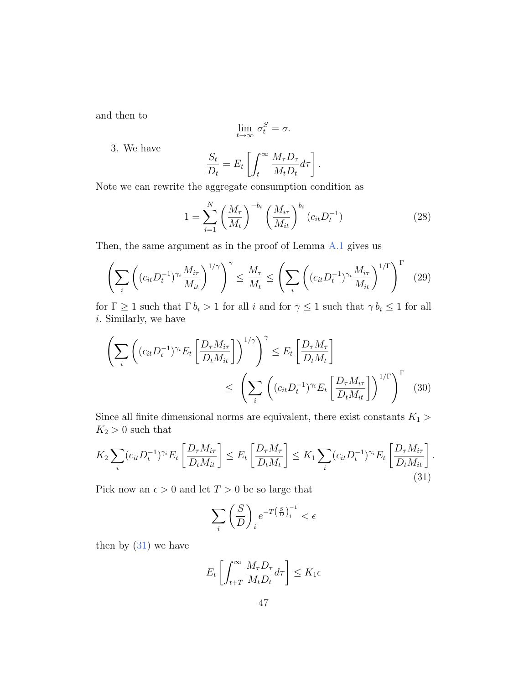and then to

$$
\lim_{t \to \infty} \sigma_t^S = \sigma.
$$

3. We have

$$
\frac{S_t}{D_t} = E_t \left[ \int_t^{\infty} \frac{M_{\tau} D_{\tau}}{M_t D_t} d\tau \right].
$$

Note we can rewrite the aggregate consumption condition as

$$
1 = \sum_{i=1}^{N} \left(\frac{M_{\tau}}{M_{t}}\right)^{-b_{i}} \left(\frac{M_{i\tau}}{M_{it}}\right)^{b_{i}} (c_{it} D_{t}^{-1})
$$
(28)

Then, the same argument as in the proof of Lemma A.1 gives us

$$
\left(\sum_{i} \left( (c_{it} D_t^{-1})^{\gamma_i} \frac{M_{i\tau}}{M_{it}} \right)^{1/\gamma} \right)^{\gamma} \le \frac{M_{\tau}}{M_t} \le \left( \sum_{i} \left( (c_{it} D_t^{-1})^{\gamma_i} \frac{M_{i\tau}}{M_{it}} \right)^{1/\Gamma} \right)^{\Gamma} \tag{29}
$$

for  $\Gamma \geq 1$  such that  $\Gamma b_i > 1$  for all i and for  $\gamma \leq 1$  such that  $\gamma b_i \leq 1$  for all i. Similarly, we have

$$
\left(\sum_{i} \left( (c_{it} D_t^{-1})^{\gamma_i} E_t \left[ \frac{D_\tau M_{i\tau}}{D_t M_{it}} \right] \right)^{1/\gamma} \right)^{\gamma} \le E_t \left[ \frac{D_\tau M_\tau}{D_t M_t} \right]
$$
\n
$$
\le \left(\sum_{i} \left( (c_{it} D_t^{-1})^{\gamma_i} E_t \left[ \frac{D_\tau M_{i\tau}}{D_t M_{it}} \right] \right)^{1/\Gamma} \right)^{\Gamma} \tag{30}
$$

Since all finite dimensional norms are equivalent, there exist constants  $K_1$  >  $K_2>0$  such that

$$
K_2 \sum_i (c_{it} D_t^{-1})^{\gamma_i} E_t \left[ \frac{D_\tau M_{i\tau}}{D_t M_{it}} \right] \le E_t \left[ \frac{D_\tau M_\tau}{D_t M_t} \right] \le K_1 \sum_i (c_{it} D_t^{-1})^{\gamma_i} E_t \left[ \frac{D_\tau M_{i\tau}}{D_t M_{it}} \right].
$$
\n(31)

Pick now an  $\epsilon > 0$  and let  $T > 0$  be so large that

$$
\sum_{i} \left(\frac{S}{D}\right)_{i} e^{-T\left(\frac{S}{D}\right)_{i}^{-1}} < \epsilon
$$

then by  $(31)$  we have

$$
E_t \left[ \int_{t+T}^{\infty} \frac{M_{\tau} D_{\tau}}{M_t D_t} d\tau \right] \le K_1 \epsilon
$$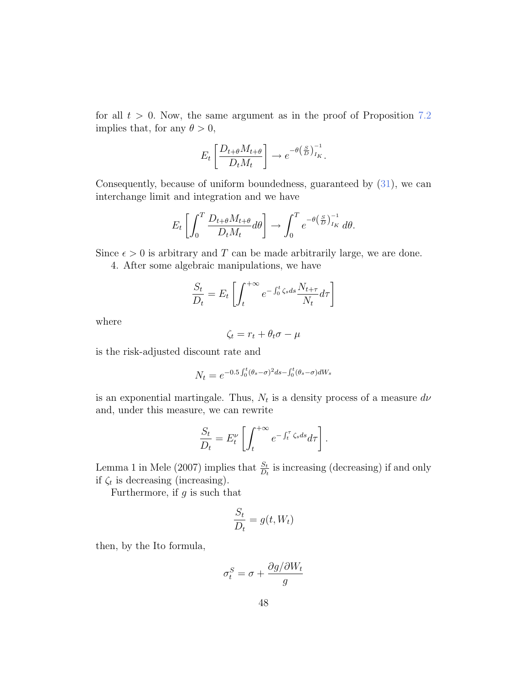for all  $t > 0$ . Now, the same argument as in the proof of Proposition 7.2 implies that, for any  $\theta > 0$ ,

$$
E_t \left[ \frac{D_{t+\theta} M_{t+\theta}}{D_t M_t} \right] \to e^{-\theta \left( \frac{S}{D} \right)_{I_K}^{-1}}.
$$

Consequently, because of uniform boundedness, guaranteed by (31), we can interchange limit and integration and we have

$$
E_t \left[ \int_0^T \frac{D_{t+\theta} M_{t+\theta}}{D_t M_t} d\theta \right] \to \int_0^T e^{-\theta \left( \frac{S}{D} \right)_{I_K}^{-1}} d\theta.
$$

Since  $\epsilon > 0$  is arbitrary and T can be made arbitrarily large, we are done.

4. After some algebraic manipulations, we have

$$
\frac{S_t}{D_t} = E_t \left[ \int_t^{+\infty} e^{-\int_0^t \zeta_s ds} \frac{N_{t+\tau}}{N_t} d\tau \right]
$$

where

$$
\zeta_t = r_t + \theta_t \sigma - \mu
$$

is the risk-adjusted discount rate and

$$
N_t = e^{-0.5 \int_0^t (\theta_s - \sigma)^2 ds - \int_0^t (\theta_s - \sigma) dW_s}
$$

is an exponential martingale. Thus,  $N_t$  is a density process of a measure  $d\nu$ and, under this measure, we can rewrite

$$
\frac{S_t}{D_t} = E_t^{\nu} \left[ \int_t^{+\infty} e^{-\int_t^{\tau} \zeta_s ds} d\tau \right].
$$

Lemma 1 in Mele (2007) implies that  $\frac{S_t}{D_t}$  is increasing (decreasing) if and only if  $\zeta_t$  is decreasing (increasing).

Furthermore, if  $g$  is such that

$$
\frac{S_t}{D_t} = g(t, W_t)
$$

then, by the Ito formula,

$$
\sigma_t^S = \sigma + \frac{\partial g/\partial W_t}{g}
$$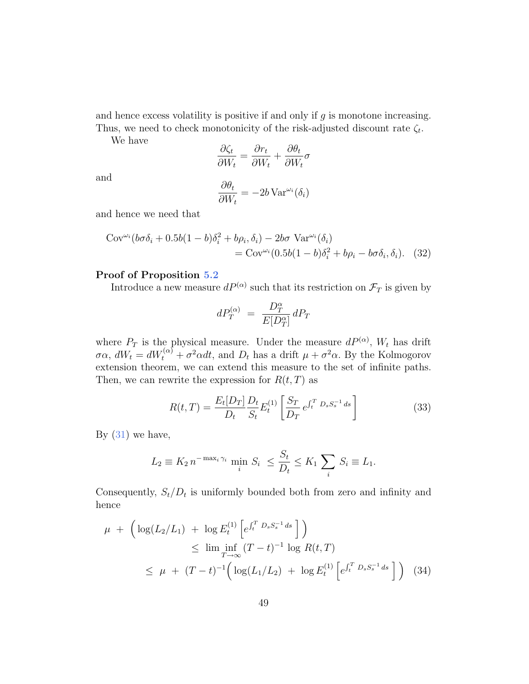and hence excess volatility is positive if and only if g is monotone increasing. Thus, we need to check monotonicity of the risk-adjusted discount rate  $\zeta_t$ .

We have

$$
\frac{\partial \zeta_t}{\partial W_t} = \frac{\partial r_t}{\partial W_t} + \frac{\partial \theta_t}{\partial W_t} \sigma
$$

and

$$
\frac{\partial \theta_t}{\partial W_t} = -2b \operatorname{Var}^{\omega_i}(\delta_i)
$$

and hence we need that

$$
\text{Cov}^{\omega_i} (b\sigma \delta_i + 0.5b(1 - b)\delta_i^2 + b\rho_i, \delta_i) - 2b\sigma \text{ Var}^{\omega_i}(\delta_i)
$$
  
= 
$$
\text{Cov}^{\omega_i} (0.5b(1 - b)\delta_i^2 + b\rho_i - b\sigma \delta_i, \delta_i).
$$
 (32)

#### Proof of Proposition 5.2

Introduce a new measure  $dP^{(\alpha)}$  such that its restriction on  $\mathcal{F}_T$  is given by

$$
dP_T^{(\alpha)}\ =\ \frac{D_T^\alpha}{E[D_T^\alpha]}\,dP_T
$$

where  $P_T$  is the physical measure. Under the measure  $dP^{(\alpha)}$ ,  $W_t$  has drift  $\sigma \alpha$ ,  $dW_t = dW_t^{(\alpha)} + \sigma^2 \alpha dt$ , and  $D_t$  has a drift  $\mu + \sigma^2 \alpha$ . By the Kolmogorov extension theorem, we can extend this measure to the set of infinite paths. Then, we can rewrite the expression for  $R(t, T)$  as

$$
R(t,T) = \frac{E_t[D_T]}{D_t} \frac{D_t}{S_t} E_t^{(1)} \left[ \frac{S_T}{D_T} e^{\int_t^T D_s S_s^{-1} ds} \right]
$$
(33)

By  $(31)$  we have,

$$
L_2 \equiv K_2 n^{-\max_i \gamma_i} \min_i S_i \le \frac{S_t}{D_t} \le K_1 \sum_i S_i \equiv L_1.
$$

Consequently,  $S_t/D_t$  is uniformly bounded both from zero and infinity and hence

$$
\mu + \left( \log(L_2/L_1) + \log E_t^{(1)} \left[ e^{\int_t^T D_s S_s^{-1} ds} \right] \right)
$$
  
\n
$$
\leq \liminf_{T \to \infty} (T - t)^{-1} \log R(t, T)
$$
  
\n
$$
\leq \mu + (T - t)^{-1} \left( \log(L_1/L_2) + \log E_t^{(1)} \left[ e^{\int_t^T D_s S_s^{-1} ds} \right] \right) (34)
$$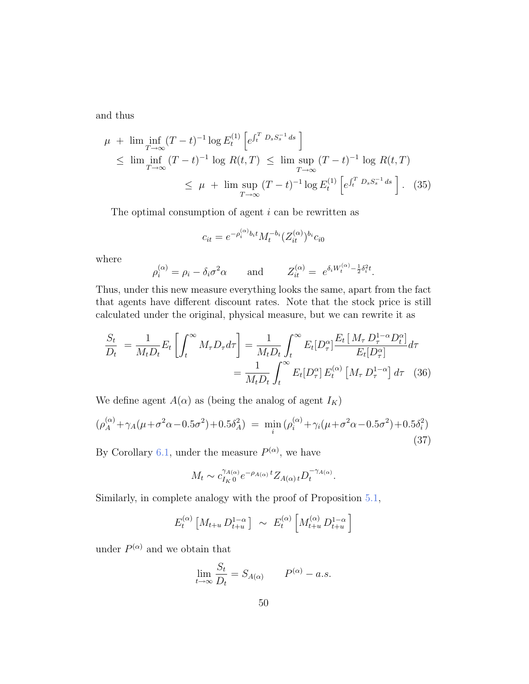and thus

$$
\mu + \liminf_{T \to \infty} (T - t)^{-1} \log E_t^{(1)} \left[ e^{\int_t^T D_s S_s^{-1} ds} \right]
$$
  
\n
$$
\leq \liminf_{T \to \infty} (T - t)^{-1} \log R(t, T) \leq \limsup_{T \to \infty} (T - t)^{-1} \log R(t, T)
$$
  
\n
$$
\leq \mu + \limsup_{T \to \infty} (T - t)^{-1} \log E_t^{(1)} \left[ e^{\int_t^T D_s S_s^{-1} ds} \right].
$$
 (35)

The optimal consumption of agent  $i$  can be rewritten as

$$
c_{it} = e^{-\rho_i^{(\alpha)} b_i t} M_t^{-b_i} (Z_{it}^{(\alpha)})^{b_i} c_{i0}
$$

where

$$
\rho_i^{(\alpha)} = \rho_i - \delta_i \sigma^2 \alpha \quad \text{and} \quad Z_{it}^{(\alpha)} = e^{\delta_i W_t^{(\alpha)} - \frac{1}{2} \delta_i^2 t}.
$$

Thus, under this new measure everything looks the same, apart from the fact that agents have different discount rates. Note that the stock price is still calculated under the original, physical measure, but we can rewrite it as

$$
\frac{S_t}{D_t} = \frac{1}{M_t D_t} E_t \left[ \int_t^{\infty} M_\tau D_\tau d\tau \right] = \frac{1}{M_t D_t} \int_t^{\infty} E_t [D_\tau^{\alpha}] \frac{E_t [M_\tau D_\tau^{1-\alpha} D_t^{\alpha}]}{E_t [D_\tau^{\alpha}]} d\tau
$$

$$
= \frac{1}{M_t D_t} \int_t^{\infty} E_t [D_\tau^{\alpha}] E_t^{(\alpha)} [M_\tau D_\tau^{1-\alpha}] d\tau \quad (36)
$$

We define agent  $A(\alpha)$  as (being the analog of agent  $I_K)$ 

$$
(\rho_A^{(\alpha)} + \gamma_A(\mu + \sigma^2 \alpha - 0.5\sigma^2) + 0.5\delta_A^2) = \min_i (\rho_i^{(\alpha)} + \gamma_i(\mu + \sigma^2 \alpha - 0.5\sigma^2) + 0.5\delta_i^2)
$$
\n(37)

By Corollary 6.1, under the measure  $P^{(\alpha)}$ , we have

$$
M_t \sim c_{I_K 0}^{\gamma_{A(\alpha)}} e^{-\rho_{A(\alpha)} t} Z_{A(\alpha)t} D_t^{-\gamma_{A(\alpha)}}.
$$

Similarly, in complete analogy with the proof of Proposition 5.1,

$$
E_t^{(\alpha)} \left[ M_{t+u} D_{t+u}^{1-\alpha} \right] \sim E_t^{(\alpha)} \left[ M_{t+u}^{(\alpha)} D_{t+u}^{1-\alpha} \right]
$$

under  $P^{(\alpha)}$  and we obtain that

$$
\lim_{t \to \infty} \frac{S_t}{D_t} = S_{A(\alpha)} \qquad P^{(\alpha)} - a.s.
$$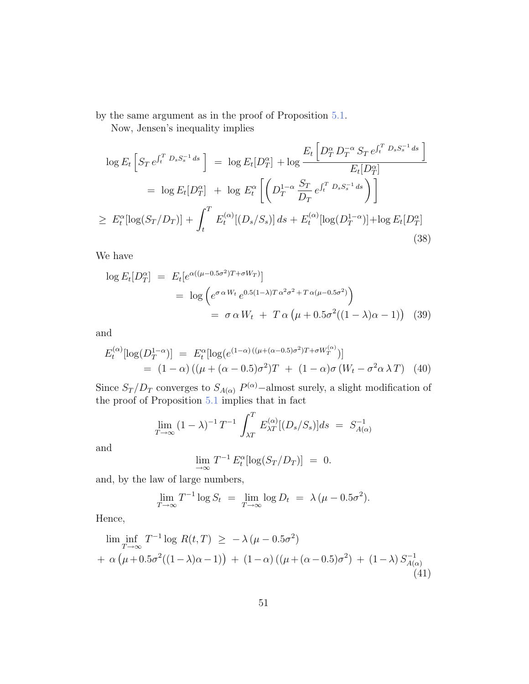by the same argument as in the proof of Proposition 5.1.

Now, Jensen's inequality implies

$$
\log E_t \left[ S_T e^{\int_t^T D_s S_s^{-1} ds} \right] = \log E_t [D_T^{\alpha}] + \log \frac{E_t \left[ D_T^{\alpha} D_T^{-\alpha} S_T e^{\int_t^T D_s S_s^{-1} ds} \right]}{E_t [D_T^{\alpha}]}
$$
  
\n
$$
= \log E_t [D_T^{\alpha}] + \log E_t^{\alpha} \left[ \left( D_T^{1-\alpha} \frac{S_T}{D_T} e^{\int_t^T D_s S_s^{-1} ds} \right) \right]
$$
  
\n
$$
\ge E_t^{\alpha} [\log(S_T/D_T)] + \int_t^T E_t^{(\alpha)} [(D_s/S_s)] ds + E_t^{(\alpha)} [\log(D_T^{1-\alpha})] + \log E_t [D_T^{\alpha}]
$$
  
\n(38)

We have

$$
\log E_t[D_T^{\alpha}] = E_t[e^{\alpha((\mu - 0.5\sigma^2)T + \sigma W_T)}]
$$
  
= 
$$
\log \left(e^{\sigma \alpha W_t} e^{0.5(1-\lambda)T\alpha^2 \sigma^2 + T\alpha(\mu - 0.5\sigma^2)}\right)
$$
  
= 
$$
\sigma \alpha W_t + T\alpha \left(\mu + 0.5\sigma^2((1-\lambda)\alpha - 1)\right)
$$
 (39)

and

$$
E_t^{(\alpha)}[\log(D_T^{1-\alpha})] = E_t^{\alpha}[\log(e^{(1-\alpha)((\mu+(\alpha-0.5)\sigma^2)T+\sigma W_T^{(\alpha)})}]
$$
  
= (1-\alpha)((\mu+(\alpha-0.5)\sigma^2)T + (1-\alpha)\sigma(W\_t - \sigma^2\alpha \lambda T) (40)

Since  $S_T/D_T$  converges to  $S_{A(\alpha)} P^{(\alpha)}$  –almost surely, a slight modification of the proof of Proposition 5.1 implies that in fact

$$
\lim_{T \to \infty} (1 - \lambda)^{-1} T^{-1} \int_{\lambda T}^{T} E_{\lambda T}^{(\alpha)}[(D_s/S_s)] ds = S_{A(\alpha)}^{-1}
$$

and

$$
\lim_{T \to \infty} T^{-1} E_t^{\alpha} [\log(S_T/D_T)] = 0.
$$

and, by the law of large numbers,

$$
\lim_{T \to \infty} T^{-1} \log S_t = \lim_{T \to \infty} \log D_t = \lambda (\mu - 0.5\sigma^2).
$$

Hence,

$$
\liminf_{T \to \infty} T^{-1} \log R(t, T) \ge -\lambda (\mu - 0.5\sigma^2) + \alpha (\mu + 0.5\sigma^2 ((1 - \lambda)\alpha - 1)) + (1 - \alpha) ((\mu + (\alpha - 0.5)\sigma^2) + (1 - \lambda) S_{A(\alpha)}^{-1} (41))
$$
\n(41)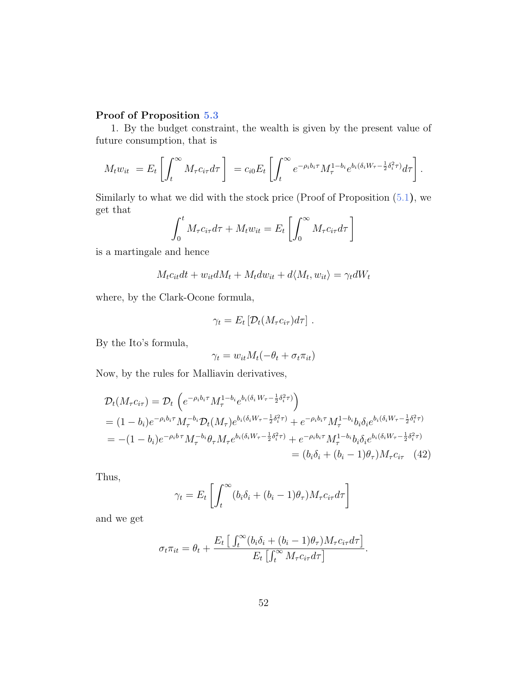### Proof of Proposition 5.3

1. By the budget constraint, the wealth is given by the present value of future consumption, that is

$$
M_t w_{it} = E_t \left[ \int_t^{\infty} M_\tau c_{i\tau} d\tau \right] = c_{i0} E_t \left[ \int_t^{\infty} e^{-\rho_i b_i \tau} M_\tau^{1-b_i} e^{b_i (\delta_i W_\tau - \frac{1}{2} \delta_i^2 \tau)} d\tau \right].
$$

Similarly to what we did with the stock price (Proof of Proposition  $(5.1)$ , we get that

$$
\int_0^t M_\tau c_{i\tau} d\tau + M_t w_{it} = E_t \left[ \int_0^\infty M_\tau c_{i\tau} d\tau \right]
$$

is a martingale and hence

$$
M_t c_{it} dt + w_{it} dM_t + M_t dw_{it} + d\langle M_t, w_{it} \rangle = \gamma_t dW_t
$$

where, by the Clark-Ocone formula,

$$
\gamma_t = E_t \left[ \mathcal{D}_t (M_\tau c_{i\tau}) d\tau \right].
$$

By the Ito's formula,

$$
\gamma_t = w_{it} M_t(-\theta_t + \sigma_t \pi_{it})
$$

Now, by the rules for Malliavin derivatives,

$$
\mathcal{D}_{t}(M_{\tau}c_{i\tau}) = \mathcal{D}_{t} \left( e^{-\rho_{i}b_{i}\tau} M_{\tau}^{1-b_{i}} e^{b_{i}(\delta_{i} W_{\tau} - \frac{1}{2}\delta_{i}^{2}\tau)} \right)
$$
\n
$$
= (1 - b_{i})e^{-\rho_{i}b_{i}\tau} M_{\tau}^{-b_{i}} \mathcal{D}_{t}(M_{\tau}) e^{b_{i}(\delta_{i} W_{\tau} - \frac{1}{2}\delta_{i}^{2}\tau)} + e^{-\rho_{i}b_{i}\tau} M_{\tau}^{1-b_{i}} b_{i} \delta_{i} e^{b_{i}(\delta_{i} W_{\tau} - \frac{1}{2}\delta_{i}^{2}\tau)}
$$
\n
$$
= -(1 - b_{i})e^{-\rho_{i}b\tau} M_{\tau}^{-b_{i}} \theta_{\tau} M_{\tau} e^{b_{i}(\delta_{i} W_{\tau} - \frac{1}{2}\delta_{i}^{2}\tau)} + e^{-\rho_{i}b_{i}\tau} M_{\tau}^{1-b_{i}} b_{i} \delta_{i} e^{b_{i}(\delta_{i} W_{\tau} - \frac{1}{2}\delta_{i}^{2}\tau)}
$$
\n
$$
= (b_{i}\delta_{i} + (b_{i} - 1)\theta_{\tau}) M_{\tau} c_{i\tau} \quad (42)
$$

Thus,

$$
\gamma_t = E_t \left[ \int_t^\infty (b_i \delta_i + (b_i - 1)\theta_\tau) M_\tau c_{i\tau} d\tau \right]
$$

and we get

$$
\sigma_t \pi_{it} = \theta_t + \frac{E_t \left[ \int_t^{\infty} (b_i \delta_i + (b_i - 1)\theta_\tau) M_\tau c_{i\tau} d\tau \right]}{E_t \left[ \int_t^{\infty} M_\tau c_{i\tau} d\tau \right]}.
$$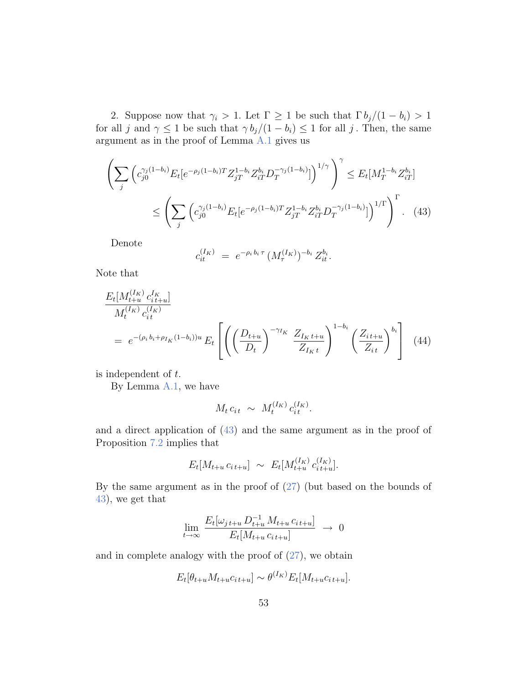2. Suppose now that  $\gamma_i > 1$ . Let  $\Gamma \geq 1$  be such that  $\Gamma b_j/(1 - b_i) > 1$ for all j and  $\gamma \leq 1$  be such that  $\gamma b_j/(1-b_i) \leq 1$  for all j. Then, the same argument as in the proof of Lemma A.1 gives us

$$
\left(\sum_{j} \left(c_{j0}^{\gamma_j(1-b_i)} E_t[e^{-\rho_j(1-b_i)T} Z_{jT}^{1-b_i} Z_{iT}^{b_i} D_T^{-\gamma_j(1-b_i)}]\right)^{1/\gamma}\right)^{\gamma} \leq E_t[M_T^{1-b_i} Z_{iT}^{b_i}]
$$
\n
$$
\leq \left(\sum_{j} \left(c_{j0}^{\gamma_j(1-b_i)} E_t[e^{-\rho_j(1-b_i)T} Z_{jT}^{1-b_i} Z_{iT}^{b_i} D_T^{-\gamma_j(1-b_i)}]\right)^{1/\Gamma}\right)^{\Gamma}.
$$
\n(43)

Denote

$$
c_{it}^{(I_K)} = e^{-\rho_i b_i \tau} (M_{\tau}^{(I_K)})^{-b_i} Z_{it}^{b_i}.
$$

Note that

$$
\frac{E_t[M_{t+u}^{(I_K)} c_{it+u}^{I_K}]}{M_t^{(I_K)} c_{it}^{(I_K)}}
$$
\n
$$
= e^{-(\rho_i b_i + \rho_{I_K}(1 - b_i))u} E_t \left[ \left( \left( \frac{D_{t+u}}{D_t} \right)^{-\gamma_{I_K}} \frac{Z_{I_K t+u}}{Z_{I_K t}} \right)^{1 - b_i} \left( \frac{Z_{it+u}}{Z_{it}} \right)^{b_i} \right] (44)
$$

is independent of t.

By Lemma A.1, we have

$$
M_t c_{it} \sim M_t^{(I_K)} c_{it}^{(I_K)}.
$$

and a direct application of (43) and the same argument as in the proof of Proposition 7.2 implies that

$$
E_t[M_{t+u} c_{it+u}] \sim E_t[M_{t+u}^{(I_K)} c_{it+u}^{(I_K)}].
$$

By the same argument as in the proof of (27) (but based on the bounds of 43), we get that

$$
\lim_{t \to \infty} \frac{E_t[\omega_{j,t+u} D_{t+u}^{-1} M_{t+u} c_{i,t+u}]}{E_t[M_{t+u} c_{i,t+u}]} \to 0
$$

and in complete analogy with the proof of  $(27)$ , we obtain

$$
E_t[\theta_{t+u}M_{t+u}c_{it+u}] \sim \theta^{(I_K)}E_t[M_{t+u}c_{it+u}].
$$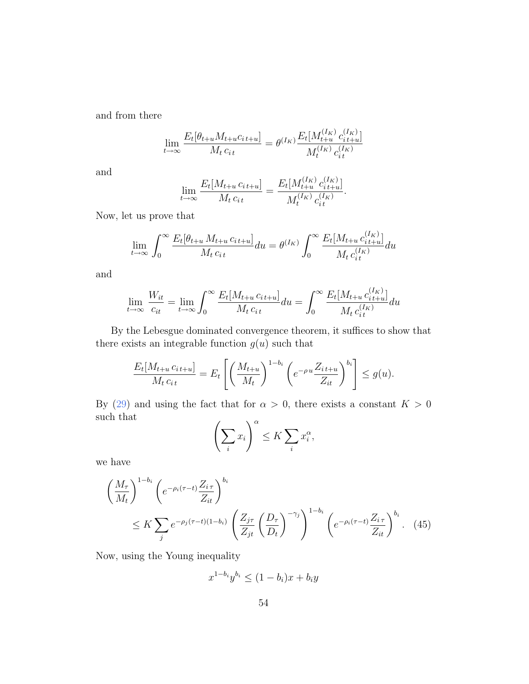and from there

$$
\lim_{t \to \infty} \frac{E_t[\theta_{t+u} M_{t+u} c_{i,t+u}]}{M_t c_{i,t}} = \theta^{(I_K)} \frac{E_t[M_{t+u}^{(I_K)} c_{i,t+u}^{(I_K)}]}{M_t^{(I_K)} c_{i,t}^{(I_K)}}
$$

and

$$
\lim_{t \to \infty} \frac{E_t[M_{t+u} c_{it+u}]}{M_t c_{it}} = \frac{E_t[M_{t+u}^{(I_K)} c_{it+u}^{(I_K)}]}{M_t^{(I_K)} c_{it}^{(I_K)}}.
$$

Now, let us prove that

$$
\lim_{t \to \infty} \int_0^\infty \frac{E_t[\theta_{t+u} M_{t+u} c_{it+u}]}{M_t c_{it}} du = \theta^{(I_K)} \int_0^\infty \frac{E_t[M_{t+u} c_{it+u}^{(I_K)}]}{M_t c_{it}^{(I_K)}} du
$$

and

$$
\lim_{t \to \infty} \frac{W_{it}}{c_{it}} = \lim_{t \to \infty} \int_0^\infty \frac{E_t[M_{t+u} c_{it+u}]}{M_t c_{it}} du = \int_0^\infty \frac{E_t[M_{t+u} c_{it+u}^{(I_K)}]}{M_t c_{it}^{(I_K)}} du
$$

By the Lebesgue dominated convergence theorem, it suffices to show that there exists an integrable function  $g(u)$  such that

$$
\frac{E_t[M_{t+u} c_{it+u}]}{M_t c_{it}} = E_t \left[ \left( \frac{M_{t+u}}{M_t} \right)^{1-b_i} \left( e^{-\rho u} \frac{Z_{it+u}}{Z_{it}} \right)^{b_i} \right] \le g(u).
$$

By (29) and using the fact that for  $\alpha > 0$ , there exists a constant  $K > 0$ such that

$$
\left(\sum_{i} x_{i}\right)^{\alpha} \leq K \sum_{i} x_{i}^{\alpha},
$$

we have

$$
\left(\frac{M_{\tau}}{M_{t}}\right)^{1-b_{i}}\left(e^{-\rho_{i}(\tau-t)}\frac{Z_{i\tau}}{Z_{it}}\right)^{b_{i}}\leq K\sum_{j}e^{-\rho_{j}(\tau-t)(1-b_{i})}\left(\frac{Z_{j\tau}}{Z_{jt}}\left(\frac{D_{\tau}}{D_{t}}\right)^{-\gamma_{j}}\right)^{1-b_{i}}\left(e^{-\rho_{i}(\tau-t)}\frac{Z_{i\tau}}{Z_{it}}\right)^{b_{i}}.\tag{45}
$$

Now, using the Young inequality

$$
x^{1-b_i}y^{b_i} \le (1-b_i)x + b_iy
$$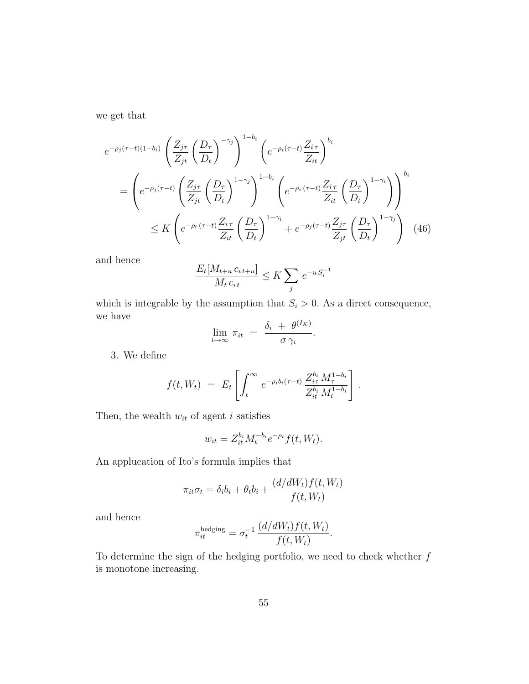we get that

$$
e^{-\rho_j(\tau-t)(1-b_i)} \left(\frac{Z_{j\tau}}{Z_{jt}} \left(\frac{D_{\tau}}{D_{t}}\right)^{-\gamma_j}\right)^{1-b_i} \left(e^{-\rho_i(\tau-t)} \frac{Z_{i\tau}}{Z_{it}}\right)^{b_i}
$$
  

$$
= \left(e^{-\rho_j(\tau-t)} \left(\frac{Z_{j\tau}}{Z_{jt}} \left(\frac{D_{\tau}}{D_{t}}\right)^{1-\gamma_j}\right)^{1-b_i} \left(e^{-\rho_i(\tau-t)} \frac{Z_{i\tau}}{Z_{it}} \left(\frac{D_{\tau}}{D_{t}}\right)^{1-\gamma_i}\right)\right)^{b_i}
$$
  

$$
\leq K \left(e^{-\rho_i(\tau-t)} \frac{Z_{i\tau}}{Z_{it}} \left(\frac{D_{\tau}}{D_{t}}\right)^{1-\gamma_i} + e^{-\rho_j(\tau-t)} \frac{Z_{j\tau}}{Z_{jt}} \left(\frac{D_{\tau}}{D_{t}}\right)^{1-\gamma_j}\right) (46)
$$

and hence

$$
\frac{E_t[M_{t+u}c_{i\cdot t+u}]}{M_t c_{i\cdot t}} \le K \sum_j e^{-u S_i^{-1}}
$$

which is integrable by the assumption that  $S_i > 0$ . As a direct consequence, we have  $(I_{\infty})$ 

$$
\lim_{t\to\infty}\,\pi_{it}\;=\;\frac{\delta_i\;+\;\theta^{(I_K)}}{\sigma\,\gamma_i}.
$$

3. We define

$$
f(t, W_t) = E_t \left[ \int_t^{\infty} e^{-\rho_i b_i (\tau - t)} \frac{Z_{i\tau}^{b_i} M_{\tau}^{1 - b_i}}{Z_{i t}^{b_i} M_t^{1 - b_i}} \right].
$$

Then, the wealth  $w_{it}$  of agent  $i$  satisfies

$$
w_{it} = Z_{it}^{b_i} M_t^{-b_i} e^{-\rho_t} f(t, W_t).
$$

An applucation of Ito's formula implies that

$$
\pi_{it}\sigma_t = \delta_i b_i + \theta_t b_i + \frac{(d/dW_t)f(t, W_t)}{f(t, W_t)}
$$

and hence

$$
\pi_{it}^{\text{hedging}} = \sigma_t^{-1} \frac{(d/dW_t) f(t, W_t)}{f(t, W_t)}.
$$

To determine the sign of the hedging portfolio, we need to check whether  $\boldsymbol{f}$ is monotone increasing.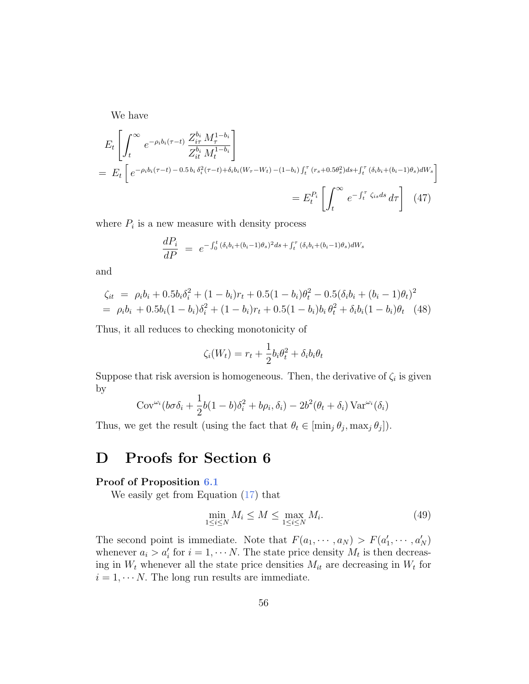We have

$$
E_{t} \left[ \int_{t}^{\infty} e^{-\rho_{i} b_{i} (\tau - t)} \frac{Z_{i\tau}^{b_{i}} M_{\tau}^{1 - b_{i}}}{Z_{i t}^{b_{i}} M_{t}^{1 - b_{i}}} \right]
$$
  
=  $E_{t} \left[ e^{-\rho_{i} b_{i} (\tau - t) - 0.5 b_{i} \delta_{i}^{2} (\tau - t) + \delta_{i} b_{i} (W_{\tau} - W_{t}) - (1 - b_{i}) \int_{t}^{\tau} (r_{s} + 0.5\theta_{s}^{2}) ds + \int_{t}^{\tau} (\delta_{i} b_{i} + (b_{i} - 1)\theta_{s}) dW_{s}} \right]$   
=  $E_{t}^{P_{i}} \left[ \int_{t}^{\infty} e^{-\int_{t}^{\tau} \zeta_{is} ds} d\tau \right]$  (47)

where  $P_i$  is a new measure with density process

$$
\frac{dP_i}{dP} = e^{-\int_0^t (\delta_i b_i + (b_i - 1)\theta_s)^2 ds + \int_t^{\tau} (\delta_i b_i + (b_i - 1)\theta_s) dW_s}
$$

and

$$
\zeta_{it} = \rho_i b_i + 0.5b_i \delta_i^2 + (1 - b_i)r_t + 0.5(1 - b_i)\theta_t^2 - 0.5(\delta_i b_i + (b_i - 1)\theta_t)^2
$$
  
=  $\rho_i b_i + 0.5b_i(1 - b_i)\delta_i^2 + (1 - b_i)r_t + 0.5(1 - b_i)b_i \theta_t^2 + \delta_i b_i(1 - b_i)\theta_t$  (48)

Thus, it all reduces to checking monotonicity of

$$
\zeta_i(W_t) = r_t + \frac{1}{2}b_i\theta_t^2 + \delta_i b_i \theta_t
$$

Suppose that risk aversion is homogeneous. Then, the derivative of  $\zeta_i$  is given by

$$
Cov^{\omega_i}(b\sigma\delta_i + \frac{1}{2}b(1-b)\delta_i^2 + b\rho_i, \delta_i) - 2b^2(\theta_t + \delta_i) \operatorname{Var}^{\omega_i}(\delta_i)
$$

Thus, we get the result (using the fact that  $\theta_t \in [\min_j \theta_j, \max_j \theta_j]).$ 

## D Proofs for Section 6

### Proof of Proposition 6.1

We easily get from Equation (17) that

$$
\min_{1 \le i \le N} M_i \le M \le \max_{1 \le i \le N} M_i. \tag{49}
$$

The second point is immediate. Note that  $F(a_1, \dots, a_N) > F(a'_1, \dots, a'_N)$ whenever  $a_i > a'_i$  for  $i = 1, \dots N$ . The state price density  $M_t$  is then decreasing in  $W_t$  whenever all the state price densities  $M_{it}$  are decreasing in  $W_t$  for  $i = 1, \dots N$ . The long run results are immediate.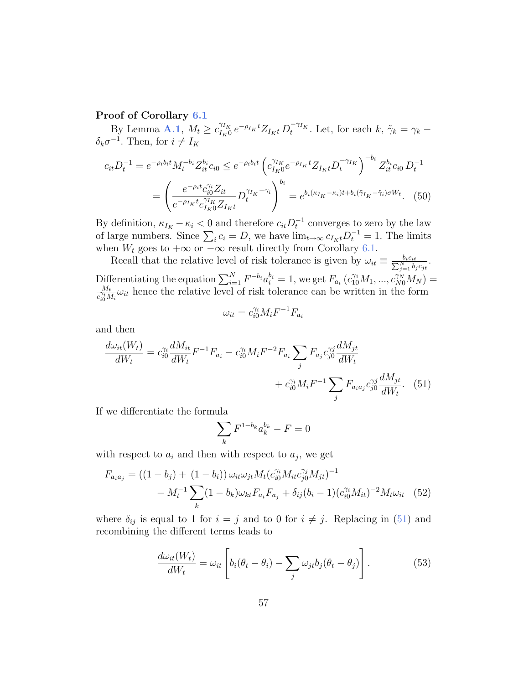### Proof of Corollary 6.1

By Lemma A.1,  $M_t \geq c_{I_K}^{\gamma_{I_K}}$  $\tilde{C}_{I_K0}^{\gamma_{I_K}} e^{-\rho_{I_K}t} Z_{I_Kt} D_t^{-\gamma_{I_K}}$ . Let, for each  $k, \tilde{\gamma}_k = \gamma_k \delta_k \sigma^{-1}$ . Then, for  $i \neq I_K$ 

$$
c_{it}D_t^{-1} = e^{-\rho_i b_i t} M_t^{-b_i} Z_{it}^{b_i} c_{i0} \le e^{-\rho_i b_i t} \left( c_{I_K 0}^{\gamma_{I_K}} e^{-\rho_{I_K} t} Z_{I_K t} D_t^{-\gamma_{I_K}} \right)^{-b_i} Z_{it}^{b_i} c_{i0} D_t^{-1}
$$

$$
= \left( \frac{e^{-\rho_i t} c_{i0}^{\gamma_i} Z_{it}}{e^{-\rho_{I_K} t} c_{I_K 0}^{\gamma_{I_K}} Z_{I_K t}} D_t^{\gamma_{I_K} - \gamma_i} \right)^{b_i} = e^{b_i (\kappa_{I_K} - \kappa_i) t + b_i (\gamma_{I_K} - \gamma_i) \sigma W_t} . \tag{50}
$$

By definition,  $\kappa_{I_K} - \kappa_i < 0$  and therefore  $c_{it} D_t^{-1}$  converges to zero by the law of large numbers. Since  $\sum_i c_i = D$ , we have  $\lim_{t\to\infty} c_{I_Kt} D_t^{-1} = 1$ . The limits when  $W_t$  goes to  $+\infty$  or  $-\infty$  result directly from Corollary 6.1.

Recall that the relative level of risk tolerance is given by  $\omega_{it} \equiv \frac{b_i c_{it}}{\sum_{j=1}^{N} b_j c_{jt}}$ . Differentiating the equation  $\sum_{i=1}^{N} F^{-b_i} a_i^{b_i} = 1$ , we get  $F_{a_i} (c_{10}^{\gamma_1} M_1, ..., c_{N0}^{\gamma_N} M_N) =$ <br> $\frac{M_t}{\gamma_1}$ , thence the relative level of risk tolerance can be written in the form  $\frac{M_t}{c_{i0}^{ij}M_i}\omega_{it}$  hence the relative level of risk tolerance can be written in the form

$$
\omega_{it}=c_{i0}^{\gamma_i}M_iF^{-1}F_{a_i}
$$

and then

$$
\frac{d\omega_{it}(W_t)}{dW_t} = c_{i0}^{\gamma_i} \frac{dM_{it}}{dW_t} F^{-1} F_{a_i} - c_{i0}^{\gamma_i} M_i F^{-2} F_{a_i} \sum_j F_{a_j} c_{j0}^{\gamma_j} \frac{dM_{jt}}{dW_t} + c_{i0}^{\gamma_i} M_i F^{-1} \sum_j F_{a_i a_j} c_{j0}^{\gamma_j} \frac{dM_{jt}}{dW_t}.
$$
 (51)

If we differentiate the formula

$$
\sum_{k} F^{1-b_k} a_k^{b_k} - F = 0
$$

with respect to  $a_i$  and then with respect to  $a_j$ , we get

$$
F_{a_i a_j} = ((1 - b_j) + (1 - b_i)) \omega_{it} \omega_{jt} M_t (c_{i0}^{\gamma_i} M_{it} c_{j0}^{\gamma_j} M_{jt})^{-1}
$$

$$
- M_t^{-1} \sum_k (1 - b_k) \omega_{kt} F_{a_i} F_{a_j} + \delta_{ij} (b_i - 1) (c_{i0}^{\gamma_i} M_{it})^{-2} M_t \omega_{it} \quad (52)
$$

where  $\delta_{ij}$  is equal to 1 for  $i = j$  and to 0 for  $i \neq j$ . Replacing in (51) and recombining the different terms leads to

$$
\frac{d\omega_{it}(W_t)}{dW_t} = \omega_{it} \left[ b_i(\theta_t - \theta_i) - \sum_j \omega_{jt} b_j(\theta_t - \theta_j) \right]. \tag{53}
$$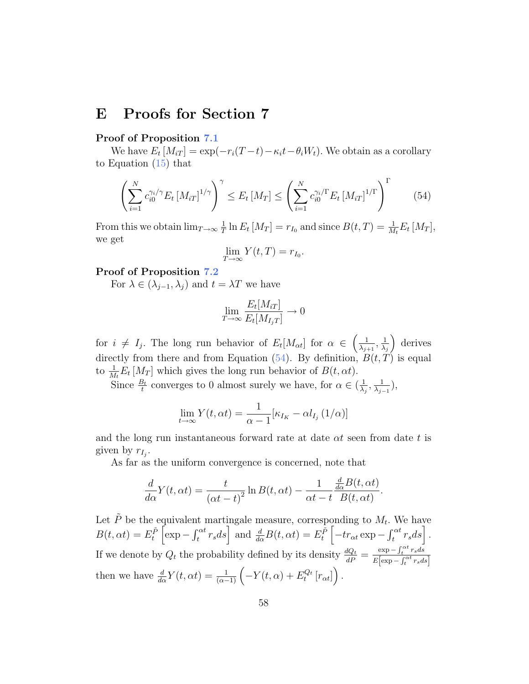### E Proofs for Section 7

### Proof of Proposition 7.1

We have  $E_t\left[M_{iT}\right] = \exp(-r_i(T-t) - \kappa_i t - \theta_i W_t)$ . We obtain as a corollary to Equation (15) that

$$
\left(\sum_{i=1}^{N} c_{i0}^{\gamma_i/\gamma} E_t \left[M_{iT}\right]^{1/\gamma}\right)^{\gamma} \le E_t \left[M_T\right] \le \left(\sum_{i=1}^{N} c_{i0}^{\gamma_i/\Gamma} E_t \left[M_{iT}\right]^{1/\Gamma}\right)^{\Gamma} \tag{54}
$$

From this we obtain  $\lim_{T\to\infty}\frac{1}{T}$  $\frac{1}{T} \ln E_t \left[ M_T \right] = r_{I_0}$  and since  $B(t,T) = \frac{1}{M_t} E_t \left[ M_T \right],$ we get

$$
\lim_{T \to \infty} Y(t,T) = r_{I_0}.
$$

### Proof of Proposition 7.2

For  $\lambda \in (\lambda_{i-1}, \lambda_i)$  and  $t = \lambda T$  we have

$$
\lim_{T \to \infty} \frac{E_t[M_{iT}]}{E_t[M_{I_jT}]} \to 0
$$

for  $i \neq I_j$ . The long run behavior of  $E_t[M_{\alpha t}]$  for  $\alpha \in \left(\frac{1}{\lambda_i}\right)$  $\frac{1}{\lambda_{j+1}}, \frac{1}{\lambda_{j}}$  $\lambda_j$  derives directly from there and from Equation (54). By definition,  $B(t, T)$  is equal to  $\frac{1}{M_t} E_t [M_T]$  which gives the long run behavior of  $B(t, \alpha t)$ .

Since  $\frac{B_t}{t}$  converges to 0 almost surely we have, for  $\alpha \in (\frac{1}{\lambda})$  $\frac{1}{\lambda_j}, \frac{1}{\lambda_j}$  $\frac{1}{\lambda_{j-1}}\big),$ 

$$
\lim_{t \to \infty} Y(t, \alpha t) = \frac{1}{\alpha - 1} [\kappa_{I_K} - \alpha l_{I_j} (1/\alpha)]
$$

and the long run instantaneous forward rate at date  $\alpha t$  seen from date t is given by  $r_{I_j}$ .

As far as the uniform convergence is concerned, note that

$$
\frac{d}{d\alpha}Y(t,\alpha t) = \frac{t}{(\alpha t - t)^2} \ln B(t, \alpha t) - \frac{1}{\alpha t - t} \frac{\frac{d}{d\alpha}B(t, \alpha t)}{B(t, \alpha t)}.
$$

Let  $\tilde{P}$  be the equivalent martingale measure, corresponding to  $M_t$ . We have  $B(t, \alpha t) = E_t^{\tilde{P}} \left[ \exp - \int_t^{\alpha t} r_s ds \right]$  and  $\frac{d}{d\alpha} B(t, \alpha t) = E_t^{\tilde{P}} \left[ -tr_{\alpha t} \exp - \int_t^{\alpha t} r_s ds \right]$ . If we denote by  $Q_t$  the probability defined by its density  $\frac{dQ_t}{dP} = \frac{\exp - \int_t^{\alpha t} r_s ds}{E[\exp - \int_t^{\alpha t} r_s ds]}$  $E[exp - \int_t^{\alpha t} r_s ds]$ then we have  $\frac{d}{d\alpha}Y(t, \alpha t) = \frac{1}{(\alpha - 1)} \left( -Y(t, \alpha) + E_t^{Q_t} [r_{\alpha t}] \right)$ .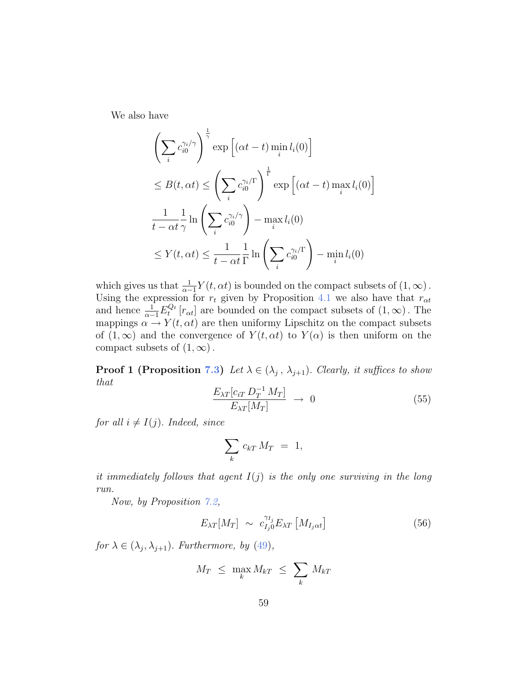We also have

$$
\left(\sum_{i} c_{i0}^{\gamma_i/\gamma}\right)^{\frac{1}{\gamma}} \exp\left[(\alpha t - t) \min_{i} l_i(0)\right]
$$
  
\n
$$
\leq B(t, \alpha t) \leq \left(\sum_{i} c_{i0}^{\gamma_i/\Gamma}\right)^{\frac{1}{\Gamma}} \exp\left[(\alpha t - t) \max_{i} l_i(0)\right]
$$
  
\n
$$
\frac{1}{t - \alpha t} \frac{1}{\gamma} \ln\left(\sum_{i} c_{i0}^{\gamma_i/\gamma}\right) - \max_{i} l_i(0)
$$
  
\n
$$
\leq Y(t, \alpha t) \leq \frac{1}{t - \alpha t} \frac{1}{\Gamma} \ln\left(\sum_{i} c_{i0}^{\gamma_i/\Gamma}\right) - \min_{i} l_i(0)
$$

which gives us that  $\frac{1}{\alpha-1}Y(t, \alpha t)$  is bounded on the compact subsets of  $(1, \infty)$ . Using the expression for  $r_t$  given by Proposition 4.1 we also have that  $r_{\alpha t}$ and hence  $\frac{1}{\alpha-1}E_t^{Q_t}[r_{\alpha t}]$  are bounded on the compact subsets of  $(1,\infty)$ . The mappings  $\alpha \to Y(t, \alpha t)$  are then uniformy Lipschitz on the compact subsets of  $(1, \infty)$  and the convergence of  $Y(t, \alpha t)$  to  $Y(\alpha)$  is then uniform on the compact subsets of  $(1, \infty)$ .

**Proof 1 (Proposition 7.3)** Let  $\lambda \in (\lambda_j, \lambda_{j+1})$ . Clearly, it suffices to show that

$$
\frac{E_{\lambda T} [c_{iT} D_T^{-1} M_T]}{E_{\lambda T} [M_T]} \rightarrow 0 \tag{55}
$$

for all  $i \neq I(j)$ . Indeed, since

$$
\sum_{k} c_{kT} M_T = 1,
$$

it immediately follows that agent  $I(j)$  is the only one surviving in the long run.

Now, by Proposition 7.2,

$$
E_{\lambda T}[M_T] \sim c_{I_j 0}^{\gamma I_j} E_{\lambda T} [M_{I_j \alpha t}] \tag{56}
$$

for  $\lambda \in (\lambda_j, \lambda_{j+1})$ . Furthermore, by (49),

$$
M_T \leq \max_k M_{kT} \leq \sum_k M_{kT}
$$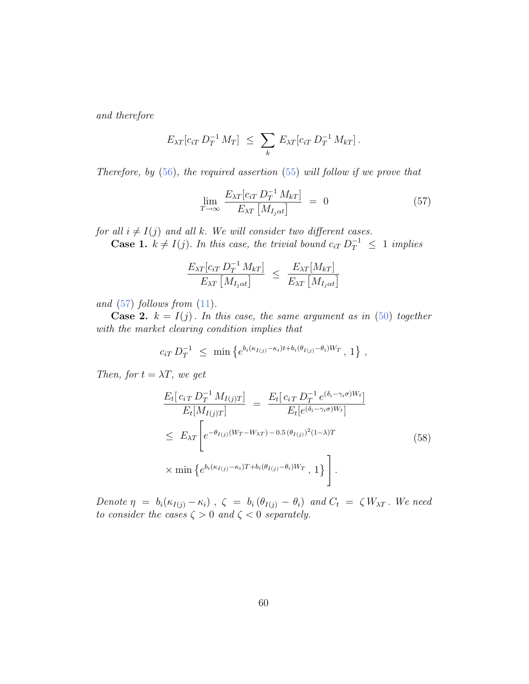and therefore

$$
E_{\lambda T}[c_{iT} D_T^{-1} M_T] \leq \sum_k E_{\lambda T}[c_{iT} D_T^{-1} M_{kT}].
$$

Therefore, by  $(56)$ , the required assertion  $(55)$  will follow if we prove that

$$
\lim_{T \to \infty} \frac{E_{\lambda T} [c_{iT} D_T^{-1} M_{kT}]}{E_{\lambda T} [M_{I_j \alpha t}]} = 0 \tag{57}
$$

for all  $i \neq I(j)$  and all k. We will consider two different cases.

**Case 1.**  $k \neq I(j)$ . In this case, the trivial bound  $c_{iT} D_T^{-1} \leq 1$  implies

$$
\frac{E_{\lambda T} [c_{iT} D_T^{-1} M_{kT}]}{E_{\lambda T} [M_{I_j \alpha t}]} \leq \frac{E_{\lambda T} [M_{kT}]}{E_{\lambda T} [M_{I_j \alpha t}]}
$$

and  $(57)$  follows from  $(11)$ .

**Case 2.**  $k = I(j)$ . In this case, the same argument as in (50) together with the market clearing condition implies that

$$
c_{iT} D_T^{-1} \leq \min \left\{ e^{b_i(\kappa_{I(j)} - \kappa_i)t + b_i(\theta_{I(j)} - \theta_i)W_T}, 1 \right\},\,
$$

Then, for  $t = \lambda T$ , we get

$$
\frac{E_t[c_{iT} D_T^{-1} M_{I(j)T}]}{E_t[M_{I(j)T}]} = \frac{E_t[c_{iT} D_T^{-1} e^{(\delta_i - \gamma_i \sigma)W_t}]}{E_t[e^{(\delta_i - \gamma_i \sigma)W_t}]}
$$
\n
$$
\leq E_{\lambda T} \left[ e^{-\theta_{I(j)} (W_T - W_{\lambda T}) - 0.5 (\theta_{I(j)})^2 (1 - \lambda)T} \times \min \left\{ e^{b_i(\kappa_{I(j)} - \kappa_i)T + b_i(\theta_{I(j)} - \theta_i)W_T}, 1 \right\} \right].
$$
\n(58)

Denote  $\eta = b_i(\kappa_{I(j)} - \kappa_i)$ ,  $\zeta = b_i (\theta_{I(j)} - \theta_i)$  and  $C_t = \zeta W_{\lambda T}$ . We need to consider the cases  $\zeta > 0$  and  $\zeta < 0$  separately.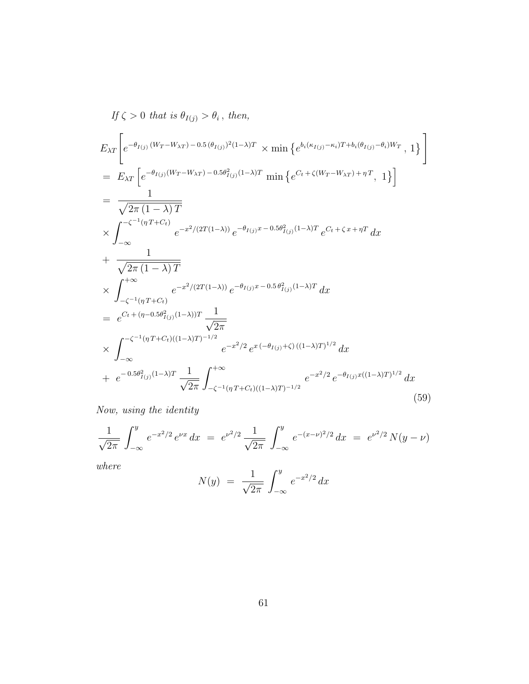$$
If \zeta > 0 \text{ that is } \theta_{I(j)} > \theta_i, \text{ then,}
$$
\n
$$
E_{\lambda T} \left[ e^{-\theta_{I(j)} (W_T - W_{\lambda T}) - 0.5(\theta_{I(j)})^2 (1 - \lambda) T} \times \min \left\{ e^{b_i (\kappa_{I(j)} - \kappa_i) T + b_i (\theta_{I(j)} - \theta_i) W_T}, 1 \right\} \right]
$$
\n
$$
= E_{\lambda T} \left[ e^{-\theta_{I(j)} (W_T - W_{\lambda T}) - 0.5\theta_{I(j)}^2 (1 - \lambda) T} \min \left\{ e^{C_t + \zeta (W_T - W_{\lambda T}) + \eta T}, 1 \right\} \right]
$$
\n
$$
= \frac{1}{\sqrt{2\pi (1 - \lambda) T}}
$$
\n
$$
\times \int_{-\infty}^{-\zeta^{-1} (\eta T + C_t)} e^{-x^2/(2T(1 - \lambda))} e^{-\theta_{I(j)} x - 0.5\theta_{I(j)}^2 (1 - \lambda) T} e^{C_t + \zeta x + \eta T} dx
$$
\n
$$
+ \frac{1}{\sqrt{2\pi (1 - \lambda) T}}
$$
\n
$$
\times \int_{-\zeta^{-1} (\eta T + C_t)}^{+\infty} e^{-x^2/(2T(1 - \lambda))} e^{-\theta_{I(j)} x - 0.5\theta_{I(j)}^2 (1 - \lambda) T} dx
$$
\n
$$
= e^{C_t + (\eta - 0.5\theta_{I(j)}^2 (1 - \lambda)) T} \frac{1}{\sqrt{2\pi}}
$$
\n
$$
\times \int_{-\infty}^{-\zeta^{-1} (\eta T + C_t)((1 - \lambda) T)^{-1/2}} e^{-x^2/2} e^{x (-\theta_{I(j)} + \zeta) ((1 - \lambda) T)^{1/2}} dx
$$
\n
$$
+ e^{-0.5\theta_{I(j)}^2 (1 - \lambda) T} \frac{1}{\sqrt{2\pi}} \int_{-\zeta^{-1} (\eta T + C_t)((1 - \lambda) T)^{-1/2}}^{+\infty} e^{-x^2/2} e^{-\theta_{I(j)} x ((1 - \lambda) T)^{1/2}} dx
$$
\n(59)

Now, using the identity

$$
\frac{1}{\sqrt{2\pi}} \int_{-\infty}^{y} e^{-x^2/2} e^{\nu x} dx = e^{\nu^2/2} \frac{1}{\sqrt{2\pi}} \int_{-\infty}^{y} e^{-(x-\nu)^2/2} dx = e^{\nu^2/2} N(y-\nu)
$$

where

$$
N(y) = \frac{1}{\sqrt{2\pi}} \int_{-\infty}^{y} e^{-x^2/2} dx
$$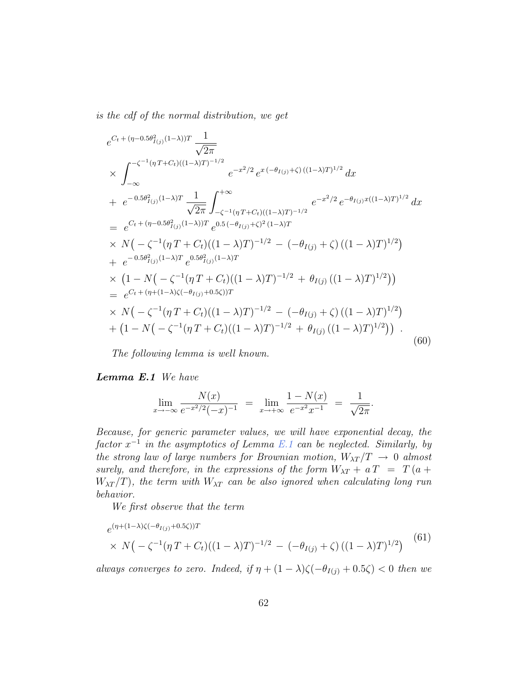is the cdf of the normal distribution, we get

$$
e^{C_t + (\eta - 0.5\theta_{I(j)}^2 (1-\lambda))T} \frac{1}{\sqrt{2\pi}}
$$
  
\n
$$
\times \int_{-\infty}^{-\zeta^{-1} (\eta T + C_t)((1-\lambda)T)^{-1/2}} e^{-x^2/2} e^{x(-\theta_{I(j)} + \zeta) ((1-\lambda)T)^{1/2}} dx
$$
  
\n
$$
+ e^{-0.5\theta_{I(j)}^2 (1-\lambda)T} \frac{1}{\sqrt{2\pi}} \int_{-\zeta^{-1} (\eta T + C_t)((1-\lambda)T)^{-1/2}}^{\infty} e^{-x^2/2} e^{-\theta_{I(j)}x((1-\lambda)T)^{1/2}} dx
$$
  
\n
$$
= e^{C_t + (\eta - 0.5\theta_{I(j)}^2 (1-\lambda))T} e^{0.5(-\theta_{I(j)} + \zeta)^2 (1-\lambda)T}
$$
  
\n
$$
\times N\Big(-\zeta^{-1} (\eta T + C_t)((1-\lambda)T)^{-1/2} - (-\theta_{I(j)} + \zeta) ((1-\lambda)T)^{1/2}\Big)
$$
  
\n
$$
+ e^{-0.5\theta_{I(j)}^2 (1-\lambda)T} e^{0.5\theta_{I(j)}^2 (1-\lambda)T}
$$
  
\n
$$
\times (1 - N\Big(-\zeta^{-1} (\eta T + C_t)((1-\lambda)T)^{-1/2} + \theta_{I(j)} ((1-\lambda)T)^{1/2}\Big))
$$
  
\n
$$
= e^{C_t + (\eta + (1-\lambda)\zeta(-\theta_{I(j)} + 0.5\zeta))T}
$$
  
\n
$$
\times N\Big(-\zeta^{-1} (\eta T + C_t)((1-\lambda)T)^{-1/2} - (-\theta_{I(j)} + \zeta) ((1-\lambda)T)^{1/2}\Big)
$$
  
\n
$$
+ (1 - N\Big(-\zeta^{-1} (\eta T + C_t)((1-\lambda)T)^{-1/2} + \theta_{I(j)} ((1-\lambda)T)^{1/2}\Big)).
$$
  
\n(60)

The following lemma is well known.

Lemma E.1 We have

$$
\lim_{x \to -\infty} \frac{N(x)}{e^{-x^2/2}(-x)^{-1}} = \lim_{x \to +\infty} \frac{1 - N(x)}{e^{-x^2}x^{-1}} = \frac{1}{\sqrt{2\pi}}.
$$

Because, for generic parameter values, we will have exponential decay, the  $factor x^{-1}$  in the asymptotics of Lemma E.1 can be neglected. Similarly, by the strong law of large numbers for Brownian motion,  $W_{\lambda T}/T \rightarrow 0$  almost surely, and therefore, in the expressions of the form  $W_{\lambda T} + aT = T(a +$  $W_{\lambda T}/T$ , the term with  $W_{\lambda T}$  can be also ignored when calculating long run behavior.

We first observe that the term

$$
e^{(\eta + (1-\lambda)\zeta(-\theta_{I(j)}+0.5\zeta))T}
$$
  
 
$$
\times N(-\zeta^{-1}(\eta T + C_t)((1-\lambda)T)^{-1/2} - (-\theta_{I(j)} + \zeta)((1-\lambda)T)^{1/2})
$$
 (61)

always converges to zero. Indeed, if  $\eta + (1 - \lambda)\zeta(-\theta_{I(j)} + 0.5\zeta) < 0$  then we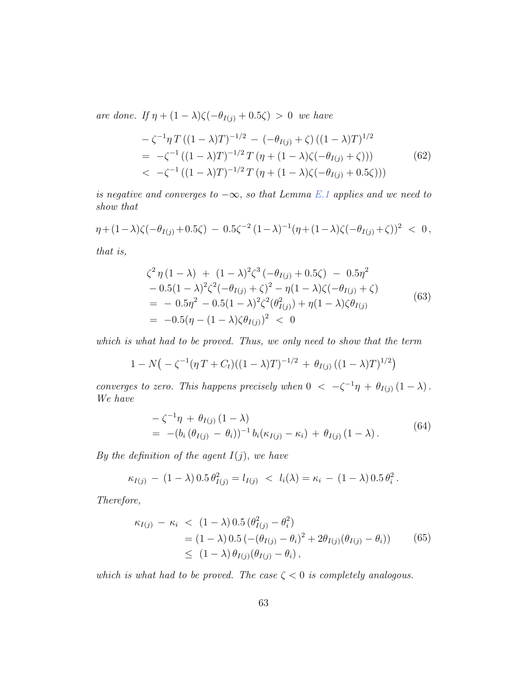are done. If  $\eta + (1 - \lambda)\zeta(-\theta_{I(j)} + 0.5\zeta) > 0$  we have

$$
-\zeta^{-1}\eta T((1-\lambda)T)^{-1/2} - (-\theta_{I(j)} + \zeta)((1-\lambda)T)^{1/2}
$$
  
=  $-\zeta^{-1}((1-\lambda)T)^{-1/2}T(\eta + (1-\lambda)\zeta(-\theta_{I(j)} + \zeta)))$  (62)  
<  $-\zeta^{-1}((1-\lambda)T)^{-1/2}T(\eta + (1-\lambda)\zeta(-\theta_{I(j)} + 0.5\zeta)))$ 

is negative and converges to  $-\infty$ , so that Lemma E.1 applies and we need to show that

$$
\eta + (1 - \lambda)\zeta(-\theta_{I(j)} + 0.5\zeta) - 0.5\zeta^{-2}(1 - \lambda)^{-1}(\eta + (1 - \lambda)\zeta(-\theta_{I(j)} + \zeta))^2 < 0,
$$

that is,

$$
\zeta^2 \eta (1 - \lambda) + (1 - \lambda)^2 \zeta^3 (-\theta_{I(j)} + 0.5\zeta) - 0.5\eta^2 \n- 0.5(1 - \lambda)^2 \zeta^2 (-\theta_{I(j)} + \zeta)^2 - \eta (1 - \lambda) \zeta (-\theta_{I(j)} + \zeta) \n= - 0.5\eta^2 - 0.5(1 - \lambda)^2 \zeta^2 (\theta_{I(j)}^2) + \eta (1 - \lambda) \zeta \theta_{I(j)} \n= -0.5(\eta - (1 - \lambda) \zeta \theta_{I(j)})^2 < 0
$$
\n(63)

which is what had to be proved. Thus, we only need to show that the term

$$
1 - N\left(-\zeta^{-1}(\eta T + C_t)((1 - \lambda)T)^{-1/2} + \theta_{I(j)}((1 - \lambda)T)^{1/2}\right)
$$

converges to zero. This happens precisely when  $0 < -\zeta^{-1}\eta + \theta_{I(j)}(1-\lambda)$ . We have

$$
-\zeta^{-1}\eta + \theta_{I(j)} (1 - \lambda) = -(b_i (\theta_{I(j)} - \theta_i))^{-1} b_i (\kappa_{I(j)} - \kappa_i) + \theta_{I(j)} (1 - \lambda).
$$
 (64)

By the definition of the agent  $I(j)$ , we have

$$
\kappa_{I(j)} - (1 - \lambda) 0.5 \theta_{I(j)}^2 = l_{I(j)} < l_i(\lambda) = \kappa_i - (1 - \lambda) 0.5 \theta_i^2 \, .
$$

Therefore,

$$
\kappa_{I(j)} - \kappa_i < (1 - \lambda) 0.5 (\theta_{I(j)}^2 - \theta_i^2) \\
= (1 - \lambda) 0.5 (-(\theta_{I(j)} - \theta_i)^2 + 2\theta_{I(j)}(\theta_{I(j)} - \theta_i)) \\
\leq (1 - \lambda) \theta_{I(j)}(\theta_{I(j)} - \theta_i),
$$
\n(65)

which is what had to be proved. The case  $\zeta < 0$  is completely analogous.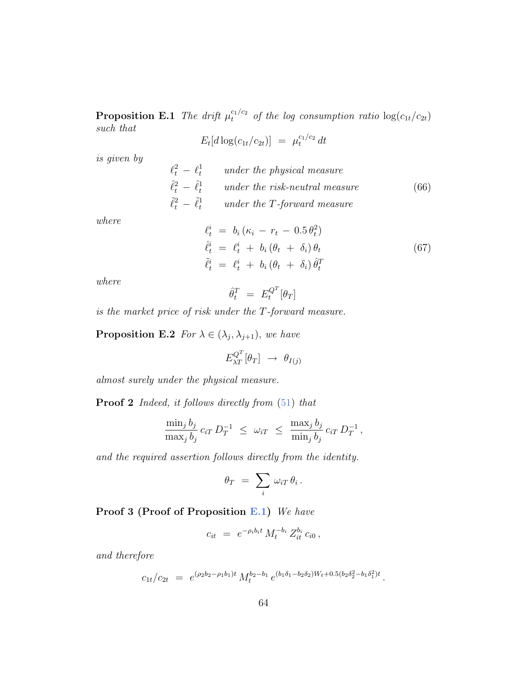**Proposition E.1** The drift  $\mu_t^{c_1/c_2}$  of the log consumption ratio  $\log(c_{1t}/c_{2t})$ such that

$$
E_t[d\log(c_{1t}/c_{2t})] = \mu_t^{c_1/c_2} dt
$$

is given by

$$
\ell_t^2 - \ell_t^1
$$
 under the physical measure  
\n
$$
\hat{\ell}_t^2 - \hat{\ell}_t^1
$$
 under the risk-neutral measure  
\n
$$
\tilde{\ell}_t^2 - \tilde{\ell}_t^1
$$
 under the T-forward measure  
\n(66)

where

$$
\begin{aligned}\n\ell_t^i &= b_i \left( \kappa_i - r_t - 0.5 \theta_t^2 \right) \\
\hat{\ell}_t^i &= \ell_t^i + b_i \left( \theta_t + \delta_i \right) \theta_t \\
\tilde{\ell}_t^i &= \ell_t^i + b_i \left( \theta_t + \delta_i \right) \hat{\theta}_t^T\n\end{aligned} \tag{67}
$$

where

$$
\hat{\theta}_t^T = E_t^{Q^T}[\theta_T]
$$

is the market price of risk under the T-forward measure.

**Proposition E.2** For  $\lambda \in (\lambda_j, \lambda_{j+1})$ , we have

 $E_{\lambda T}^{Q^T} [\theta_T] \rightarrow \theta_{I(j)}$ 

almost surely under the physical measure.

**Proof 2** Indeed, it follows directly from  $(51)$  that

$$
\frac{\min_j b_j}{\max_j b_j} c_{iT} D_T^{-1} \ \leq \ \omega_{iT} \ \leq \ \frac{\max_j b_j}{\min_j b_j} c_{iT} D_T^{-1} \,,
$$

and the required assertion follows directly from the identity.

$$
\theta_T \,\,=\,\, \sum_i\,\omega_{iT}\,\theta_i\,.
$$

**Proof 3 (Proof of Proposition E.1)** We have

$$
c_{it} = e^{-\rho_i b_i t} M_t^{-b_i} Z_{it}^{b_i} c_{i0},
$$

and therefore

$$
c_{1t}/c_{2t} = e^{(\rho_2 b_2 - \rho_1 b_1)t} M_t^{b_2 - b_1} e^{(b_1 \delta_1 - b_2 \delta_2)W_t + 0.5(b_2 \delta_2^2 - b_1 \delta_1^2)t}.
$$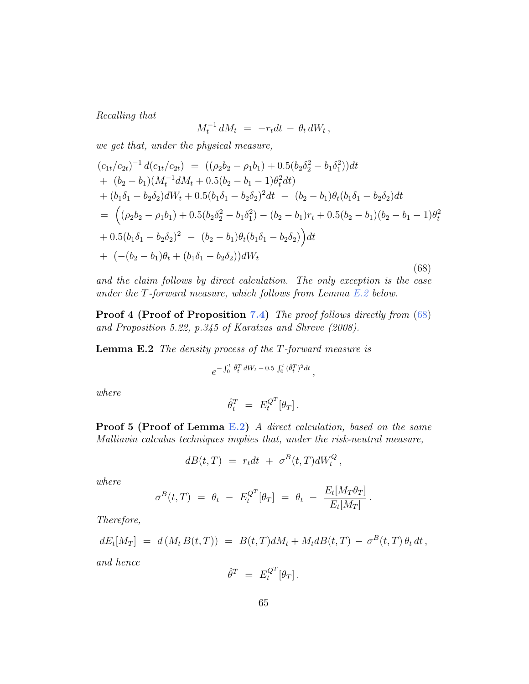Recalling that

$$
M_t^{-1} dM_t = -r_t dt - \theta_t dW_t,
$$

we get that, under the physical measure,

$$
(c_{1t}/c_{2t})^{-1} d(c_{1t}/c_{2t}) = ((\rho_2 b_2 - \rho_1 b_1) + 0.5(b_2 \delta_2^2 - b_1 \delta_1^2))dt + (b_2 - b_1)(M_t^{-1} dM_t + 0.5(b_2 - b_1 - 1)\theta_t^2 dt) + (b_1 \delta_1 - b_2 \delta_2) dW_t + 0.5(b_1 \delta_1 - b_2 \delta_2)^2 dt - (b_2 - b_1)\theta_t (b_1 \delta_1 - b_2 \delta_2) dt = ((\rho_2 b_2 - \rho_1 b_1) + 0.5(b_2 \delta_2^2 - b_1 \delta_1^2) - (b_2 - b_1)r_t + 0.5(b_2 - b_1)(b_2 - b_1 - 1)\theta_t^2 + 0.5(b_1 \delta_1 - b_2 \delta_2)^2 - (b_2 - b_1)\theta_t (b_1 \delta_1 - b_2 \delta_2) dt + (-(b_2 - b_1)\theta_t + (b_1 \delta_1 - b_2 \delta_2)) dW_t
$$
\n(68)

and the claim follows by direct calculation. The only exception is the case under the T-forward measure, which follows from Lemma E.2 below.

Proof 4 (Proof of Proposition 7.4) The proof follows directly from (68) and Proposition 5.22, p.345 of Karatzas and Shreve (2008).

Lemma E.2 The density process of the T-forward measure is

$$
e^{-\int_0^t \hat{\theta}_t^T dW_t - 0.5 \int_0^t (\hat{\theta}_t^T)^2 dt},
$$

where

$$
\hat{\theta}_t^T = E_t^{Q^T} [\theta_T].
$$

**Proof 5 (Proof of Lemma E.2)** A direct calculation, based on the same Malliavin calculus techniques implies that, under the risk-neutral measure,

$$
dB(t,T) = r_t dt + \sigma^B(t,T) dW_t^Q,
$$

where

$$
\sigma^{B}(t,T) = \theta_t - E_t^{Q^T}[\theta_T] = \theta_t - \frac{E_t[M_T\theta_T]}{E_t[M_T]}
$$

.

Therefore,

$$
dE_t[M_T] = d(M_t B(t,T)) = B(t,T)dM_t + M_t dB(t,T) - \sigma^B(t,T)\theta_t dt,
$$

and hence

$$
\hat{\theta}^T \ = \ E_t^{Q^T}[\theta_T] \, .
$$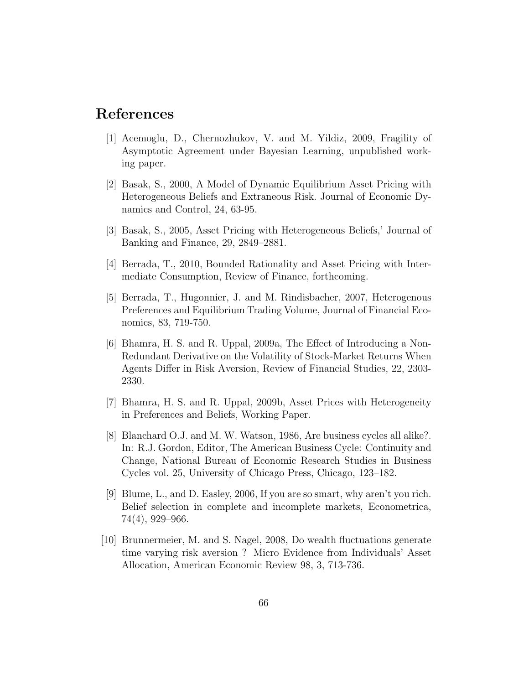## References

- [1] Acemoglu, D., Chernozhukov, V. and M. Yildiz, 2009, Fragility of Asymptotic Agreement under Bayesian Learning, unpublished working paper.
- [2] Basak, S., 2000, A Model of Dynamic Equilibrium Asset Pricing with Heterogeneous Beliefs and Extraneous Risk. Journal of Economic Dynamics and Control, 24, 63-95.
- [3] Basak, S., 2005, Asset Pricing with Heterogeneous Beliefs,' Journal of Banking and Finance, 29, 2849–2881.
- [4] Berrada, T., 2010, Bounded Rationality and Asset Pricing with Intermediate Consumption, Review of Finance, forthcoming.
- [5] Berrada, T., Hugonnier, J. and M. Rindisbacher, 2007, Heterogenous Preferences and Equilibrium Trading Volume, Journal of Financial Economics, 83, 719-750.
- [6] Bhamra, H. S. and R. Uppal, 2009a, The Effect of Introducing a Non-Redundant Derivative on the Volatility of Stock-Market Returns When Agents Differ in Risk Aversion, Review of Financial Studies, 22, 2303- 2330.
- [7] Bhamra, H. S. and R. Uppal, 2009b, Asset Prices with Heterogeneity in Preferences and Beliefs, Working Paper.
- [8] Blanchard O.J. and M. W. Watson, 1986, Are business cycles all alike?. In: R.J. Gordon, Editor, The American Business Cycle: Continuity and Change, National Bureau of Economic Research Studies in Business Cycles vol. 25, University of Chicago Press, Chicago, 123–182.
- [9] Blume, L., and D. Easley, 2006, If you are so smart, why aren't you rich. Belief selection in complete and incomplete markets, Econometrica, 74(4), 929–966.
- [10] Brunnermeier, M. and S. Nagel, 2008, Do wealth fluctuations generate time varying risk aversion ? Micro Evidence from Individuals' Asset Allocation, American Economic Review 98, 3, 713-736.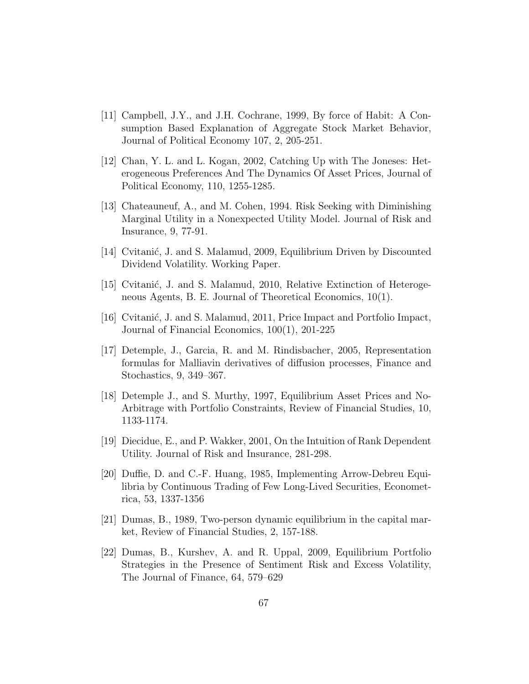- [11] Campbell, J.Y., and J.H. Cochrane, 1999, By force of Habit: A Consumption Based Explanation of Aggregate Stock Market Behavior, Journal of Political Economy 107, 2, 205-251.
- [12] Chan, Y. L. and L. Kogan, 2002, Catching Up with The Joneses: Heterogeneous Preferences And The Dynamics Of Asset Prices, Journal of Political Economy, 110, 1255-1285.
- [13] Chateauneuf, A., and M. Cohen, 1994. Risk Seeking with Diminishing Marginal Utility in a Nonexpected Utility Model. Journal of Risk and Insurance, 9, 77-91.
- [14] Cvitanić, J. and S. Malamud, 2009, Equilibrium Driven by Discounted Dividend Volatility. Working Paper.
- [15] Cvitanić, J. and S. Malamud, 2010, Relative Extinction of Heterogeneous Agents, B. E. Journal of Theoretical Economics, 10(1).
- [16] Cvitanić, J. and S. Malamud, 2011, Price Impact and Portfolio Impact, Journal of Financial Economics, 100(1), 201-225
- [17] Detemple, J., Garcia, R. and M. Rindisbacher, 2005, Representation formulas for Malliavin derivatives of diffusion processes, Finance and Stochastics, 9, 349–367.
- [18] Detemple J., and S. Murthy, 1997, Equilibrium Asset Prices and No-Arbitrage with Portfolio Constraints, Review of Financial Studies, 10, 1133-1174.
- [19] Diecidue, E., and P. Wakker, 2001, On the Intuition of Rank Dependent Utility. Journal of Risk and Insurance, 281-298.
- [20] Duffie, D. and C.-F. Huang, 1985, Implementing Arrow-Debreu Equilibria by Continuous Trading of Few Long-Lived Securities, Econometrica, 53, 1337-1356
- [21] Dumas, B., 1989, Two-person dynamic equilibrium in the capital market, Review of Financial Studies, 2, 157-188.
- [22] Dumas, B., Kurshev, A. and R. Uppal, 2009, Equilibrium Portfolio Strategies in the Presence of Sentiment Risk and Excess Volatility, The Journal of Finance, 64, 579–629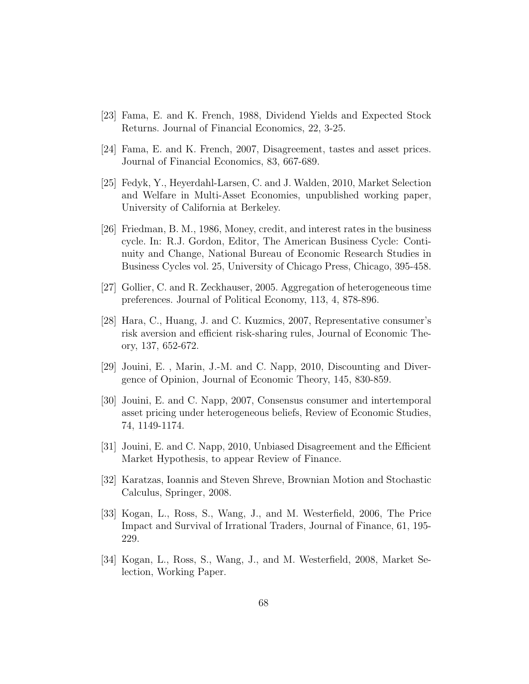- [23] Fama, E. and K. French, 1988, Dividend Yields and Expected Stock Returns. Journal of Financial Economics, 22, 3-25.
- [24] Fama, E. and K. French, 2007, Disagreement, tastes and asset prices. Journal of Financial Economics, 83, 667-689.
- [25] Fedyk, Y., Heyerdahl-Larsen, C. and J. Walden, 2010, Market Selection and Welfare in Multi-Asset Economies, unpublished working paper, University of California at Berkeley.
- [26] Friedman, B. M., 1986, Money, credit, and interest rates in the business cycle. In: R.J. Gordon, Editor, The American Business Cycle: Continuity and Change, National Bureau of Economic Research Studies in Business Cycles vol. 25, University of Chicago Press, Chicago, 395-458.
- [27] Gollier, C. and R. Zeckhauser, 2005. Aggregation of heterogeneous time preferences. Journal of Political Economy, 113, 4, 878-896.
- [28] Hara, C., Huang, J. and C. Kuzmics, 2007, Representative consumer's risk aversion and efficient risk-sharing rules, Journal of Economic Theory, 137, 652-672.
- [29] Jouini, E. , Marin, J.-M. and C. Napp, 2010, Discounting and Divergence of Opinion, Journal of Economic Theory, 145, 830-859.
- [30] Jouini, E. and C. Napp, 2007, Consensus consumer and intertemporal asset pricing under heterogeneous beliefs, Review of Economic Studies, 74, 1149-1174.
- [31] Jouini, E. and C. Napp, 2010, Unbiased Disagreement and the Efficient Market Hypothesis, to appear Review of Finance.
- [32] Karatzas, Ioannis and Steven Shreve, Brownian Motion and Stochastic Calculus, Springer, 2008.
- [33] Kogan, L., Ross, S., Wang, J., and M. Westerfield, 2006, The Price Impact and Survival of Irrational Traders, Journal of Finance, 61, 195- 229.
- [34] Kogan, L., Ross, S., Wang, J., and M. Westerfield, 2008, Market Selection, Working Paper.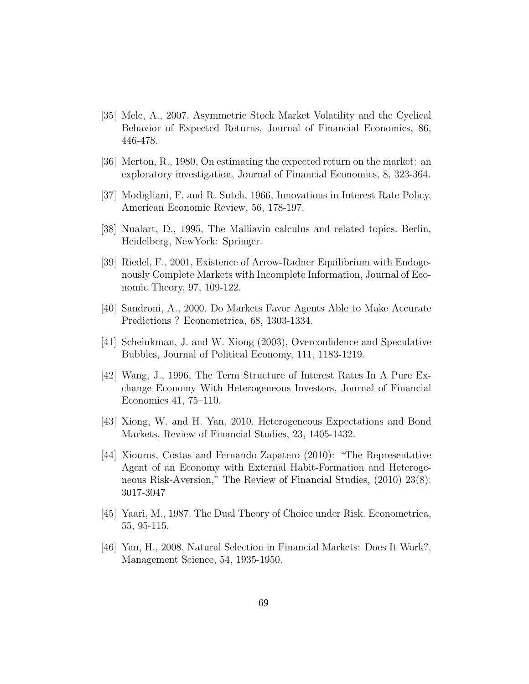- [35] Mele, A., 2007, Asymmetric Stock Market Volatility and the Cyclical Behavior of Expected Returns, Journal of Financial Economics, 86, 446-478.
- [36] Merton, R., 1980, On estimating the expected return on the market: an exploratory investigation, Journal of Financial Economics, 8, 323-364.
- [37] Modigliani, F. and R. Sutch, 1966, Innovations in Interest Rate Policy, American Economic Review, 56, 178-197.
- [38] Nualart, D., 1995, The Malliavin calculus and related topics. Berlin, Heidelberg, NewYork: Springer.
- [39] Riedel, F., 2001, Existence of Arrow-Radner Equilibrium with Endogenously Complete Markets with Incomplete Information, Journal of Economic Theory, 97, 109-122.
- [40] Sandroni, A., 2000. Do Markets Favor Agents Able to Make Accurate Predictions ? Econometrica, 68, 1303-1334.
- [41] Scheinkman, J. and W. Xiong (2003), Overconfidence and Speculative Bubbles, Journal of Political Economy, 111, 1183-1219.
- [42] Wang, J., 1996, The Term Structure of Interest Rates In A Pure Exchange Economy With Heterogeneous Investors, Journal of Financial Economics 41, 75–110.
- [43] Xiong, W. and H. Yan, 2010, Heterogeneous Expectations and Bond Markets, Review of Financial Studies, 23, 1405-1432.
- [44] Xiouros, Costas and Fernando Zapatero (2010): "The Representative Agent of an Economy with External Habit-Formation and Heterogeneous Risk-Aversion," The Review of Financial Studies, (2010) 23(8): 3017-3047
- [45] Yaari, M., 1987. The Dual Theory of Choice under Risk. Econometrica, 55, 95-115.
- [46] Yan, H., 2008, Natural Selection in Financial Markets: Does It Work?, Management Science, 54, 1935-1950.